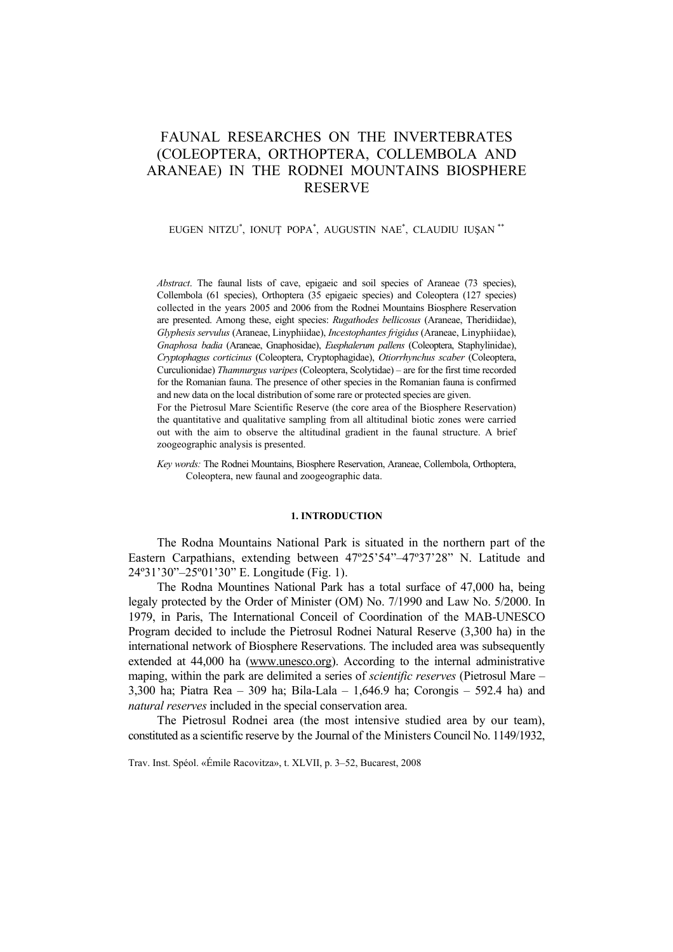# FAUNAL RESEARCHES ON THE INVERTEBRATES (COLEOPTERA, ORTHOPTERA, COLLEMBOLA AND ARANEAE) IN THE RODNEI MOUNTAINS BIOSPHERE RESERVE

### EUGEN NITZU\* , IONUŢ POPA\* , AUGUSTIN NAE\* , CLAUDIU IUŞAN \*\*

*Abstract*. The faunal lists of cave, epigaeic and soil species of Araneae (73 species), Collembola (61 species), Orthoptera (35 epigaeic species) and Coleoptera (127 species) collected in the years 2005 and 2006 from the Rodnei Mountains Biosphere Reservation are presented. Among these, eight species: *Rugathodes bellicosus* (Araneae, Theridiidae), *Glyphesis servulus* (Araneae, Linyphiidae), *Incestophantes frigidus* (Araneae, Linyphiidae), *Gnaphosa badia* (Araneae, Gnaphosidae), *Eusphalerum pallens* (Coleoptera, Staphylinidae), *Cryptophagus corticinus* (Coleoptera, Cryptophagidae), *Otiorrhynchus scaber* (Coleoptera, Curculionidae) *Thamnurgus varipes* (Coleoptera, Scolytidae) – are for the first time recorded for the Romanian fauna. The presence of other species in the Romanian fauna is confirmed and new data on the local distribution of some rare or protected species are given.

For the Pietrosul Mare Scientific Reserve (the core area of the Biosphere Reservation) the quantitative and qualitative sampling from all altitudinal biotic zones were carried out with the aim to observe the altitudinal gradient in the faunal structure. A brief zoogeographic analysis is presented.

*Key words:* The Rodnei Mountains, Biosphere Reservation, Araneae, Collembola, Orthoptera, Coleoptera, new faunal and zoogeographic data.

### **1. INTRODUCTION**

The Rodna Mountains National Park is situated in the northern part of the Eastern Carpathians, extending between 47º25'54"–47º37'28" N. Latitude and 24º31'30"–25º01'30" E. Longitude (Fig. 1).

The Rodna Mountines National Park has a total surface of 47,000 ha, being legaly protected by the Order of Minister (OM) No. 7/1990 and Law No. 5/2000. In 1979, in Paris, The International Conceil of Coordination of the MAB-UNESCO Program decided to include the Pietrosul Rodnei Natural Reserve (3,300 ha) in the international network of Biosphere Reservations. The included area was subsequently extended at 44,000 ha (www.unesco.org). According to the internal administrative maping, within the park are delimited a series of *scientific reserves* (Pietrosul Mare – 3,300 ha; Piatra Rea – 309 ha; Bila-Lala – 1,646.9 ha; Corongis – 592.4 ha) and *natural reserves* included in the special conservation area.

The Pietrosul Rodnei area (the most intensive studied area by our team), constituted as a scientific reserve by the Journal of the Ministers Council No. 1149/1932,

Trav. Inst. Spéol. «Émile Racovitza», t. XLVII, p. 3–52, Bucarest, 2008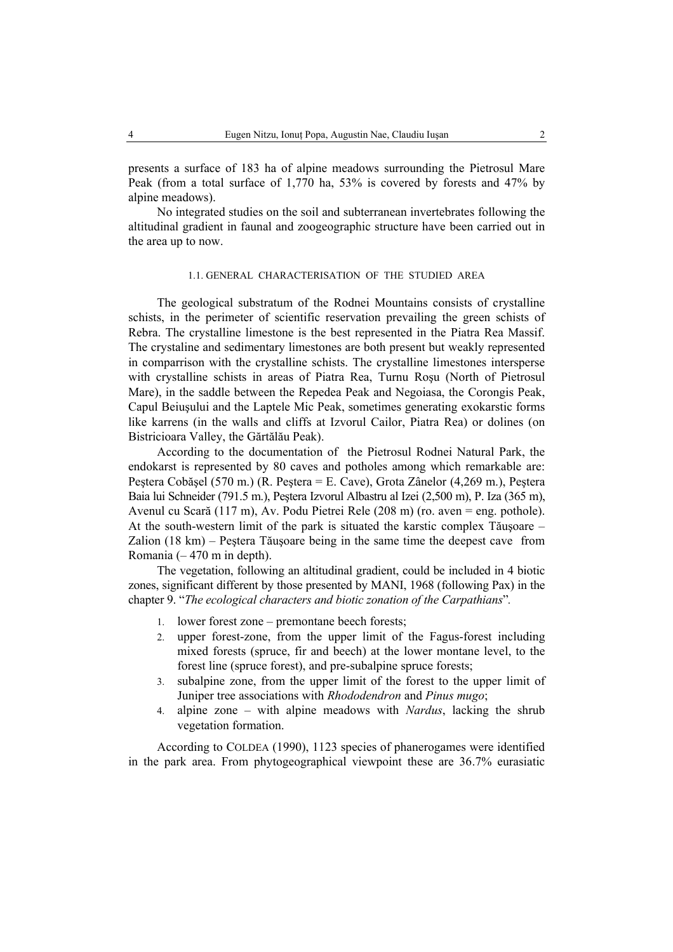presents a surface of 183 ha of alpine meadows surrounding the Pietrosul Mare Peak (from a total surface of 1,770 ha, 53% is covered by forests and 47% by alpine meadows).

No integrated studies on the soil and subterranean invertebrates following the altitudinal gradient in faunal and zoogeographic structure have been carried out in the area up to now.

### 1.1. GENERAL CHARACTERISATION OF THE STUDIED AREA

The geological substratum of the Rodnei Mountains consists of crystalline schists, in the perimeter of scientific reservation prevailing the green schists of Rebra. The crystalline limestone is the best represented in the Piatra Rea Massif. The crystaline and sedimentary limestones are both present but weakly represented in comparrison with the crystalline schists. The crystalline limestones intersperse with crystalline schists in areas of Piatra Rea, Turnu Roşu (North of Pietrosul Mare), in the saddle between the Repedea Peak and Negoiasa, the Corongis Peak, Capul Beiuşului and the Laptele Mic Peak, sometimes generating exokarstic forms like karrens (in the walls and cliffs at Izvorul Cailor, Piatra Rea) or dolines (on Bistricioara Valley, the Gărtălău Peak).

According to the documentation of the Pietrosul Rodnei Natural Park, the endokarst is represented by 80 caves and potholes among which remarkable are: Peştera Cobăşel (570 m.) (R. Peştera = E. Cave), Grota Zânelor (4,269 m.), Peştera Baia lui Schneider (791.5 m.), Peştera Izvorul Albastru al Izei (2,500 m), P. Iza (365 m), Avenul cu Scară (117 m), Av. Podu Pietrei Rele (208 m) (ro. aven = eng. pothole). At the south-western limit of the park is situated the karstic complex Tăuşoare – Zalion (18 km) – Peştera Tăuşoare being in the same time the deepest cave from Romania  $(-470 \text{ m in depth})$ .

The vegetation, following an altitudinal gradient, could be included in 4 biotic zones, significant different by those presented by MANI, 1968 (following Pax) in the chapter 9. "*The ecological characters and biotic zonation of the Carpathians*"*.*

- 1. lower forest zone premontane beech forests;
- 2. upper forest-zone, from the upper limit of the Fagus-forest including mixed forests (spruce, fir and beech) at the lower montane level, to the forest line (spruce forest), and pre-subalpine spruce forests;
- 3. subalpine zone, from the upper limit of the forest to the upper limit of Juniper tree associations with *Rhododendron* and *Pinus mugo*;
- 4. alpine zone with alpine meadows with *Nardus*, lacking the shrub vegetation formation.

According to COLDEA (1990), 1123 species of phanerogames were identified in the park area. From phytogeographical viewpoint these are 36.7% eurasiatic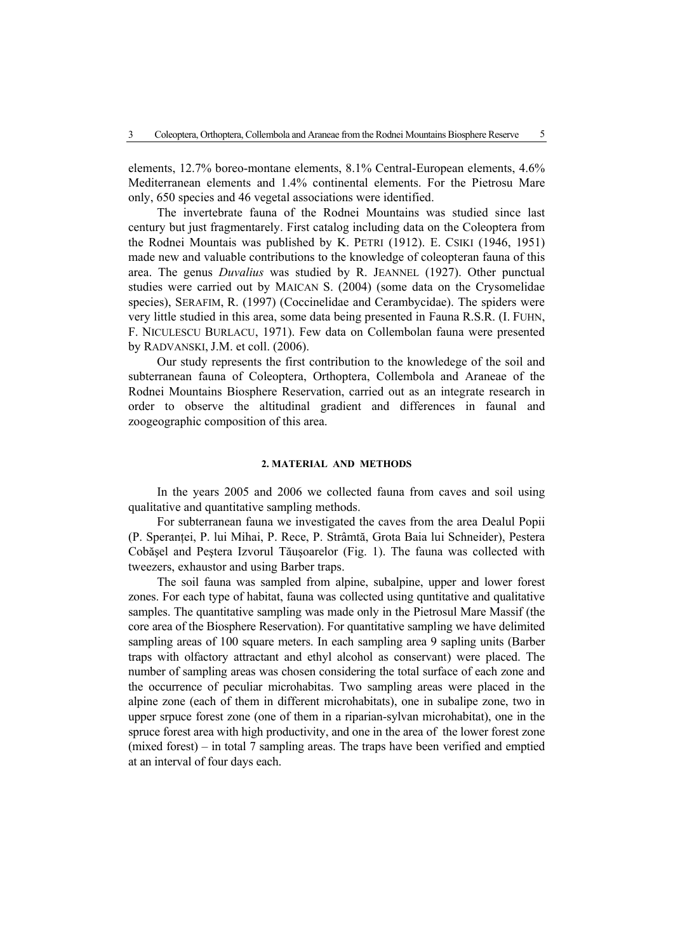elements, 12.7% boreo-montane elements, 8.1% Central-European elements, 4.6% Mediterranean elements and 1.4% continental elements. For the Pietrosu Mare only, 650 species and 46 vegetal associations were identified.

The invertebrate fauna of the Rodnei Mountains was studied since last century but just fragmentarely. First catalog including data on the Coleoptera from the Rodnei Mountais was published by K. PETRI (1912). E. CSIKI (1946, 1951) made new and valuable contributions to the knowledge of coleopteran fauna of this area. The genus *Duvalius* was studied by R. JEANNEL (1927). Other punctual studies were carried out by MAICAN S. (2004) (some data on the Crysomelidae species), SERAFIM, R. (1997) (Coccinelidae and Cerambycidae). The spiders were very little studied in this area, some data being presented in Fauna R.S.R. (I. FUHN, F. NICULESCU BURLACU, 1971). Few data on Collembolan fauna were presented by RADVANSKI, J.M. et coll. (2006).

Our study represents the first contribution to the knowledege of the soil and subterranean fauna of Coleoptera, Orthoptera, Collembola and Araneae of the Rodnei Mountains Biosphere Reservation, carried out as an integrate research in order to observe the altitudinal gradient and differences in faunal and zoogeographic composition of this area.

### **2. MATERIAL AND METHODS**

In the years 2005 and 2006 we collected fauna from caves and soil using qualitative and quantitative sampling methods.

For subterranean fauna we investigated the caves from the area Dealul Popii (P. Speranţei, P. lui Mihai, P. Rece, P. Strâmtă, Grota Baia lui Schneider), Pestera Cobăşel and Peştera Izvorul Tăuşoarelor (Fig. 1). The fauna was collected with tweezers, exhaustor and using Barber traps.

The soil fauna was sampled from alpine, subalpine, upper and lower forest zones. For each type of habitat, fauna was collected using quntitative and qualitative samples. The quantitative sampling was made only in the Pietrosul Mare Massif (the core area of the Biosphere Reservation). For quantitative sampling we have delimited sampling areas of 100 square meters. In each sampling area 9 sapling units (Barber traps with olfactory attractant and ethyl alcohol as conservant) were placed. The number of sampling areas was chosen considering the total surface of each zone and the occurrence of peculiar microhabitas. Two sampling areas were placed in the alpine zone (each of them in different microhabitats), one in subalipe zone, two in upper srpuce forest zone (one of them in a riparian-sylvan microhabitat), one in the spruce forest area with high productivity, and one in the area of the lower forest zone (mixed forest) – in total 7 sampling areas. The traps have been verified and emptied at an interval of four days each.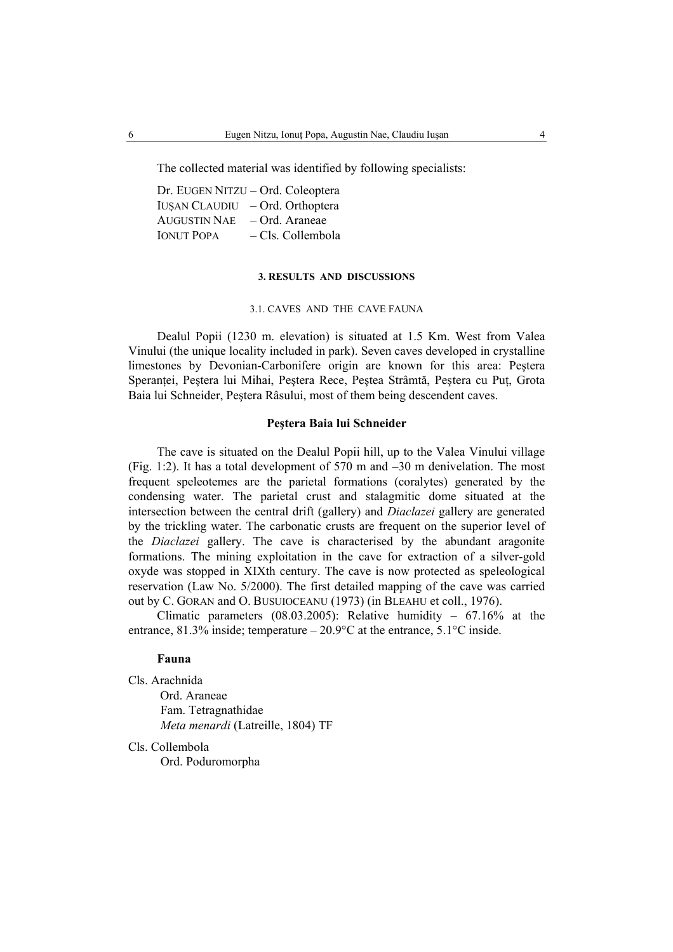The collected material was identified by following specialists:

Dr. EUGEN NITZU – Ord. Coleoptera IUŞAN CLAUDIU – Ord. Orthoptera AUGUSTIN NAE – Ord. Araneae IONUT POPA – Cls. Collembola

### **3. RESULTS AND DISCUSSIONS**

### 3.1. CAVES AND THE CAVE FAUNA

Dealul Popii (1230 m. elevation) is situated at 1.5 Km. West from Valea Vinului (the unique locality included in park). Seven caves developed in crystalline limestones by Devonian-Carbonifere origin are known for this area: Peştera Speranței, Peștera lui Mihai, Peștera Rece, Peștea Strâmtă, Peștera cu Put. Grota Baia lui Schneider, Peştera Râsului, most of them being descendent caves.

### **Peştera Baia lui Schneider**

The cave is situated on the Dealul Popii hill, up to the Valea Vinului village (Fig. 1:2). It has a total development of 570 m and –30 m denivelation. The most frequent speleotemes are the parietal formations (coralytes) generated by the condensing water. The parietal crust and stalagmitic dome situated at the intersection between the central drift (gallery) and *Diaclazei* gallery are generated by the trickling water. The carbonatic crusts are frequent on the superior level of the *Diaclazei* gallery. The cave is characterised by the abundant aragonite formations. The mining exploitation in the cave for extraction of a silver-gold oxyde was stopped in XIXth century. The cave is now protected as speleological reservation (Law No. 5/2000). The first detailed mapping of the cave was carried out by C. GORAN and O. BUSUIOCEANU (1973) (in BLEAHU et coll., 1976).

Climatic parameters (08.03.2005): Relative humidity – 67.16% at the entrance,  $81.3\%$  inside; temperature  $-20.9\degree$ C at the entrance,  $5.1\degree$ C inside.

### **Fauna**

Cls. Arachnida Ord. Araneae Fam. Tetragnathidae *Meta menardi* (Latreille, 1804) TF

Cls. Collembola Ord. Poduromorpha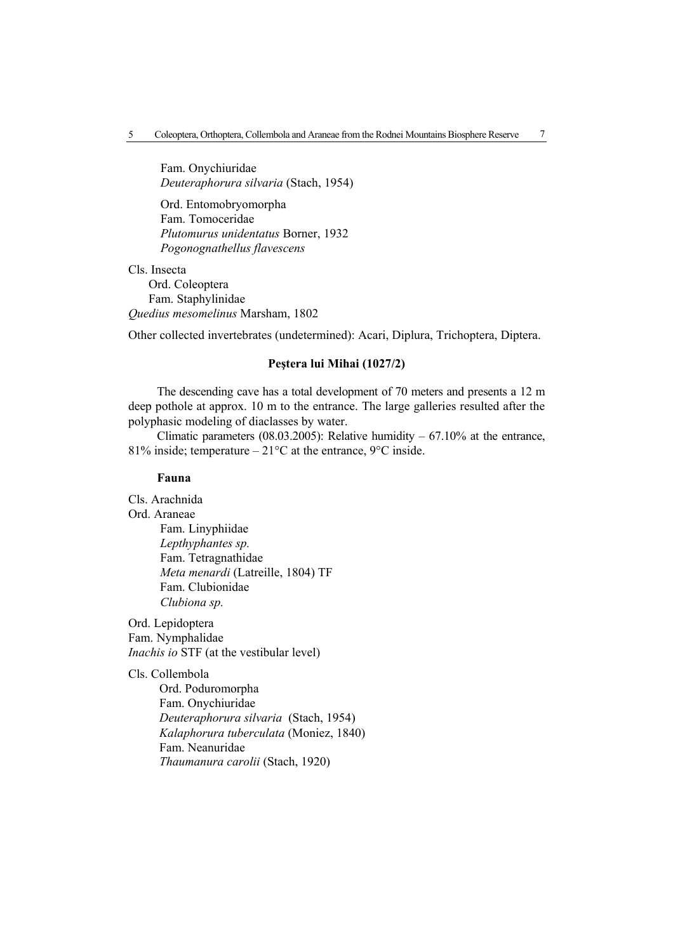Fam. Onychiuridae *Deuteraphorura silvaria* (Stach, 1954)

 Ord. Entomobryomorpha Fam. Tomoceridae *Plutomurus unidentatus* Borner, 1932 *Pogonognathellus flavescens* 

Cls. Insecta Ord. Coleoptera Fam. Staphylinidae *Quedius mesomelinus* Marsham, 1802

Other collected invertebrates (undetermined): Acari, Diplura, Trichoptera, Diptera.

# **Peştera lui Mihai (1027/2)**

The descending cave has a total development of 70 meters and presents a 12 m deep pothole at approx. 10 m to the entrance. The large galleries resulted after the polyphasic modeling of diaclasses by water.

Climatic parameters (08.03.2005): Relative humidity  $-67.10\%$  at the entrance, 81% inside; temperature –  $21^{\circ}$ C at the entrance, 9 $^{\circ}$ C inside.

# **Fauna**

Cls. Arachnida

Ord. Araneae

 Fam. Linyphiidae *Lepthyphantes sp.* Fam. Tetragnathidae *Meta menardi* (Latreille, 1804) TF Fam. Clubionidae *Clubiona sp.* 

Ord. Lepidoptera Fam. Nymphalidae *Inachis io* STF (at the vestibular level)

Cls. Collembola

 Ord. Poduromorpha Fam. Onychiuridae *Deuteraphorura silvaria* (Stach, 1954) *Kalaphorura tuberculata* (Moniez, 1840) Fam. Neanuridae *Thaumanura carolii* (Stach, 1920)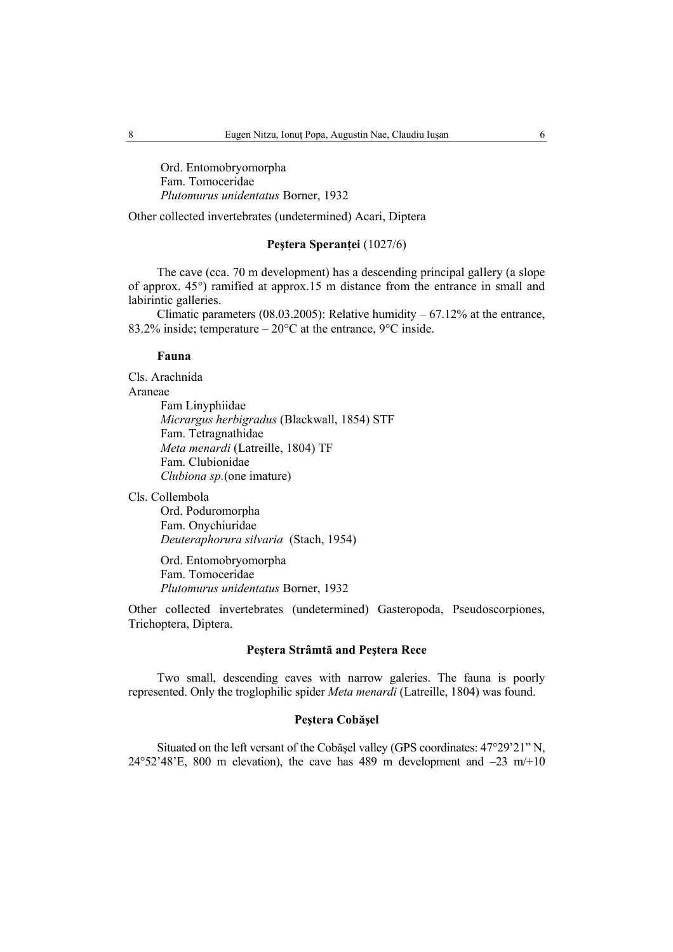Ord. Entomobryomorpha Fam. Tomoceridae *Plutomurus unidentatus* Borner, 1932

Other collected invertebrates (undetermined) Acari, Diptera

# **Peştera Speranţei** (1027/6)

The cave (cca. 70 m development) has a descending principal gallery (a slope of approx. 45°) ramified at approx.15 m distance from the entrance in small and labirintic galleries.

Climatic parameters  $(08.03.2005)$ : Relative humidity – 67.12% at the entrance, 83.2% inside; temperature –  $20^{\circ}$ C at the entrance,  $9^{\circ}$ C inside.

### **Fauna**

Cls. Arachnida Araneae Fam Linyphiidae *Micrargus herbigradus* (Blackwall, 1854) STF Fam. Tetragnathidae *Meta menardi* (Latreille, 1804) TF Fam. Clubionidae  *Clubiona sp.*(one imature)

Cls. Collembola

 Ord. Poduromorpha Fam. Onychiuridae *Deuteraphorura silvaria* (Stach, 1954)

 Ord. Entomobryomorpha Fam. Tomoceridae *Plutomurus unidentatus* Borner, 1932

Other collected invertebrates (undetermined) Gasteropoda, Pseudoscorpiones, Trichoptera, Diptera.

# **Peştera Strâmtă and Peştera Rece**

Two small, descending caves with narrow galeries. The fauna is poorly represented. Only the troglophilic spider *Meta menardi* (Latreille, 1804) was found.

### **Peştera Cobăşel**

Situated on the left versant of the Cobăşel valley (GPS coordinates: 47°29'21" N, 24°52'48'E, 800 m elevation), the cave has 489 m development and  $-23$  m/+10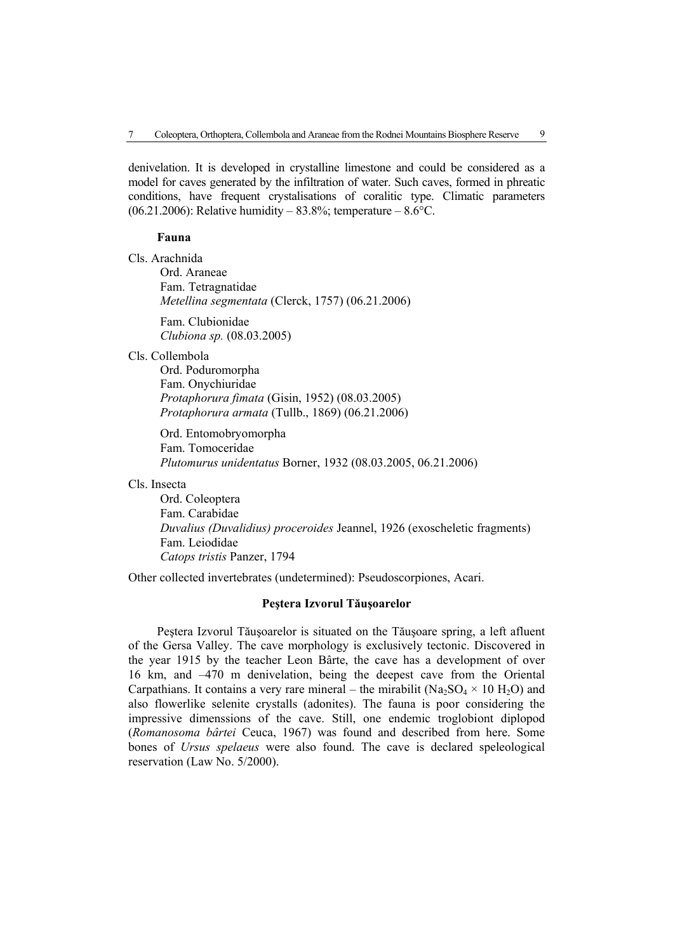denivelation. It is developed in crystalline limestone and could be considered as a model for caves generated by the infiltration of water. Such caves, formed in phreatic conditions, have frequent crystalisations of coralitic type. Climatic parameters  $(06.21.2006)$ : Relative humidity – 83.8%; temperature – 8.6°C.

### **Fauna**

Cls. Arachnida Ord. Araneae Fam. Tetragnatidae  *Metellina segmentata* (Clerck, 1757) (06.21.2006) Fam. Clubionidae

*Clubiona sp.* (08.03.2005)

Cls. Collembola

 Ord. Poduromorpha Fam. Onychiuridae *Protaphorura fimata* (Gisin, 1952) (08.03.2005)  *Protaphorura armata* (Tullb., 1869) (06.21.2006)

 Ord. Entomobryomorpha Fam. Tomoceridae *Plutomurus unidentatus* Borner, 1932 (08.03.2005, 06.21.2006)

Cls. Insecta

 Ord. Coleoptera Fam. Carabidae  *Duvalius (Duvalidius) proceroides* Jeannel, 1926 (exoscheletic fragments) Fam. Leiodidae  *Catops tristis* Panzer, 1794

Other collected invertebrates (undetermined): Pseudoscorpiones, Acari.

### **Peştera Izvorul Tăuşoarelor**

Peştera Izvorul Tăuşoarelor is situated on the Tăuşoare spring, a left afluent of the Gersa Valley. The cave morphology is exclusively tectonic. Discovered in the year 1915 by the teacher Leon Bârte, the cave has a development of over 16 km, and –470 m denivelation, being the deepest cave from the Oriental Carpathians. It contains a very rare mineral – the mirabilit ( $Na<sub>2</sub>SO<sub>4</sub> \times 10 H<sub>2</sub>O$ ) and also flowerlike selenite crystalls (adonites). The fauna is poor considering the impressive dimenssions of the cave. Still, one endemic troglobiont diplopod (*Romanosoma bârtei* Ceuca, 1967) was found and described from here. Some bones of *Ursus spelaeus* were also found. The cave is declared speleological reservation (Law No. 5/2000).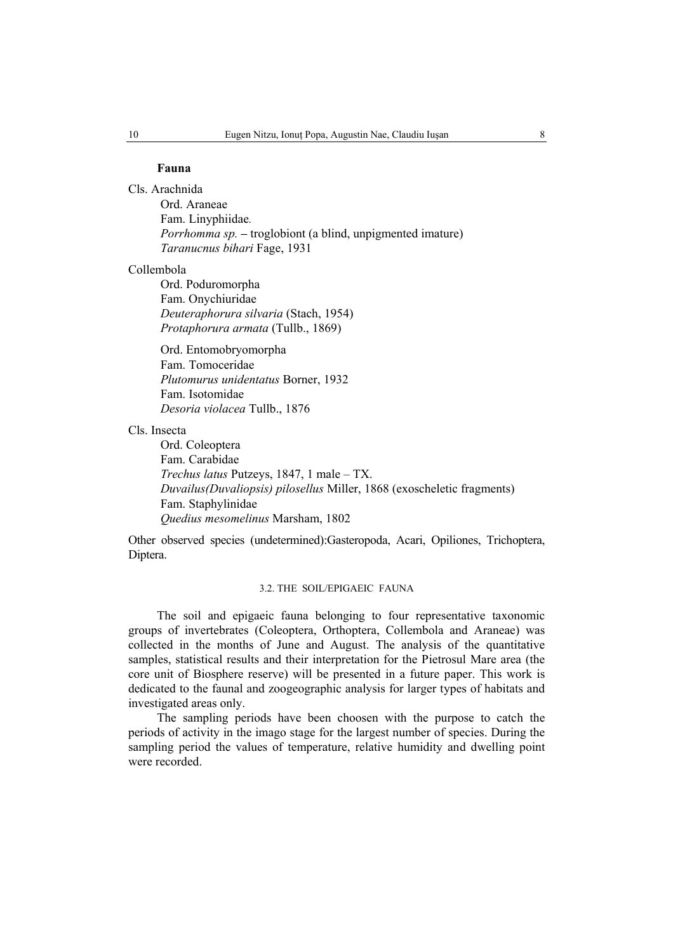### **Fauna**

Cls. Arachnida

 Ord. Araneae Fam. Linyphiidae*. Porrhomma sp.* – troglobiont (a blind, unpigmented imature)  *Taranucnus bihari* Fage, 1931

### Collembola

 Ord. Poduromorpha Fam. Onychiuridae *Deuteraphorura silvaria* (Stach, 1954) *Protaphorura armata* (Tullb., 1869)

 Ord. Entomobryomorpha Fam. Tomoceridae *Plutomurus unidentatus* Borner, 1932 Fam. Isotomidae *Desoria violacea* Tullb., 1876

Cls. Insecta

 Ord. Coleoptera Fam. Carabidae  *Trechus latus* Putzeys, 1847, 1 male – TX.  *Duvailus(Duvaliopsis) pilosellus* Miller, 1868 (exoscheletic fragments) Fam. Staphylinidae  *Quedius mesomelinus* Marsham, 1802

Other observed species (undetermined):Gasteropoda, Acari, Opiliones, Trichoptera, Diptera.

# 3.2. THE SOIL/EPIGAEIC FAUNA

The soil and epigaeic fauna belonging to four representative taxonomic groups of invertebrates (Coleoptera, Orthoptera, Collembola and Araneae) was collected in the months of June and August. The analysis of the quantitative samples, statistical results and their interpretation for the Pietrosul Mare area (the core unit of Biosphere reserve) will be presented in a future paper. This work is dedicated to the faunal and zoogeographic analysis for larger types of habitats and investigated areas only.

The sampling periods have been choosen with the purpose to catch the periods of activity in the imago stage for the largest number of species. During the sampling period the values of temperature, relative humidity and dwelling point were recorded.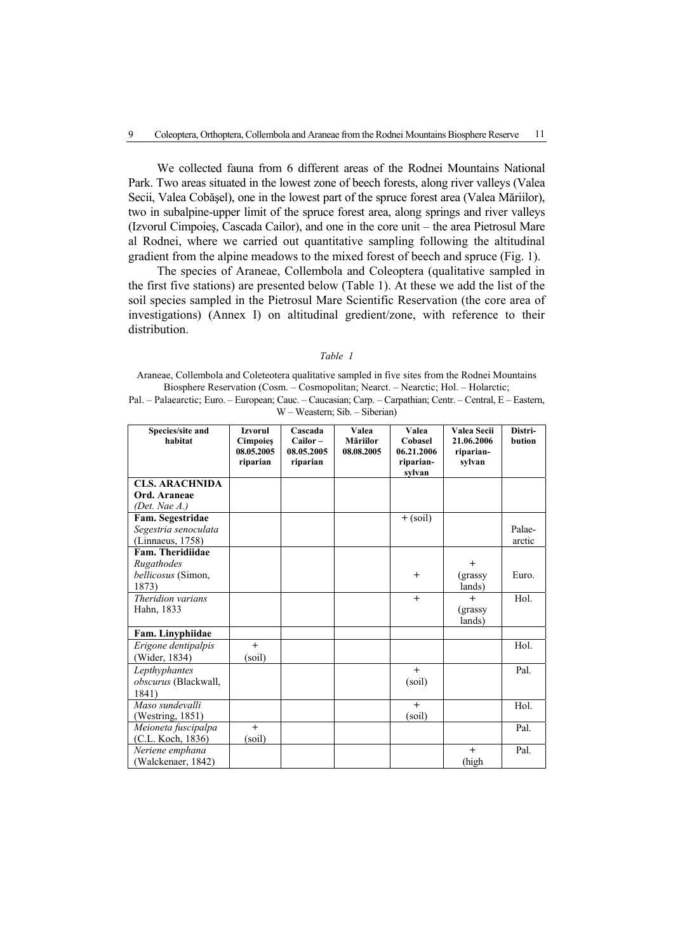We collected fauna from 6 different areas of the Rodnei Mountains National Park. Two areas situated in the lowest zone of beech forests, along river valleys (Valea Secii, Valea Cobăşel), one in the lowest part of the spruce forest area (Valea Măriilor), two in subalpine-upper limit of the spruce forest area, along springs and river valleys (Izvorul Cimpoieş, Cascada Cailor), and one in the core unit – the area Pietrosul Mare al Rodnei, where we carried out quantitative sampling following the altitudinal gradient from the alpine meadows to the mixed forest of beech and spruce (Fig. 1).

The species of Araneae, Collembola and Coleoptera (qualitative sampled in the first five stations) are presented below (Table 1). At these we add the list of the soil species sampled in the Pietrosul Mare Scientific Reservation (the core area of investigations) (Annex I) on altitudinal gredient/zone, with reference to their distribution.

*Table 1* 

Araneae, Collembola and Coleteotera qualitative sampled in five sites from the Rodnei Mountains Biosphere Reservation (Cosm. – Cosmopolitan; Nearct. – Nearctic; Hol. – Holarctic; Pal. – Palaearctic; Euro. – European; Cauc. – Caucasian; Carp. – Carpathian; Centr. – Central, E – Eastern, W – Weastern; Sib. – Siberian)

| Species/site and<br>habitat | <b>Izvorul</b><br><b>Cimpoies</b><br>08.05.2005<br>riparian | Cascada<br>$Cailor -$<br>08.05.2005<br>riparian | Valea<br>Măriilor<br>08.08.2005 | Valea<br>Cobasel<br>06.21.2006<br>riparian-<br>sylvan | Valea Secii<br>21.06.2006<br>riparian-<br>sylvan | Distri-<br><b>bution</b> |
|-----------------------------|-------------------------------------------------------------|-------------------------------------------------|---------------------------------|-------------------------------------------------------|--------------------------------------------------|--------------------------|
| <b>CLS. ARACHNIDA</b>       |                                                             |                                                 |                                 |                                                       |                                                  |                          |
| Ord. Araneae                |                                                             |                                                 |                                 |                                                       |                                                  |                          |
| (Det. Nae A.)               |                                                             |                                                 |                                 |                                                       |                                                  |                          |
| Fam. Segestridae            |                                                             |                                                 |                                 | $+$ (soil)                                            |                                                  |                          |
| Segestria senoculata        |                                                             |                                                 |                                 |                                                       |                                                  | Palae-                   |
| (Linnaeus, 1758)            |                                                             |                                                 |                                 |                                                       |                                                  | arctic                   |
| Fam. Theridiidae            |                                                             |                                                 |                                 |                                                       |                                                  |                          |
| Rugathodes                  |                                                             |                                                 |                                 |                                                       | $^{+}$                                           |                          |
| bellicosus (Simon,          |                                                             |                                                 |                                 | $^{+}$                                                | (grassy                                          | Euro.                    |
| 1873)                       |                                                             |                                                 |                                 |                                                       | lands)                                           |                          |
| Theridion varians           |                                                             |                                                 |                                 | $+$                                                   | $+$                                              | Hol.                     |
| Hahn, 1833                  |                                                             |                                                 |                                 |                                                       | (grassy                                          |                          |
|                             |                                                             |                                                 |                                 |                                                       | lands)                                           |                          |
| Fam. Linyphiidae            |                                                             |                                                 |                                 |                                                       |                                                  |                          |
| Erigone dentipalpis         | $+$                                                         |                                                 |                                 |                                                       |                                                  | Hol.                     |
| (Wider, 1834)               | (soil)                                                      |                                                 |                                 |                                                       |                                                  |                          |
| Lepthyphantes               |                                                             |                                                 |                                 | $+$                                                   |                                                  | Pal.                     |
| obscurus (Blackwall,        |                                                             |                                                 |                                 | (soil)                                                |                                                  |                          |
| 1841)                       |                                                             |                                                 |                                 |                                                       |                                                  |                          |
| Maso sundevalli             |                                                             |                                                 |                                 | $+$                                                   |                                                  | Hol.                     |
| (Westring, 1851)            |                                                             |                                                 |                                 | (soil)                                                |                                                  |                          |
| Meioneta fuscipalpa         | $+$                                                         |                                                 |                                 |                                                       |                                                  | Pal.                     |
| (C.L. Koch, 1836)           | (soil)                                                      |                                                 |                                 |                                                       |                                                  |                          |
| Neriene emphana             |                                                             |                                                 |                                 |                                                       | $+$                                              | Pal.                     |
| (Walckenaer, 1842)          |                                                             |                                                 |                                 |                                                       | (high                                            |                          |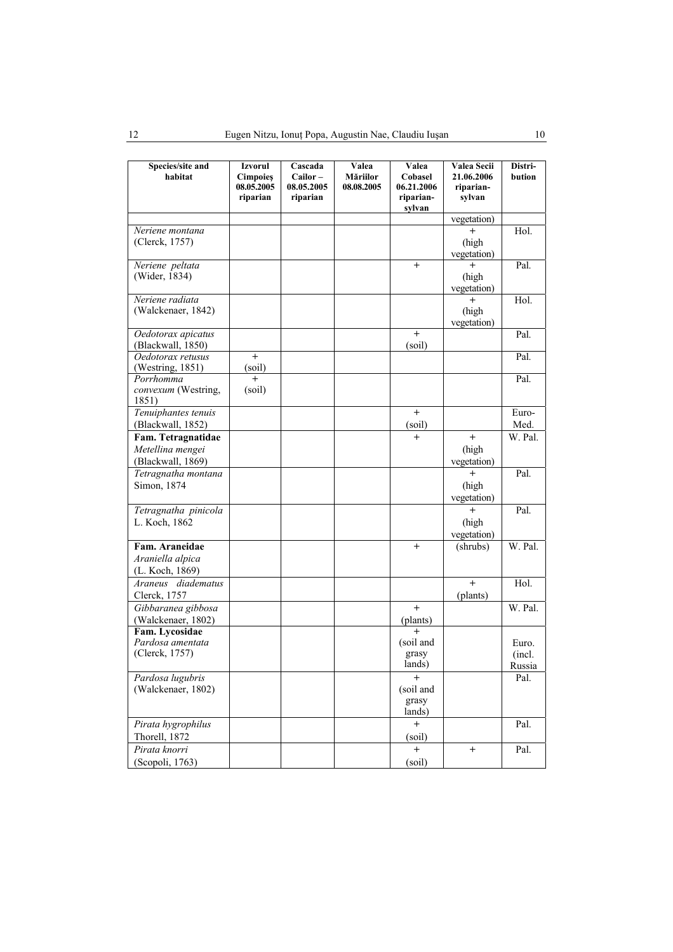| Species/site and<br>habitat                                 | Izvorul<br><b>Cimpoies</b><br>08.05.2005<br>riparian | Cascada<br>Cailor-<br>08.05.2005<br>riparian | Valea<br><b>Măriilor</b><br>08.08.2005 | Valea<br>Cobasel<br>06.21.2006<br>riparian-<br>sylvan | Valea Secii<br>21.06.2006<br>riparian-<br>sylvan | Distri-<br>bution         |
|-------------------------------------------------------------|------------------------------------------------------|----------------------------------------------|----------------------------------------|-------------------------------------------------------|--------------------------------------------------|---------------------------|
|                                                             |                                                      |                                              |                                        |                                                       | vegetation)                                      |                           |
| Neriene montana<br>(Clerck, 1757)                           |                                                      |                                              |                                        |                                                       | (high<br>vegetation)                             | Hol.                      |
| Neriene peltata<br>(Wider, 1834)                            |                                                      |                                              |                                        | $+$                                                   | $+$<br>(high<br>vegetation)                      | Pal.                      |
| Neriene radiata<br>(Walckenaer, 1842)                       |                                                      |                                              |                                        |                                                       | (high<br>vegetation)                             | Hol.                      |
| Oedotorax apicatus<br>(Blackwall, 1850)                     |                                                      |                                              |                                        | $+$<br>(soil)                                         |                                                  | Pal.                      |
| Oedotorax retusus<br>(Westring, 1851)                       | $+$<br>(soil)                                        |                                              |                                        |                                                       |                                                  | Pal.                      |
| Porrhomma<br>convexum (Westring,<br>1851)                   | $\ddot{}$<br>(soil)                                  |                                              |                                        |                                                       |                                                  | Pal.                      |
| Tenuiphantes tenuis<br>(Blackwall, 1852)                    |                                                      |                                              |                                        | $+$<br>(soil)                                         |                                                  | Euro-<br>Med.             |
| Fam. Tetragnatidae<br>Metellina mengei<br>(Blackwall, 1869) |                                                      |                                              |                                        | $+$                                                   | $+$<br>(high<br>vegetation)                      | W. Pal.                   |
| Tetragnatha montana<br>Simon, 1874                          |                                                      |                                              |                                        |                                                       | $+$<br>(high<br>vegetation)                      | Pal.                      |
| Tetragnatha pinicola<br>L. Koch, 1862                       |                                                      |                                              |                                        |                                                       | $\overline{+}$<br>(high<br>vegetation)           | Pal.                      |
| Fam. Araneidae<br>Araniella alpica<br>(L. Koch, 1869)       |                                                      |                                              |                                        | $+$                                                   | (shrubs)                                         | W. Pal.                   |
| Araneus diadematus<br>Clerck, 1757                          |                                                      |                                              |                                        |                                                       | $+$<br>(plants)                                  | Hol.                      |
| Gibbaranea gibbosa<br>(Walckenaer, 1802)                    |                                                      |                                              |                                        | $+$<br>(plants)                                       |                                                  | W. Pal.                   |
| Fam. Lycosidae<br>Pardosa amentata<br>(Clerck, 1757)        |                                                      |                                              |                                        | $+$<br>(soil and<br>grasy<br>lands)                   |                                                  | Euro.<br>(incl.<br>Russia |
| Pardosa lugubris<br>(Walckenaer, 1802)                      |                                                      |                                              |                                        | $+$<br>(soil and<br>grasy<br>lands)                   |                                                  | Pal.                      |
| Pirata hygrophilus<br>Thorell, 1872                         |                                                      |                                              |                                        | $+$<br>(soil)                                         |                                                  | Pal.                      |
| Pirata knorri<br>(Scopoli, 1763)                            |                                                      |                                              |                                        | $+$<br>(soil)                                         | $+$                                              | Pal.                      |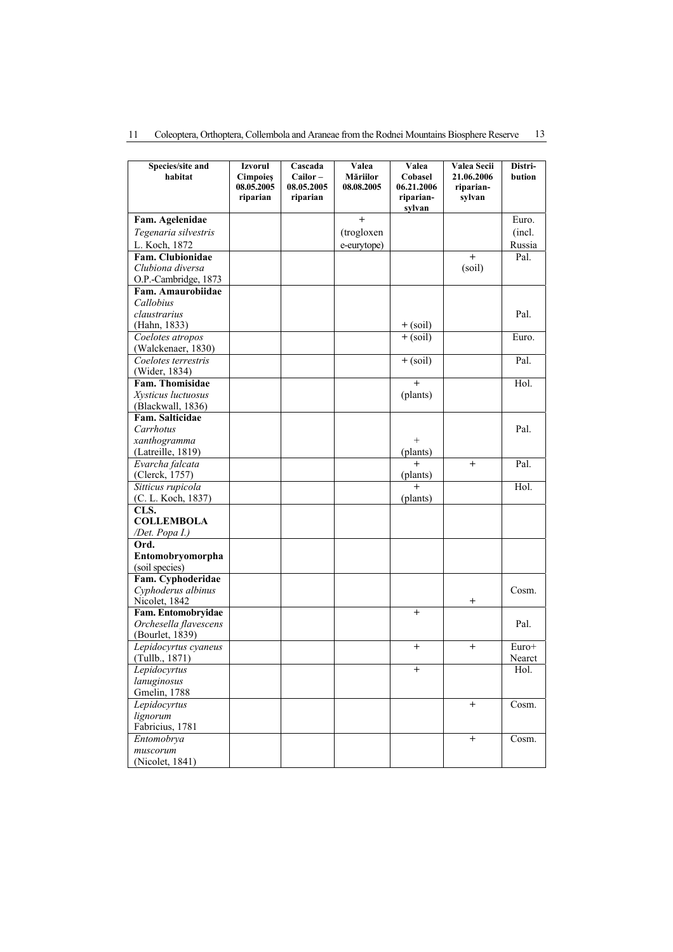|  |  |  |  |  |  |  | Coleoptera, Orthoptera, Collembola and Araneae from the Rodnei Mountains Biosphere Reserve 13 |  |
|--|--|--|--|--|--|--|-----------------------------------------------------------------------------------------------|--|
|--|--|--|--|--|--|--|-----------------------------------------------------------------------------------------------|--|

| Species/site and<br>habitat | Izvorul<br><b>Cimpoies</b><br>08.05.2005<br>riparian | Cascada<br>Cailor-<br>08.05.2005<br>riparian | Valea<br><b>Măriilor</b><br>08.08.2005 | Valea<br>Cobasel<br>06.21.2006<br>riparian-<br>sylvan | Valea Secii<br>21.06.2006<br>riparian-<br>sylvan | Distri-<br>bution |
|-----------------------------|------------------------------------------------------|----------------------------------------------|----------------------------------------|-------------------------------------------------------|--------------------------------------------------|-------------------|
| Fam. Agelenidae             |                                                      |                                              | $^{+}$                                 |                                                       |                                                  | Euro.             |
| Tegenaria silvestris        |                                                      |                                              | (trogloxen                             |                                                       |                                                  | (incl.            |
| L. Koch, 1872               |                                                      |                                              | e-eurytope)                            |                                                       |                                                  | Russia            |
| Fam. Clubionidae            |                                                      |                                              |                                        |                                                       | $^{+}$                                           | Pal.              |
| Clubiona diversa            |                                                      |                                              |                                        |                                                       | (soil)                                           |                   |
| O.P.-Cambridge, 1873        |                                                      |                                              |                                        |                                                       |                                                  |                   |
| Fam. Amaurobiidae           |                                                      |                                              |                                        |                                                       |                                                  |                   |
| Callobius                   |                                                      |                                              |                                        |                                                       |                                                  |                   |
| claustrarius                |                                                      |                                              |                                        |                                                       |                                                  | Pal.              |
| (Hahn, 1833)                |                                                      |                                              |                                        |                                                       |                                                  |                   |
| Coelotes atropos            |                                                      |                                              |                                        | $+\left(\frac{1}{\text{sol}}\right)$                  |                                                  | Euro.             |
| (Walckenaer, 1830)          |                                                      |                                              |                                        |                                                       |                                                  |                   |
| Coelotes terrestris         |                                                      |                                              |                                        | $+$ (soil)                                            |                                                  | Pal.              |
| (Wider, 1834)               |                                                      |                                              |                                        |                                                       |                                                  |                   |
| Fam. Thomisidae             |                                                      |                                              |                                        | $\ddot{}$                                             |                                                  | Hol.              |
| Xysticus luctuosus          |                                                      |                                              |                                        | (plants)                                              |                                                  |                   |
| (Blackwall, 1836)           |                                                      |                                              |                                        |                                                       |                                                  |                   |
| Fam. Salticidae             |                                                      |                                              |                                        |                                                       |                                                  |                   |
| Carrhotus                   |                                                      |                                              |                                        |                                                       |                                                  | Pal.              |
| xanthogramma                |                                                      |                                              |                                        | $\! + \!\!\!\!$                                       |                                                  |                   |
| (Latreille, 1819)           |                                                      |                                              |                                        | (plants)                                              |                                                  |                   |
| Evarcha falcata             |                                                      |                                              |                                        | $+$                                                   | $^{+}$                                           | Pal.              |
| (Clerck, 1757)              |                                                      |                                              |                                        | (plants)                                              |                                                  |                   |
| Sitticus rupicola           |                                                      |                                              |                                        | $^{+}$                                                |                                                  | Hol.              |
| (C. L. Koch, 1837)          |                                                      |                                              |                                        | (plants)                                              |                                                  |                   |
| CLS.                        |                                                      |                                              |                                        |                                                       |                                                  |                   |
| <b>COLLEMBOLA</b>           |                                                      |                                              |                                        |                                                       |                                                  |                   |
| /Det. Popa I.)              |                                                      |                                              |                                        |                                                       |                                                  |                   |
| Ord.                        |                                                      |                                              |                                        |                                                       |                                                  |                   |
| Entomobryomorpha            |                                                      |                                              |                                        |                                                       |                                                  |                   |
| (soil species)              |                                                      |                                              |                                        |                                                       |                                                  |                   |
| Fam. Cyphoderidae           |                                                      |                                              |                                        |                                                       |                                                  |                   |
| Cyphoderus albinus          |                                                      |                                              |                                        |                                                       |                                                  | Cosm.             |
| Nicolet, 1842               |                                                      |                                              |                                        |                                                       | $^{\mathrm{+}}$                                  |                   |
| Fam. Entomobryidae          |                                                      |                                              |                                        | $^{+}$                                                |                                                  |                   |
| Orchesella flavescens       |                                                      |                                              |                                        |                                                       |                                                  | Pal.              |
| (Bourlet, 1839)             |                                                      |                                              |                                        |                                                       |                                                  |                   |
| Lepidocyrtus cyaneus        |                                                      |                                              |                                        | $^{+}$                                                | $+$                                              | Euro+             |
| (Tullb., 1871)              |                                                      |                                              |                                        |                                                       |                                                  | Nearct            |
| Lepidocyrtus                |                                                      |                                              |                                        | $^{+}$                                                |                                                  | Hol.              |
| lanuginosus                 |                                                      |                                              |                                        |                                                       |                                                  |                   |
| Gmelin, 1788                |                                                      |                                              |                                        |                                                       |                                                  |                   |
| Lepidocyrtus                |                                                      |                                              |                                        |                                                       | $+$                                              | Cosm.             |
| lignorum                    |                                                      |                                              |                                        |                                                       |                                                  |                   |
| Fabricius, 1781             |                                                      |                                              |                                        |                                                       |                                                  |                   |
| Entomobrya                  |                                                      |                                              |                                        |                                                       | $\boldsymbol{+}$                                 | Cosm.             |
| muscorum                    |                                                      |                                              |                                        |                                                       |                                                  |                   |
| (Nicolet, 1841)             |                                                      |                                              |                                        |                                                       |                                                  |                   |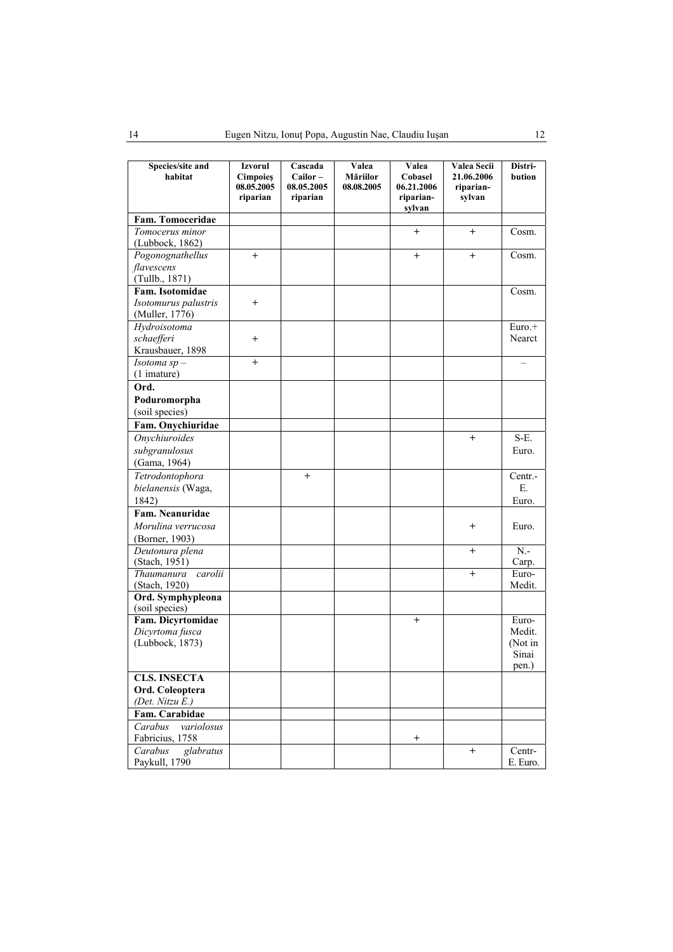| Species/site and      | <b>Izvorul</b>  | Cascada    | Valea      | Valea               | Valea Secii | Distri-  |
|-----------------------|-----------------|------------|------------|---------------------|-------------|----------|
| habitat               | <b>Cimpoies</b> | $Cailor -$ | Măriilor   | Cobasel             | 21.06.2006  | bution   |
|                       | 08.05.2005      | 08.05.2005 | 08.08.2005 | 06.21.2006          | riparian-   |          |
|                       | riparian        | riparian   |            | riparian-<br>sylvan | sylvan      |          |
| Fam. Tomoceridae      |                 |            |            |                     |             |          |
| Tomocerus minor       |                 |            |            | $\mathrm{+}$        | $^{+}$      | Cosm.    |
| (Lubbock, 1862)       |                 |            |            |                     |             |          |
| Pogonognathellus      | $+$             |            |            | $^{+}$              | $^{+}$      | Cosm.    |
| flavescens            |                 |            |            |                     |             |          |
| (Tullb., 1871)        |                 |            |            |                     |             |          |
| Fam. Isotomidae       |                 |            |            |                     |             | Cosm.    |
| Isotomurus palustris  | $\overline{+}$  |            |            |                     |             |          |
| (Muller, 1776)        |                 |            |            |                     |             |          |
| Hydroisotoma          |                 |            |            |                     |             | Euro.+   |
| schaefferi            | $^{+}$          |            |            |                     |             | Nearct   |
| Krausbauer, 1898      |                 |            |            |                     |             |          |
| Isotoma $sp-$         | $+$             |            |            |                     |             |          |
| $(1$ imature)         |                 |            |            |                     |             |          |
| Ord.                  |                 |            |            |                     |             |          |
| Poduromorpha          |                 |            |            |                     |             |          |
| (soil species)        |                 |            |            |                     |             |          |
| Fam. Onychiuridae     |                 |            |            |                     |             |          |
| Onychiuroides         |                 |            |            |                     | $+$         | S-E.     |
| subgranulosus         |                 |            |            |                     |             | Euro.    |
| (Gama, 1964)          |                 |            |            |                     |             |          |
| Tetrodontophora       |                 | $^{+}$     |            |                     |             | Centr.-  |
| bielanensis (Waga,    |                 |            |            |                     |             | Е.       |
| 1842)                 |                 |            |            |                     |             | Euro.    |
| Fam. Neanuridae       |                 |            |            |                     |             |          |
| Morulina verrucosa    |                 |            |            |                     | $^{+}$      | Euro.    |
| (Borner, 1903)        |                 |            |            |                     |             |          |
| Deutonura plena       |                 |            |            |                     | $^{+}$      | $N -$    |
| (Stach, 1951)         |                 |            |            |                     |             | Carp.    |
| carolii<br>Thaumanura |                 |            |            |                     | $+$         | Euro-    |
| (Stach, 1920)         |                 |            |            |                     |             | Medit.   |
| Ord. Symphypleona     |                 |            |            |                     |             |          |
| (soil species)        |                 |            |            |                     |             |          |
| Fam. Dicyrtomidae     |                 |            |            | $+$                 |             | Euro-    |
| Dicyrtoma fusca       |                 |            |            |                     |             | Medit.   |
| (Lubbock, 1873)       |                 |            |            |                     |             | (Not in  |
|                       |                 |            |            |                     |             | Sinai    |
|                       |                 |            |            |                     |             | pen.)    |
| <b>CLS. INSECTA</b>   |                 |            |            |                     |             |          |
| Ord. Coleoptera       |                 |            |            |                     |             |          |
| (Det. Nitzu E.)       |                 |            |            |                     |             |          |
| Fam. Carabidae        |                 |            |            |                     |             |          |
| Carabus<br>variolosus |                 |            |            |                     |             |          |
| Fabricius, 1758       |                 |            |            | $^{+}$              |             |          |
| Carabus<br>glabratus  |                 |            |            |                     | $^{+}$      | Centr-   |
| Paykull, 1790         |                 |            |            |                     |             | E. Euro. |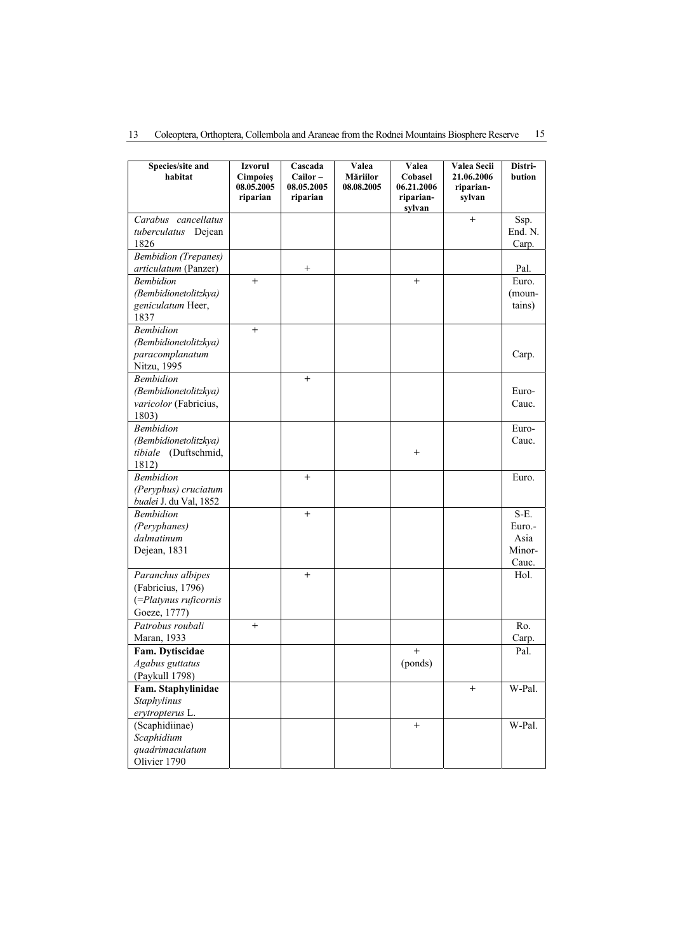|  |  |  | 13 Coleoptera, Orthoptera, Collembola and Araneae from the Rodnei Mountains Biosphere Reserve 15 |  |  |  |  |  |  |
|--|--|--|--------------------------------------------------------------------------------------------------|--|--|--|--|--|--|
|--|--|--|--------------------------------------------------------------------------------------------------|--|--|--|--|--|--|

| Species/site and<br>habitat              | Izvorul                                   | Cascada<br>Cailor-     | Valea<br><b>Măriilor</b> | Valea                                        | Valea Secii<br>21.06.2006 | Distri-<br>bution |
|------------------------------------------|-------------------------------------------|------------------------|--------------------------|----------------------------------------------|---------------------------|-------------------|
|                                          | <b>Cimpoies</b><br>08.05.2005<br>riparian | 08.05.2005<br>riparian | 08.08.2005               | Cobasel<br>06.21.2006<br>riparian-<br>sylvan | riparian-<br>sylvan       |                   |
| Carabus cancellatus                      |                                           |                        |                          |                                              | $+$                       | Ssp.              |
| tuberculatus Dejean                      |                                           |                        |                          |                                              |                           | End. N.           |
| 1826                                     |                                           |                        |                          |                                              |                           | Carp.             |
| <b>Bembidion</b> (Trepanes)              |                                           |                        |                          |                                              |                           |                   |
| articulatum (Panzer)                     |                                           | $^{+}$                 |                          |                                              |                           | Pal.              |
| <b>Bembidion</b>                         | $^{+}$                                    |                        |                          | $+$                                          |                           | Euro.             |
| (Bembidionetolitzkya)                    |                                           |                        |                          |                                              |                           | (moun-            |
| geniculatum Heer,                        |                                           |                        |                          |                                              |                           | tains)            |
| 1837                                     |                                           |                        |                          |                                              |                           |                   |
| <b>Bembidion</b>                         | $^{+}$                                    |                        |                          |                                              |                           |                   |
| (Bembidionetolitzkya)<br>paracomplanatum |                                           |                        |                          |                                              |                           | Carp.             |
| Nitzu, 1995                              |                                           |                        |                          |                                              |                           |                   |
| <b>Bembidion</b>                         |                                           | $^{+}$                 |                          |                                              |                           |                   |
| (Bembidionetolitzkya)                    |                                           |                        |                          |                                              |                           | Euro-             |
| varicolor (Fabricius,                    |                                           |                        |                          |                                              |                           | Cauc.             |
| 1803)                                    |                                           |                        |                          |                                              |                           |                   |
| <b>Bembidion</b>                         |                                           |                        |                          |                                              |                           | Euro-             |
| (Bembidionetolitzkya)                    |                                           |                        |                          |                                              |                           | Cauc.             |
| tibiale (Duftschmid,                     |                                           |                        |                          | $^{+}$                                       |                           |                   |
| 1812)                                    |                                           |                        |                          |                                              |                           |                   |
| <b>Bembidion</b>                         |                                           | $^{+}$                 |                          |                                              |                           | Euro.             |
| (Peryphus) cruciatum                     |                                           |                        |                          |                                              |                           |                   |
| bualei J. du Val, 1852                   |                                           |                        |                          |                                              |                           |                   |
| <b>Bembidion</b>                         |                                           | $^{+}$                 |                          |                                              |                           | S-E.              |
| (Peryphanes)                             |                                           |                        |                          |                                              |                           | Euro.-            |
| dalmatinum                               |                                           |                        |                          |                                              |                           | Asia              |
| Dejean, 1831                             |                                           |                        |                          |                                              |                           | Minor-            |
| Paranchus albipes                        |                                           | $^{+}$                 |                          |                                              |                           | Cauc.<br>Hol.     |
| (Fabricius, 1796)                        |                                           |                        |                          |                                              |                           |                   |
| (=Platynus ruficornis                    |                                           |                        |                          |                                              |                           |                   |
| Goeze, 1777)                             |                                           |                        |                          |                                              |                           |                   |
| Patrobus roubali                         | $^{+}$                                    |                        |                          |                                              |                           | Ro.               |
| Maran, 1933                              |                                           |                        |                          |                                              |                           | Carp.             |
| Fam. Dytiscidae                          |                                           |                        |                          | $^{+}$                                       |                           | Pal.              |
| Agabus guttatus                          |                                           |                        |                          | (ponds)                                      |                           |                   |
| (Paykull 1798)                           |                                           |                        |                          |                                              |                           |                   |
| Fam. Staphylinidae                       |                                           |                        |                          |                                              | $^{+}$                    | W-Pal.            |
| Staphylinus                              |                                           |                        |                          |                                              |                           |                   |
| erytropterus L.                          |                                           |                        |                          |                                              |                           |                   |
| (Scaphidiinae)                           |                                           |                        |                          | $\boldsymbol{+}$                             |                           | W-Pal.            |
| Scaphidium                               |                                           |                        |                          |                                              |                           |                   |
| quadrimaculatum                          |                                           |                        |                          |                                              |                           |                   |
| Olivier 1790                             |                                           |                        |                          |                                              |                           |                   |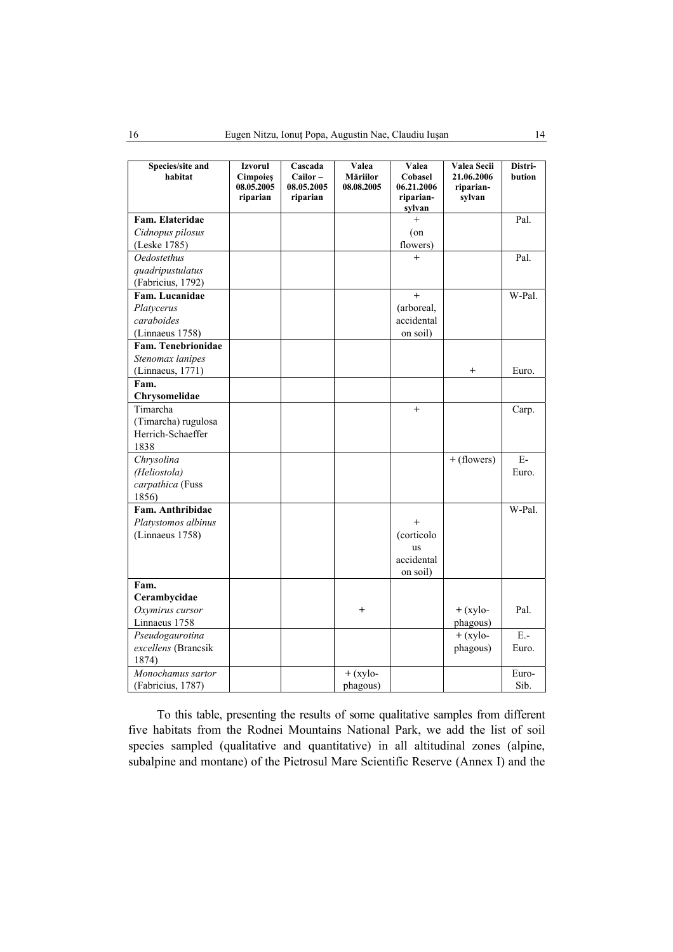| Species/site and<br>habitat | Izvorul<br><b>Cimpoies</b> | Cascada<br>Cailor-     | Valea<br><b>Măriilor</b> | Valea<br>Cobasel                  | Valea Secii<br>21.06.2006 | Distri-<br>bution |
|-----------------------------|----------------------------|------------------------|--------------------------|-----------------------------------|---------------------------|-------------------|
|                             | 08.05.2005<br>riparian     | 08.05.2005<br>riparian | 08.08.2005               | 06.21.2006<br>riparian-<br>sylvan | riparian-<br>sylvan       |                   |
| Fam. Elateridae             |                            |                        |                          | $^{+}$                            |                           | Pal.              |
| Cidnopus pilosus            |                            |                        |                          | $($ on                            |                           |                   |
| (Leske 1785)                |                            |                        |                          | flowers)                          |                           |                   |
| <b>Oedostethus</b>          |                            |                        |                          | $+$                               |                           | Pal.              |
| quadripustulatus            |                            |                        |                          |                                   |                           |                   |
| (Fabricius, 1792)           |                            |                        |                          |                                   |                           |                   |
| Fam. Lucanidae              |                            |                        |                          | $^{+}$                            |                           | W-Pal.            |
| Platycerus                  |                            |                        |                          | (arboreal,                        |                           |                   |
| caraboides                  |                            |                        |                          | accidental                        |                           |                   |
| (Linnaeus 1758)             |                            |                        |                          | on soil)                          |                           |                   |
| Fam. Tenebrionidae          |                            |                        |                          |                                   |                           |                   |
| Stenomax lanipes            |                            |                        |                          |                                   |                           |                   |
| (Linnaeus, 1771)            |                            |                        |                          |                                   | $^{+}$                    | Euro.             |
| Fam.                        |                            |                        |                          |                                   |                           |                   |
| Chrysomelidae               |                            |                        |                          |                                   |                           |                   |
| Timarcha                    |                            |                        |                          | $+$                               |                           | Carp.             |
| (Timarcha) rugulosa         |                            |                        |                          |                                   |                           |                   |
| Herrich-Schaeffer           |                            |                        |                          |                                   |                           |                   |
| 1838                        |                            |                        |                          |                                   |                           |                   |
| Chrysolina                  |                            |                        |                          |                                   | + (flowers)               | $\rm E$ -         |
| (Heliostola)                |                            |                        |                          |                                   |                           | Euro.             |
| carpathica (Fuss            |                            |                        |                          |                                   |                           |                   |
| 1856)                       |                            |                        |                          |                                   |                           |                   |
| Fam. Anthribidae            |                            |                        |                          |                                   |                           | W-Pal.            |
| Platystomos albinus         |                            |                        |                          | $+$                               |                           |                   |
| (Linnaeus 1758)             |                            |                        |                          | (corticolo                        |                           |                   |
|                             |                            |                        |                          | <b>US</b>                         |                           |                   |
|                             |                            |                        |                          | accidental                        |                           |                   |
|                             |                            |                        |                          | on soil)                          |                           |                   |
| Fam.                        |                            |                        |                          |                                   |                           |                   |
| Cerambycidae                |                            |                        |                          |                                   |                           |                   |
| Oxymirus cursor             |                            |                        | $^{+}$                   |                                   | $+$ (xylo-                | Pal.              |
| Linnaeus 1758               |                            |                        |                          |                                   | phagous)                  |                   |
| Pseudogaurotina             |                            |                        |                          |                                   | $+$ (xylo-                | $E -$             |
| excellens (Brancsik         |                            |                        |                          |                                   | phagous)                  | Euro.             |
| 1874)                       |                            |                        |                          |                                   |                           |                   |
| Monochamus sartor           |                            |                        | $+$ (xylo-               |                                   |                           | Euro-             |
| (Fabricius, 1787)           |                            |                        | phagous)                 |                                   |                           | Sib.              |

To this table, presenting the results of some qualitative samples from different five habitats from the Rodnei Mountains National Park, we add the list of soil species sampled (qualitative and quantitative) in all altitudinal zones (alpine, subalpine and montane) of the Pietrosul Mare Scientific Reserve (Annex I) and the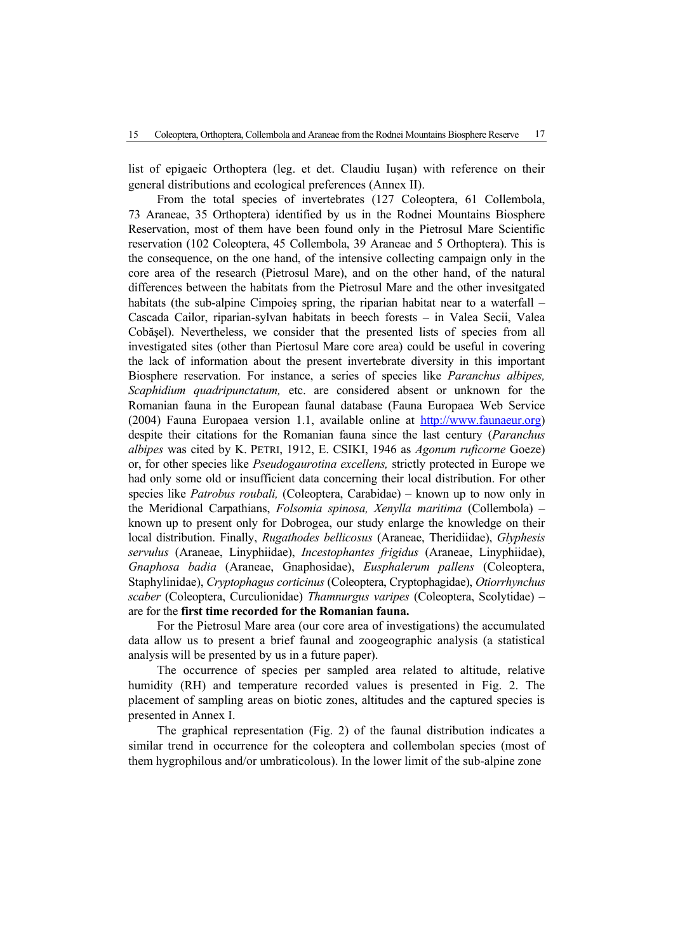list of epigaeic Orthoptera (leg. et det. Claudiu Iuşan) with reference on their general distributions and ecological preferences (Annex II).

From the total species of invertebrates (127 Coleoptera, 61 Collembola, 73 Araneae, 35 Orthoptera) identified by us in the Rodnei Mountains Biosphere Reservation, most of them have been found only in the Pietrosul Mare Scientific reservation (102 Coleoptera, 45 Collembola, 39 Araneae and 5 Orthoptera). This is the consequence, on the one hand, of the intensive collecting campaign only in the core area of the research (Pietrosul Mare), and on the other hand, of the natural differences between the habitats from the Pietrosul Mare and the other invesitgated habitats (the sub-alpine Cimpoies spring, the riparian habitat near to a waterfall – Cascada Cailor, riparian-sylvan habitats in beech forests – in Valea Secii, Valea Cobăşel). Nevertheless, we consider that the presented lists of species from all investigated sites (other than Piertosul Mare core area) could be useful in covering the lack of information about the present invertebrate diversity in this important Biosphere reservation. For instance, a series of species like *Paranchus albipes, Scaphidium quadripunctatum,* etc. are considered absent or unknown for the Romanian fauna in the European faunal database (Fauna Europaea Web Service (2004) Fauna Europaea version 1.1, available online at http://www.faunaeur.org) despite their citations for the Romanian fauna since the last century (*Paranchus albipes* was cited by K. PETRI, 1912, E. CSIKI, 1946 as *Agonum ruficorne* Goeze) or, for other species like *Pseudogaurotina excellens,* strictly protected in Europe we had only some old or insufficient data concerning their local distribution. For other species like *Patrobus roubali,* (Coleoptera, Carabidae) – known up to now only in the Meridional Carpathians, *Folsomia spinosa, Xenylla maritima* (Collembola) – known up to present only for Dobrogea, our study enlarge the knowledge on their local distribution. Finally, *Rugathodes bellicosus* (Araneae, Theridiidae), *Glyphesis servulus* (Araneae, Linyphiidae), *Incestophantes frigidus* (Araneae, Linyphiidae), *Gnaphosa badia* (Araneae, Gnaphosidae), *Eusphalerum pallens* (Coleoptera, Staphylinidae), *Cryptophagus corticinus* (Coleoptera, Cryptophagidae), *Otiorrhynchus scaber* (Coleoptera, Curculionidae) *Thamnurgus varipes* (Coleoptera, Scolytidae) – are for the **first time recorded for the Romanian fauna.** 

For the Pietrosul Mare area (our core area of investigations) the accumulated data allow us to present a brief faunal and zoogeographic analysis (a statistical analysis will be presented by us in a future paper).

The occurrence of species per sampled area related to altitude, relative humidity (RH) and temperature recorded values is presented in Fig. 2. The placement of sampling areas on biotic zones, altitudes and the captured species is presented in Annex I.

The graphical representation (Fig. 2) of the faunal distribution indicates a similar trend in occurrence for the coleoptera and collembolan species (most of them hygrophilous and/or umbraticolous). In the lower limit of the sub-alpine zone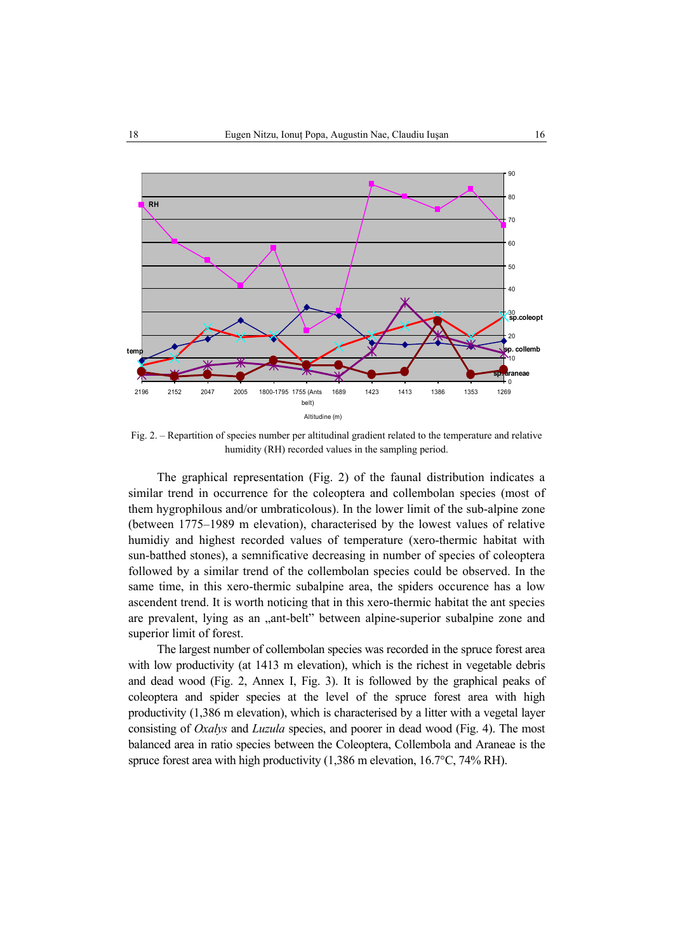

Fig. 2. – Repartition of species number per altitudinal gradient related to the temperature and relative humidity (RH) recorded values in the sampling period.

The graphical representation (Fig. 2) of the faunal distribution indicates a similar trend in occurrence for the coleoptera and collembolan species (most of them hygrophilous and/or umbraticolous). In the lower limit of the sub-alpine zone (between 1775–1989 m elevation), characterised by the lowest values of relative humidiy and highest recorded values of temperature (xero-thermic habitat with sun-batthed stones), a semnificative decreasing in number of species of coleoptera followed by a similar trend of the collembolan species could be observed. In the same time, in this xero-thermic subalpine area, the spiders occurence has a low ascendent trend. It is worth noticing that in this xero-thermic habitat the ant species are prevalent, lying as an "ant-belt" between alpine-superior subalpine zone and superior limit of forest.

The largest number of collembolan species was recorded in the spruce forest area with low productivity (at 1413 m elevation), which is the richest in vegetable debris and dead wood (Fig. 2, Annex I, Fig. 3). It is followed by the graphical peaks of coleoptera and spider species at the level of the spruce forest area with high productivity (1,386 m elevation), which is characterised by a litter with a vegetal layer consisting of *Oxalys* and *Luzula* species, and poorer in dead wood (Fig. 4). The most balanced area in ratio species between the Coleoptera, Collembola and Araneae is the spruce forest area with high productivity (1,386 m elevation, 16.7°C, 74% RH).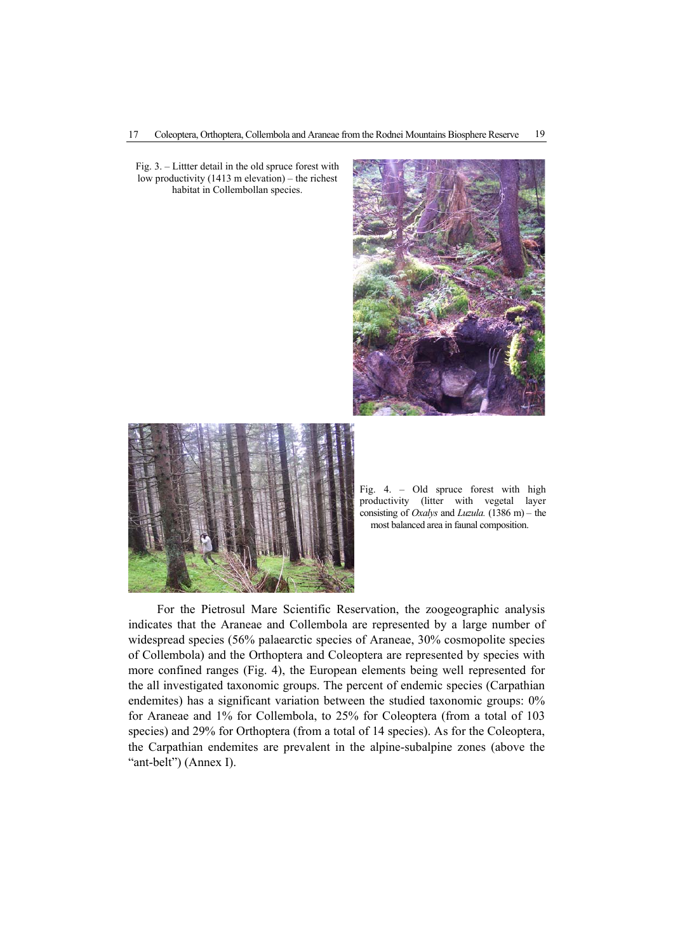Fig. 3. – Littter detail in the old spruce forest with low productivity (1413 m elevation) – the richest habitat in Collembollan species.





Fig. 4. – Old spruce forest with high productivity (litter with vegetal layer consisting of *Oxalys* and *Luzula.* (1386 m) – the most balanced area in faunal composition.

For the Pietrosul Mare Scientific Reservation, the zoogeographic analysis indicates that the Araneae and Collembola are represented by a large number of widespread species (56% palaearctic species of Araneae, 30% cosmopolite species of Collembola) and the Orthoptera and Coleoptera are represented by species with more confined ranges (Fig. 4), the European elements being well represented for the all investigated taxonomic groups. The percent of endemic species (Carpathian endemites) has a significant variation between the studied taxonomic groups: 0% for Araneae and 1% for Collembola, to 25% for Coleoptera (from a total of 103 species) and 29% for Orthoptera (from a total of 14 species). As for the Coleoptera, the Carpathian endemites are prevalent in the alpine-subalpine zones (above the "ant-belt") (Annex I).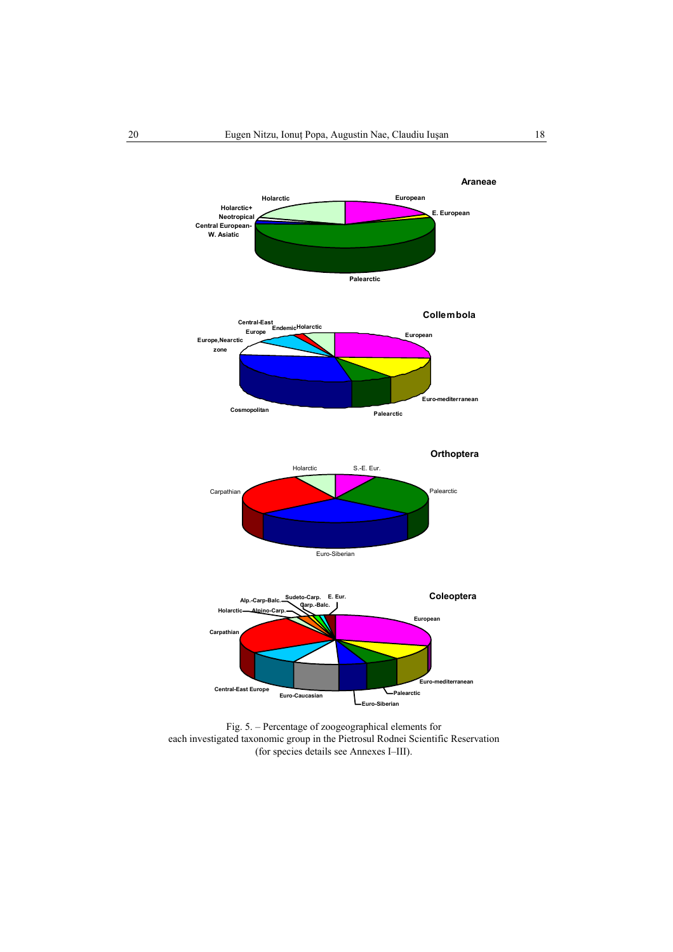

Fig. 5. – Percentage of zoogeographical elements for each investigated taxonomic group in the Pietrosul Rodnei Scientific Reservation (for species details see Annexes I–III).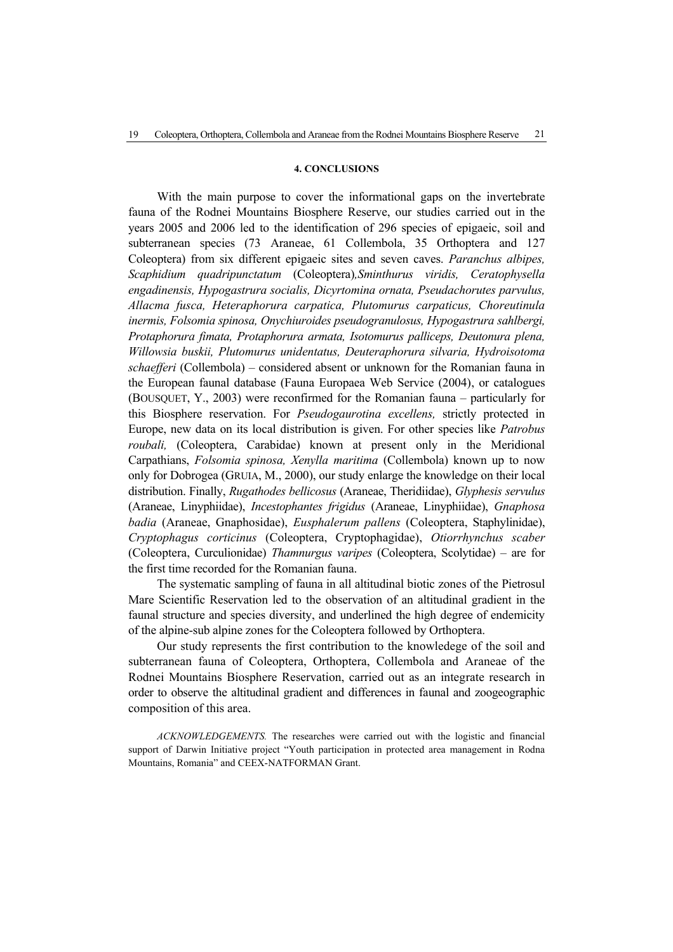### **4. CONCLUSIONS**

With the main purpose to cover the informational gaps on the invertebrate fauna of the Rodnei Mountains Biosphere Reserve, our studies carried out in the years 2005 and 2006 led to the identification of 296 species of epigaeic, soil and subterranean species (73 Araneae, 61 Collembola, 35 Orthoptera and 127 Coleoptera) from six different epigaeic sites and seven caves. *Paranchus albipes, Scaphidium quadripunctatum* (Coleoptera)*,Sminthurus viridis, Ceratophysella engadinensis, Hypogastrura socialis, Dicyrtomina ornata, Pseudachorutes parvulus, Allacma fusca, Heteraphorura carpatica, Plutomurus carpaticus, Choreutinula inermis, Folsomia spinosa, Onychiuroides pseudogranulosus, Hypogastrura sahlbergi, Protaphorura fimata, Protaphorura armata, Isotomurus palliceps, Deutonura plena, Willowsia buskii, Plutomurus unidentatus, Deuteraphorura silvaria, Hydroisotoma schaefferi* (Collembola) *–* considered absent or unknown for the Romanian fauna in the European faunal database (Fauna Europaea Web Service (2004), or catalogues (BOUSQUET, Y., 2003) were reconfirmed for the Romanian fauna – particularly for this Biosphere reservation. For *Pseudogaurotina excellens,* strictly protected in Europe, new data on its local distribution is given. For other species like *Patrobus roubali,* (Coleoptera, Carabidae) known at present only in the Meridional Carpathians, *Folsomia spinosa, Xenylla maritima* (Collembola) known up to now only for Dobrogea (GRUIA, M., 2000), our study enlarge the knowledge on their local distribution. Finally, *Rugathodes bellicosus* (Araneae, Theridiidae), *Glyphesis servulus* (Araneae, Linyphiidae), *Incestophantes frigidus* (Araneae, Linyphiidae), *Gnaphosa badia* (Araneae, Gnaphosidae), *Eusphalerum pallens* (Coleoptera, Staphylinidae), *Cryptophagus corticinus* (Coleoptera, Cryptophagidae), *Otiorrhynchus scaber* (Coleoptera, Curculionidae) *Thamnurgus varipes* (Coleoptera, Scolytidae) – are for the first time recorded for the Romanian fauna.

The systematic sampling of fauna in all altitudinal biotic zones of the Pietrosul Mare Scientific Reservation led to the observation of an altitudinal gradient in the faunal structure and species diversity, and underlined the high degree of endemicity of the alpine-sub alpine zones for the Coleoptera followed by Orthoptera.

Our study represents the first contribution to the knowledege of the soil and subterranean fauna of Coleoptera, Orthoptera, Collembola and Araneae of the Rodnei Mountains Biosphere Reservation, carried out as an integrate research in order to observe the altitudinal gradient and differences in faunal and zoogeographic composition of this area.

*ACKNOWLEDGEMENTS.* The researches were carried out with the logistic and financial support of Darwin Initiative project "Youth participation in protected area management in Rodna Mountains, Romania" and CEEX-NATFORMAN Grant.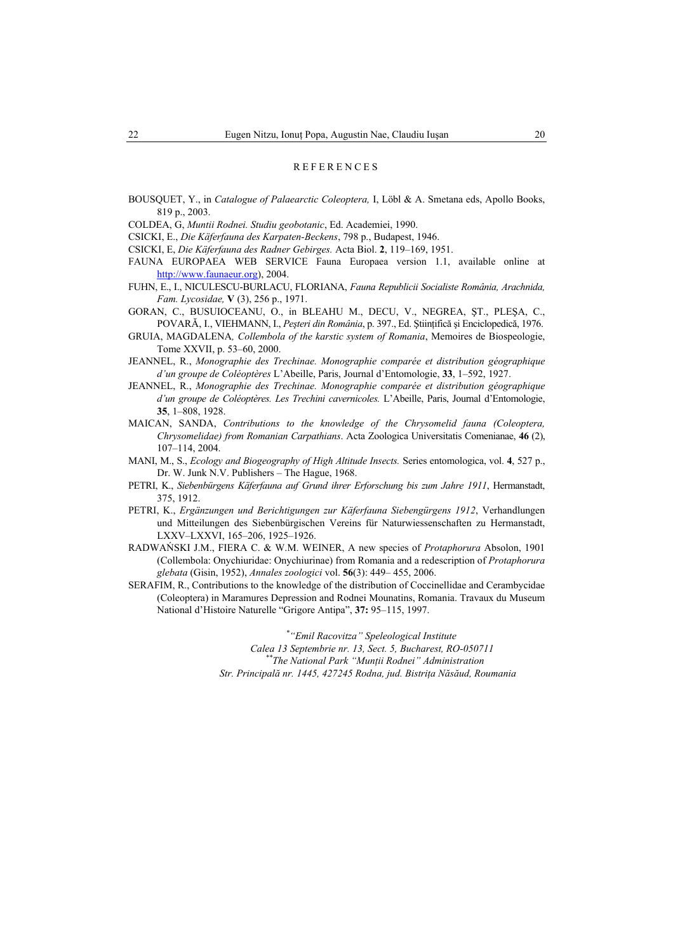### REFERENCES

BOUSQUET, Y., in *Catalogue of Palaearctic Coleoptera,* I, Löbl & A. Smetana eds, Apollo Books, 819 p., 2003.

COLDEA, G, *Muntii Rodnei. Studiu geobotanic*, Ed. Academiei, 1990.

- CSICKI, E., *Die Käferfauna des Karpaten-Beckens*, 798 p., Budapest, 1946.
- CSICKI, E, *Die Käferfauna des Radner Gebirges.* Acta Biol. **2**, 119–169, 1951.
- FAUNA EUROPAEA WEB SERVICE Fauna Europaea version 1.1, available online at http://www.faunaeur.org), 2004.
- FUHN, E., I., NICULESCU-BURLACU, FLORIANA, *Fauna Republicii Socialiste România, Arachnida, Fam. Lycosidae,* **V** (3), 256 p., 1971.
- GORAN, C., BUSUIOCEANU, O., in BLEAHU M., DECU, V., NEGREA, ŞT., PLEŞA, C., POVARĂ, I., VIEHMANN, I., *Peşteri din România*, p. 397., Ed. Ştiinţifică şi Enciclopedică, 1976.
- GRUIA, MAGDALENA*, Collembola of the karstic system of Romania*, Memoires de Biospeologie, Tome XXVII, p. 53–60, 2000.
- JEANNEL, R., *Monographie des Trechinae. Monographie comparée et distribution géographique d'un groupe de Coléoptères* L'Abeille, Paris, Journal d'Entomologie, **33**, 1–592, 1927.
- JEANNEL, R., *Monographie des Trechinae. Monographie comparée et distribution géographique d'un groupe de Coléoptères. Les Trechini cavernicoles.* L'Abeille, Paris, Journal d'Entomologie, **35**, 1–808, 1928.
- MAICAN, SANDA, *Contributions to the knowledge of the Chrysomelid fauna (Coleoptera, Chrysomelidae) from Romanian Carpathians*. Acta Zoologica Universitatis Comenianae, **46** (2), 107–114, 2004.
- MANI, M., S., *Ecology and Biogeography of High Altitude Insects.* Series entomologica, vol. **4**, 527 p., Dr. W. Junk N.V. Publishers – The Hague, 1968.
- PETRI, K., *Siebenbürgens Käferfauna auf Grund ihrer Erforschung bis zum Jahre 1911*, Hermanstadt, 375, 1912.
- PETRI, K., *Ergänzungen und Berichtigungen zur Käferfauna Siebengürgens 1912*, Verhandlungen und Mitteilungen des Siebenbürgischen Vereins für Naturwiessenschaften zu Hermanstadt, LXXV–LXXVI, 165–206, 1925–1926.
- RADWAŃSKI J.M., FIERA C. & W.M. WEINER, A new species of *Protaphorura* Absolon, 1901 (Collembola: Onychiuridae: Onychiurinae) from Romania and a redescription of *Protaphorura glebata* (Gisin, 1952), *Annales zoologici* vol. **56**(3): 449– 455, 2006.
- SERAFIM, R., Contributions to the knowledge of the distribution of Coccinellidae and Cerambycidae (Coleoptera) in Maramures Depression and Rodnei Mounatins, Romania. Travaux du Museum National d'Histoire Naturelle "Grigore Antipa", **37:** 95–115, 1997.

 *\*"Emil Racovitza" Speleological Institute* 

 *Calea 13 Septembrie nr. 13, Sect. 5, Bucharest, RO-050711 \*\*The National Park "Munţii Rodnei" Administration Str. Principală nr. 1445, 427245 Rodna, jud. Bistriţa Năsăud, Roumania*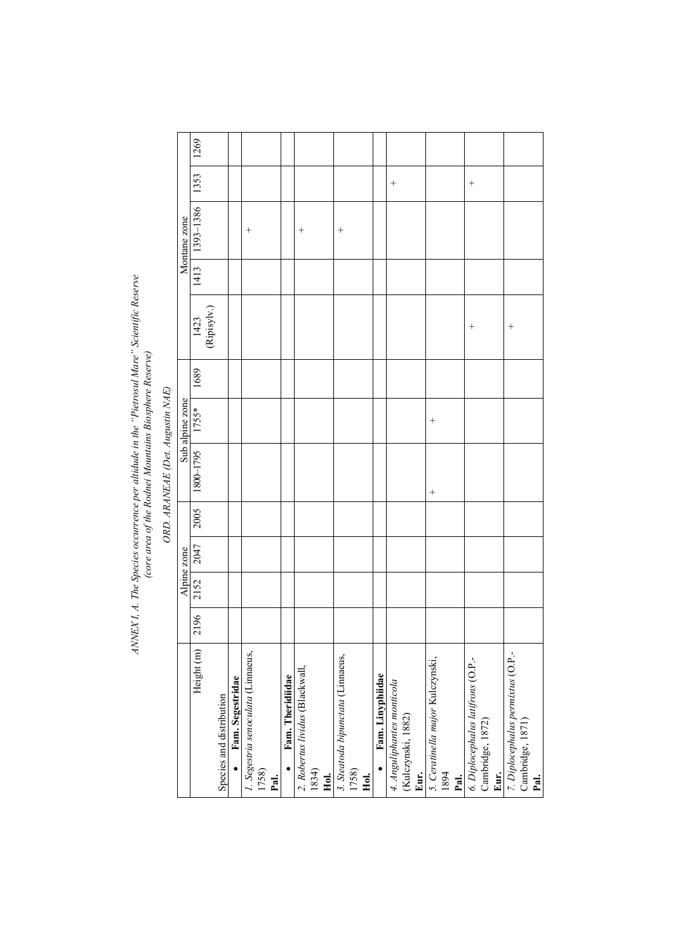# ANNEX I, A. The Species occurrence per altidude in the "Pietrosul Mare" Scientific Reserve<br>(core area of the Rodnei Mountains Biosphere Reserve) *ANNEX I, A. The Species occurrence per altidude in the "Pietrosul Mare" Scientific Reserve (core area of the Rodnei Mountains Biosphere Reserve)*

ORD. ARANEAE (Det. Augustin NAE) *ORD. ARANEAE (Det. Augustin NAE)* 

|                                    |      |      | Alpine zone |      |           | Sub alpine zone |      |                            |      | Montane zone |        |      |
|------------------------------------|------|------|-------------|------|-----------|-----------------|------|----------------------------|------|--------------|--------|------|
| Height (m)                         | 2196 | 2152 | 2047        | 2005 | 1800-1795 | 1755*           | 1689 |                            | 1413 | 1393-1386    | 1353   | 1269 |
|                                    |      |      |             |      |           |                 |      | $\frac{1423}{(Ripisylv.)}$ |      |              |        |      |
| Species and distribution           |      |      |             |      |           |                 |      |                            |      |              |        |      |
| Fam. Segestridae                   |      |      |             |      |           |                 |      |                            |      |              |        |      |
| 1. Segestria senoculata (Linnaeus, |      |      |             |      |           |                 |      |                            |      | $^{+}$       |        |      |
| 1758)                              |      |      |             |      |           |                 |      |                            |      |              |        |      |
| Pal.                               |      |      |             |      |           |                 |      |                            |      |              |        |      |
| Fam. Theridiidae                   |      |      |             |      |           |                 |      |                            |      |              |        |      |
| 2. Robertus lividus (Blackwall,    |      |      |             |      |           |                 |      |                            |      | $^{+}$       |        |      |
| 1834)                              |      |      |             |      |           |                 |      |                            |      |              |        |      |
| Hol.                               |      |      |             |      |           |                 |      |                            |      |              |        |      |
| 3. Steatoda bipunctata (Linnaeus,  |      |      |             |      |           |                 |      |                            |      | $^{+}$       |        |      |
| 1758)                              |      |      |             |      |           |                 |      |                            |      |              |        |      |
| Hol.                               |      |      |             |      |           |                 |      |                            |      |              |        |      |
| Fam. Linyphiidae                   |      |      |             |      |           |                 |      |                            |      |              |        |      |
| 4. Anguliphantes monticola         |      |      |             |      |           |                 |      |                            |      |              | $^{+}$ |      |
| (Kulczynski, 1882)                 |      |      |             |      |           |                 |      |                            |      |              |        |      |
| Eur.                               |      |      |             |      |           |                 |      |                            |      |              |        |      |
| 5. Ceratinella major Kulczynski,   |      |      |             |      | $^{+}$    | $^{+}$          |      |                            |      |              |        |      |
| 1894                               |      |      |             |      |           |                 |      |                            |      |              |        |      |
| Pal.                               |      |      |             |      |           |                 |      |                            |      |              |        |      |
| 6. Diplocephalus latifrons (O.P.-  |      |      |             |      |           |                 |      | $^{+}$                     |      |              | $^{+}$ |      |
| Cambridge, 1872)                   |      |      |             |      |           |                 |      |                            |      |              |        |      |
| Eur.                               |      |      |             |      |           |                 |      |                            |      |              |        |      |
| 7. Diplocephalus permixtus (O.P.-  |      |      |             |      |           |                 |      | $^{+}$                     |      |              |        |      |
| Cambridge, 1871)<br>Pal.           |      |      |             |      |           |                 |      |                            |      |              |        |      |
|                                    |      |      |             |      |           |                 |      |                            |      |              |        |      |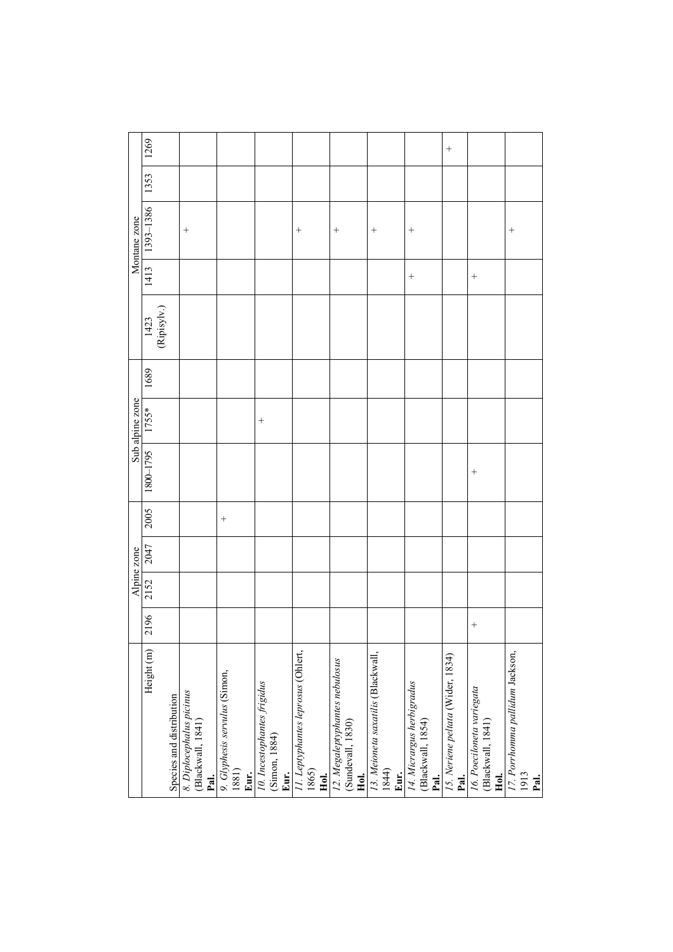|                                                             |        | Alpine zone |      |        |                                      |        |      |                                   |        | Montane zone |      |           |
|-------------------------------------------------------------|--------|-------------|------|--------|--------------------------------------|--------|------|-----------------------------------|--------|--------------|------|-----------|
| Height (m)                                                  | 2196   | 2152        | 2047 | 2005   | Sub alpine zone<br>1800–1795   1755* |        | 1689 | $\frac{1423}{(\text{Ripisylv.})}$ | 1413   | 1393-1386    | 1353 | 1269      |
|                                                             |        |             |      |        |                                      |        |      |                                   |        |              |      |           |
| Species and distribution                                    |        |             |      |        |                                      |        |      |                                   |        |              |      |           |
| 8. Diplocephalus picinus<br>(Blackwall, 1841)<br>Pal.       |        |             |      |        |                                      |        |      |                                   |        | $^{+}$       |      |           |
| 9. Glyphesis servulus (Simon,<br>1881)<br>Eur.              |        |             |      | $^{+}$ |                                      |        |      |                                   |        |              |      |           |
| 10. Incestophantes frigidus<br>(Simon, 1884)<br>Eur.        |        |             |      |        |                                      | $^{+}$ |      |                                   |        |              |      |           |
| 11. Leptyphantes leprosus (Ohlert,<br>1865)<br>Hol.         |        |             |      |        |                                      |        |      |                                   |        | $^{+}$       |      |           |
| 12. Megaleptyphantes nebulosus<br>(Sundevall, 1830)<br>Hol. |        |             |      |        |                                      |        |      |                                   |        |              |      |           |
| 13. Meioneta saxatilis (Blackwall,<br>1844)<br>Eur.         |        |             |      |        |                                      |        |      |                                   |        | $^{+}$       |      |           |
| 14. Micrargus herbigradus<br>(Blackwall, 1854)<br>Pal.      |        |             |      |        |                                      |        |      |                                   | $^{+}$ | $^{+}$       |      |           |
| 15. Neriene peltata (Wider, 1834)<br>Pal.                   |        |             |      |        |                                      |        |      |                                   |        |              |      | $\! + \!$ |
| 16. Poeciloneta variegata<br>(Blackwall, 1841)<br>Hol.      | $^{+}$ |             |      |        | $^{+}$                               |        |      |                                   | $^{+}$ |              |      |           |
| 17. Porrhomma pallidum Jackson,<br>1913<br>Pal.             |        |             |      |        |                                      |        |      |                                   |        | $^{+}$       |      |           |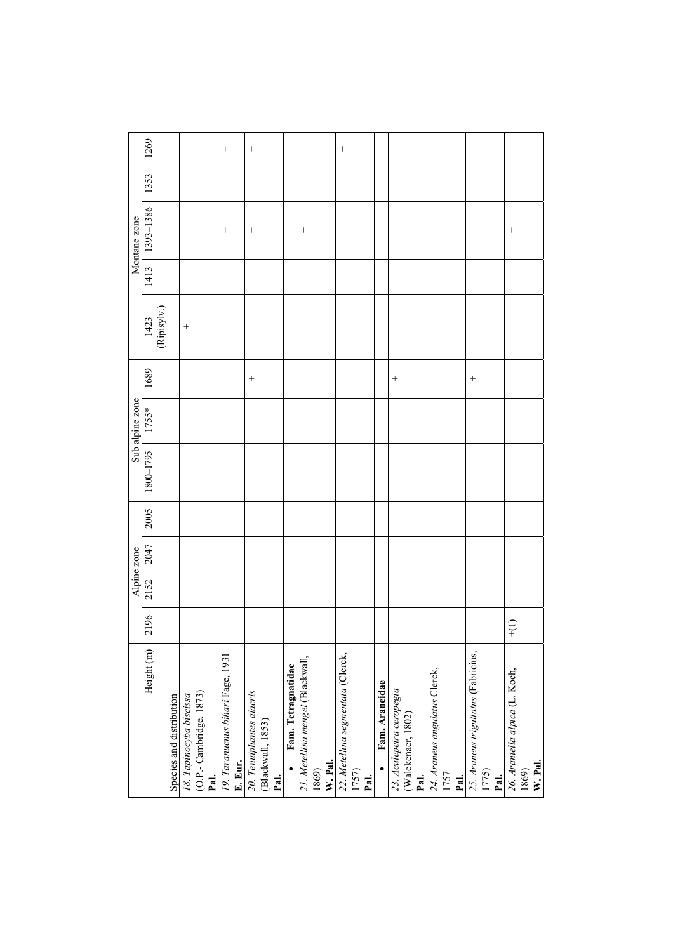|                 | 1269                 |                          |                                                            | $^{+}$                                      | $^{+}$                                                |                                 |                                                      | $^{+}$                                             |                |                                                        |                                               |                                                      |                                                    |
|-----------------|----------------------|--------------------------|------------------------------------------------------------|---------------------------------------------|-------------------------------------------------------|---------------------------------|------------------------------------------------------|----------------------------------------------------|----------------|--------------------------------------------------------|-----------------------------------------------|------------------------------------------------------|----------------------------------------------------|
|                 | 1353                 |                          |                                                            |                                             |                                                       |                                 |                                                      |                                                    |                |                                                        |                                               |                                                      |                                                    |
| Montane zone    | 1393-1386            |                          |                                                            | $^{+}$                                      | $^{+}$                                                |                                 | $^{+}$                                               |                                                    |                |                                                        | $^{+}$                                        |                                                      | $^{+}$                                             |
|                 | 1413                 |                          |                                                            |                                             |                                                       |                                 |                                                      |                                                    |                |                                                        |                                               |                                                      |                                                    |
|                 | $[1423]$ (Ripisylv.) |                          | $^{+}$                                                     |                                             |                                                       |                                 |                                                      |                                                    |                |                                                        |                                               |                                                      |                                                    |
|                 | 1689                 |                          |                                                            |                                             | $^{+}$                                                |                                 |                                                      |                                                    |                | $^{+}$                                                 |                                               | $^{+}$                                               |                                                    |
| Sub alpine zone | 1755*                |                          |                                                            |                                             |                                                       |                                 |                                                      |                                                    |                |                                                        |                                               |                                                      |                                                    |
|                 | 1800-1795            |                          |                                                            |                                             |                                                       |                                 |                                                      |                                                    |                |                                                        |                                               |                                                      |                                                    |
|                 | 2005                 |                          |                                                            |                                             |                                                       |                                 |                                                      |                                                    |                |                                                        |                                               |                                                      |                                                    |
| Alpine zone     | 2047                 |                          |                                                            |                                             |                                                       |                                 |                                                      |                                                    |                |                                                        |                                               |                                                      |                                                    |
|                 | 2152                 |                          |                                                            |                                             |                                                       |                                 |                                                      |                                                    |                |                                                        |                                               |                                                      |                                                    |
|                 | 2196                 |                          |                                                            |                                             |                                                       |                                 |                                                      |                                                    |                |                                                        |                                               |                                                      | $\frac{1}{2}$                                      |
|                 | Height (m)           | Species and distribution | (O.P.- Cambridge, 1873)<br>18. Tapinocyba biscissa<br>Pal. | 19. Taranucnus bihari Fage, 1931<br>E. Eur. | 20. Tenuiphantes alacris<br>(Blackwall, 1853)<br>Pal. | Fam. Tetragnatidae<br>$\bullet$ | 21. Metellina mengei (Blackwall,<br>W. Pal.<br>1869) | 22. Metellina segmentata (Clerck,<br>1757)<br>Pal. | Fam. Araneidae | 23. Aculepeira ceropegia<br>(Walckenaer, 1802)<br>Pal. | 24. Araneus angulatus Clerck,<br>1757<br>Pal. | 25. Araneus triguttatus (Fabricius,<br>1775)<br>Pal. | 26. Araniella alpica (L. Koch,<br>W. Pal.<br>1869) |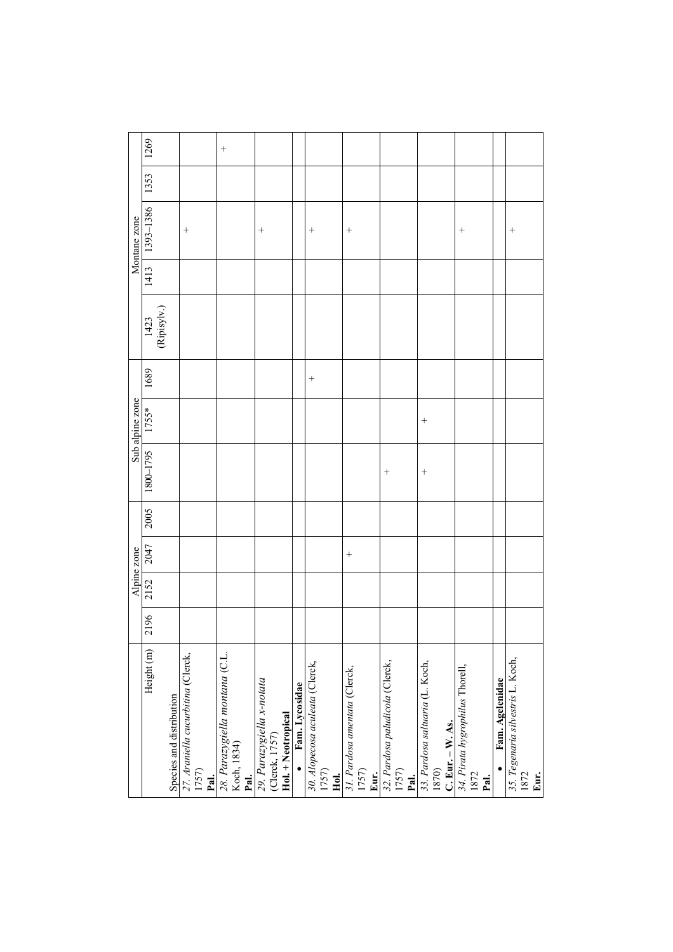|                                                              |      |      | Alpine zone |      |           | Sub alpine zone |        |                            |      | Montane zone |      |        |
|--------------------------------------------------------------|------|------|-------------|------|-----------|-----------------|--------|----------------------------|------|--------------|------|--------|
| Height (m)                                                   | 2196 | 2152 | 2047        | 2005 | 1800-1795 | 1755*           | 1689   | $\frac{1423}{(Ripisylv.)}$ | 1413 | 1393-1386    | 1353 | 1269   |
| Species and distribution                                     |      |      |             |      |           |                 |        |                            |      |              |      |        |
| 27. Araniella cucurbitina (Clerck,<br>1757)<br>Pal.          |      |      |             |      |           |                 |        |                            |      | $^{+}$       |      |        |
| 28. Parazygiella montana (C.L.<br>Koch, 1834)<br>Pal.        |      |      |             |      |           |                 |        |                            |      |              |      | $^{+}$ |
| 29. Parazygiella x-notata<br>(Clerck, 1757)                  |      |      |             |      |           |                 |        |                            |      | $^{+}$       |      |        |
| Hol. + Neotropical<br>• Fam. Lycosidae                       |      |      |             |      |           |                 |        |                            |      |              |      |        |
| 30. Alopecosa aculeata (Clerck,<br>1757)<br>Hol.             |      |      |             |      |           |                 | $^{+}$ |                            |      | $^{+}$       |      |        |
| 31. Pardosa amentata (Clerck,<br>1757)<br>Eur.               |      |      | $^{+}$      |      |           |                 |        |                            |      | $^{+}$       |      |        |
| 32. Pardosa paludicola (Clerck,<br>1757)<br>Pal.             |      |      |             |      | $^{+}$    |                 |        |                            |      |              |      |        |
| 33. Pardosa saltuaria (L. Koch,<br>C. Eur. - W. As.<br>1870) |      |      |             |      | $^{+}$    | $^{+}$          |        |                            |      |              |      |        |
| 34. Pirata hygrophilus Thorell,<br>1872<br>Pal.              |      |      |             |      |           |                 |        |                            |      | $^{+}$       |      |        |
| Fam. Agelenidae                                              |      |      |             |      |           |                 |        |                            |      |              |      |        |
| 35. Tegenaria silvestris L. Koch,<br>1872<br>Eur.            |      |      |             |      |           |                 |        |                            |      | $^{+}$       |      |        |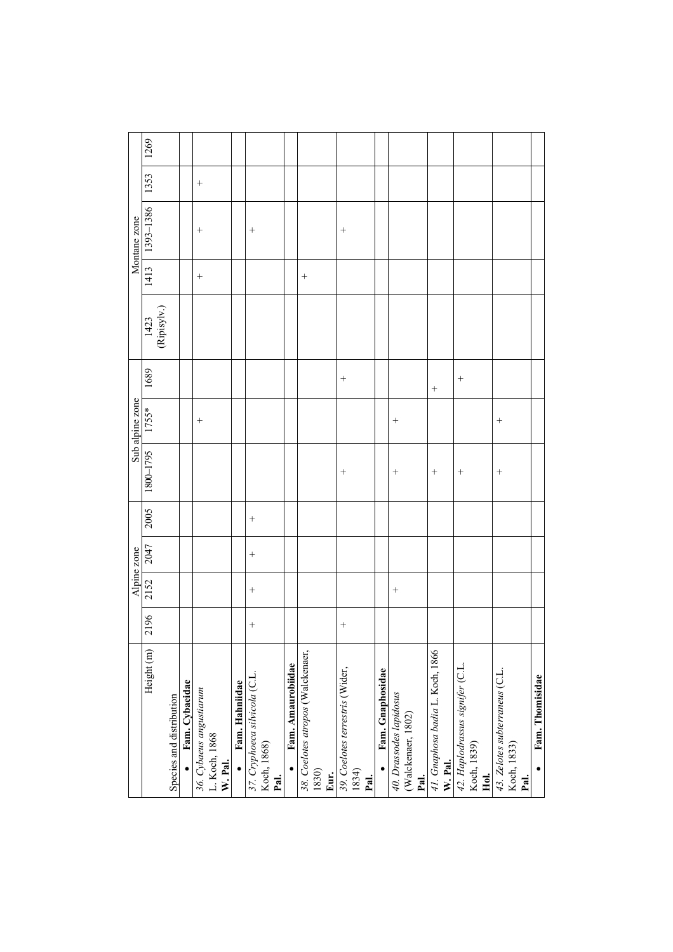|                                               |        |        | Alpine zone |        |                                      |        |        |                      |        | Montane zone |        |      |
|-----------------------------------------------|--------|--------|-------------|--------|--------------------------------------|--------|--------|----------------------|--------|--------------|--------|------|
| Height (m)                                    | 2196   | 2152   | 2047        | 2005   | Sub alpine zone<br>1800–1795   1755* |        | 1689   | $[1423]$ (Ripisylv.) | 1413   | 1393-1386    | 1353   | 1269 |
| Species and distribution                      |        |        |             |        |                                      |        |        |                      |        |              |        |      |
| Fam. Cybaeidae                                |        |        |             |        |                                      |        |        |                      |        |              |        |      |
| 36. Cybaeus angustiarum<br>L. Koch, 1868      |        |        |             |        |                                      | $^{+}$ |        |                      | $^{+}$ | $^{+}$       | $\! +$ |      |
| W. Pal.                                       |        |        |             |        |                                      |        |        |                      |        |              |        |      |
| Fam. Hahniidae                                |        |        |             |        |                                      |        |        |                      |        |              |        |      |
| 37. Cryphoeca silvicola (C.L.                 | $^{+}$ | $^{+}$ | $^{+}$      | $^{+}$ |                                      |        |        |                      |        | $^{+}$       |        |      |
| Koch, 1868)<br>Pal.                           |        |        |             |        |                                      |        |        |                      |        |              |        |      |
| Fam. Amaurobiidae                             |        |        |             |        |                                      |        |        |                      |        |              |        |      |
| 38. Coelotes atropos (Walckenaer,             |        |        |             |        |                                      |        |        |                      | $^{+}$ |              |        |      |
| 1830)                                         |        |        |             |        |                                      |        |        |                      |        |              |        |      |
| Eur.                                          |        |        |             |        |                                      |        |        |                      |        |              |        |      |
| 39. Coelotes terrestris (Wider,               | $^{+}$ |        |             |        | $^{+}$                               |        | $^{+}$ |                      |        | $^{+}$       |        |      |
| 1834)<br>Pal.                                 |        |        |             |        |                                      |        |        |                      |        |              |        |      |
| Fam. Gnaphosidae                              |        |        |             |        |                                      |        |        |                      |        |              |        |      |
| 40. Drassodes lapidosus<br>(Walckenaer, 1802) |        | $^{+}$ |             |        | $^{+}$                               | $^{+}$ |        |                      |        |              |        |      |
| Pal.                                          |        |        |             |        |                                      |        |        |                      |        |              |        |      |
| 41. Gnaphosa badia L. Koch, 1866<br>W. Pal.   |        |        |             |        | $^{+}$                               |        | $^{+}$ |                      |        |              |        |      |
| 42. Haplodrassus signifer (C.L.               |        |        |             |        | $^{+}$                               |        | $^{+}$ |                      |        |              |        |      |
| Koch, 1839)<br>Hol.                           |        |        |             |        |                                      |        |        |                      |        |              |        |      |
|                                               |        |        |             |        |                                      |        |        |                      |        |              |        |      |
| 43. Zelotes subterraneus (C.L.<br>Koch, 1833) |        |        |             |        | $^{+}$                               | $^{+}$ |        |                      |        |              |        |      |
| Pal.                                          |        |        |             |        |                                      |        |        |                      |        |              |        |      |
| Fam. Thomisidae                               |        |        |             |        |                                      |        |        |                      |        |              |        |      |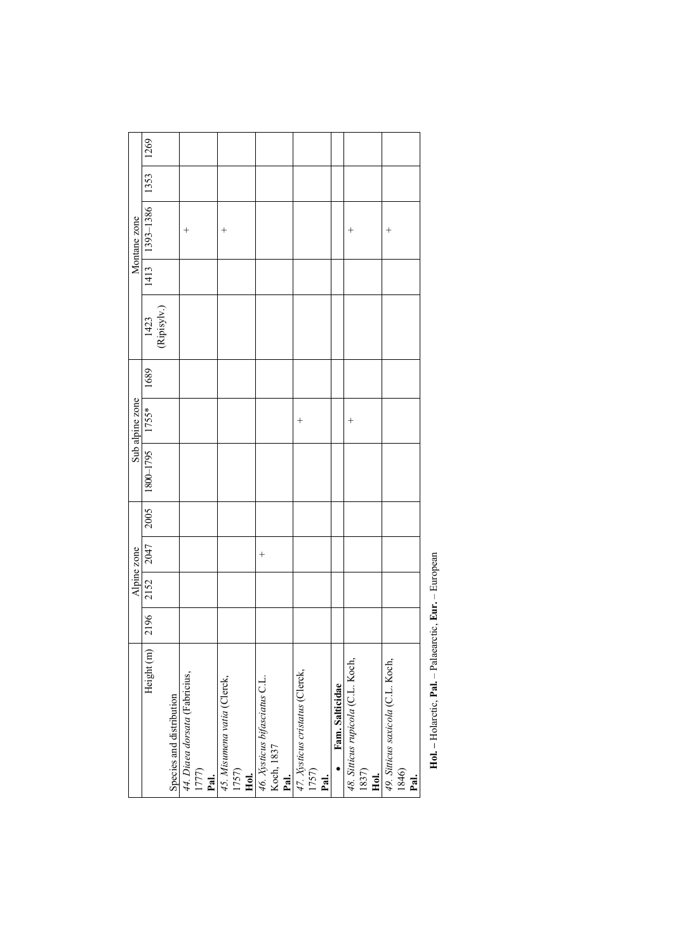|                                   |      |      | Alpine zone |      |                   | Sub alpine zone |      |                                   |      | Montane zone       |      |      |
|-----------------------------------|------|------|-------------|------|-------------------|-----------------|------|-----------------------------------|------|--------------------|------|------|
| Height (m)                        | 2196 | 2152 | 2047        | 2005 | 1800-1795   1755* |                 | 1689 |                                   | 1413 | 1393-1386          | 1353 | 1269 |
|                                   |      |      |             |      |                   |                 |      | $\frac{1423}{(\text{Ripisylv.})}$ |      |                    |      |      |
| Species and distribution          |      |      |             |      |                   |                 |      |                                   |      |                    |      |      |
| 44. Diaea dorsata (Fabricius,     |      |      |             |      |                   |                 |      |                                   |      | $^{+}$             |      |      |
| 1777)                             |      |      |             |      |                   |                 |      |                                   |      |                    |      |      |
| Pal.                              |      |      |             |      |                   |                 |      |                                   |      |                    |      |      |
| 45. Misumena vatia (Clerck,       |      |      |             |      |                   |                 |      |                                   |      | $\, +$             |      |      |
| 1757)                             |      |      |             |      |                   |                 |      |                                   |      |                    |      |      |
| Hol.                              |      |      |             |      |                   |                 |      |                                   |      |                    |      |      |
| 46. Xysticus bifasciatus C.L.     |      |      | $^{+}$      |      |                   |                 |      |                                   |      |                    |      |      |
| Koch, 1837                        |      |      |             |      |                   |                 |      |                                   |      |                    |      |      |
| Pal.                              |      |      |             |      |                   |                 |      |                                   |      |                    |      |      |
| 47. Xysticus cristatus (Clerck,   |      |      |             |      |                   | $^{+}$          |      |                                   |      |                    |      |      |
| 1757)                             |      |      |             |      |                   |                 |      |                                   |      |                    |      |      |
| Pal.                              |      |      |             |      |                   |                 |      |                                   |      |                    |      |      |
| Fam. Salticidae                   |      |      |             |      |                   |                 |      |                                   |      |                    |      |      |
| 48. Sitticus rupicola (C.L. Koch, |      |      |             |      |                   | $^{+}$          |      |                                   |      | $^+$               |      |      |
| 1837)                             |      |      |             |      |                   |                 |      |                                   |      |                    |      |      |
| Hol.                              |      |      |             |      |                   |                 |      |                                   |      |                    |      |      |
| 49. Sitticus saxicola (C.L. Koch, |      |      |             |      |                   |                 |      |                                   |      | $\hspace{0.1mm} +$ |      |      |
| 1846)                             |      |      |             |      |                   |                 |      |                                   |      |                    |      |      |
| $_{\rm{rel}}$                     |      |      |             |      |                   |                 |      |                                   |      |                    |      |      |
|                                   |      |      |             |      |                   |                 |      |                                   |      |                    |      |      |

Hol. - Holarctic, Pal. - Palaearctic, Eur. - European **Hol. –** Holarctic, **Pal.** – Palaearctic, **Eur.** – European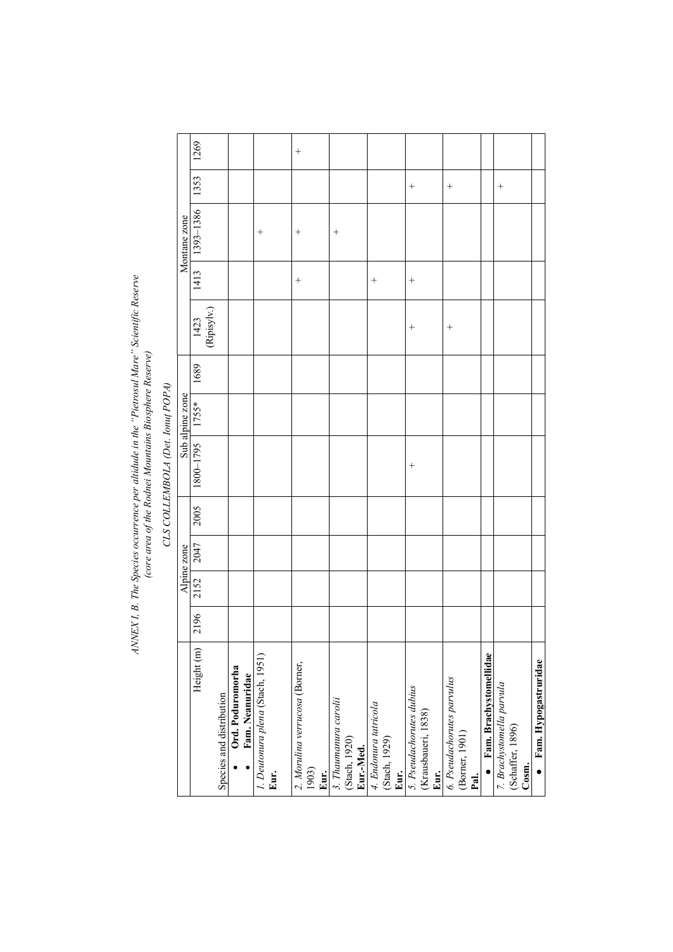# ANNEX I, B. The Species occurrence per altidude in the "Pietrosul Mare" Scientific Reserve<br>(core area of the Rodnei Mountains Biosphere Reserve) *ANNEX I, B. The Species occurrence per altidude in the "Pietrosul Mare" Scientific Reserve (core area of the Rodnei Mountains Biosphere Reserve)*

# CLS COLLEMBOLA (Det. Ionuf POPA) *CLS COLLEMBOLA (Det. Ionuţ POPA)*

|                 | 1269                              |                          |                                     |                                  |      | $^{+}$                         |       |      |                       |                            |                       |               |      |                          |                     |      |                            |                |      |                        |                           |                  |       |                      |
|-----------------|-----------------------------------|--------------------------|-------------------------------------|----------------------------------|------|--------------------------------|-------|------|-----------------------|----------------------------|-----------------------|---------------|------|--------------------------|---------------------|------|----------------------------|----------------|------|------------------------|---------------------------|------------------|-------|----------------------|
|                 | 1353                              |                          |                                     |                                  |      |                                |       |      |                       |                            |                       |               |      | $^{+}$                   |                     |      | $^{+}$                     |                |      |                        | $^{+}$                    |                  |       |                      |
| Montane zone    | 1393-1386                         |                          |                                     | $^{+}$                           |      | $^{+}$                         |       |      | $^+$                  |                            |                       |               |      |                          |                     |      |                            |                |      |                        |                           |                  |       |                      |
|                 | 1413                              |                          |                                     |                                  |      | $^{+}$                         |       |      |                       |                            | $^{+}$                |               |      | $^{+}$                   |                     |      |                            |                |      |                        |                           |                  |       |                      |
|                 | $\frac{1423}{\text{(Ripisylv.)}}$ |                          |                                     |                                  |      |                                |       |      |                       |                            |                       |               |      | $^{+}$                   |                     |      | $^{+}$                     |                |      |                        |                           |                  |       |                      |
|                 | 1689                              |                          |                                     |                                  |      |                                |       |      |                       |                            |                       |               |      |                          |                     |      |                            |                |      |                        |                           |                  |       |                      |
| Sub alpine zone | 1755*                             |                          |                                     |                                  |      |                                |       |      |                       |                            |                       |               |      |                          |                     |      |                            |                |      |                        |                           |                  |       |                      |
|                 | 1800-1795                         |                          |                                     |                                  |      |                                |       |      |                       |                            |                       |               |      | $^{+}$                   |                     |      |                            |                |      |                        |                           |                  |       |                      |
|                 | 2005                              |                          |                                     |                                  |      |                                |       |      |                       |                            |                       |               |      |                          |                     |      |                            |                |      |                        |                           |                  |       |                      |
| Alpine zone     | 2047                              |                          |                                     |                                  |      |                                |       |      |                       |                            |                       |               |      |                          |                     |      |                            |                |      |                        |                           |                  |       |                      |
|                 | 2152                              |                          |                                     |                                  |      |                                |       |      |                       |                            |                       |               |      |                          |                     |      |                            |                |      |                        |                           |                  |       |                      |
|                 | 2196                              |                          |                                     |                                  |      |                                |       |      |                       |                            |                       |               |      |                          |                     |      |                            |                |      |                        |                           |                  |       |                      |
|                 | Height (m)                        | Species and distribution | Ord. Poduromorha<br>Fam. Neanuridae | 1. Deutonura plena (Stach, 1951) | Eur. | 2. Morulina verrucosa (Borner, | 1903) | Eur. | 3. Thaumanura carolii | (Stach, 1920)<br>Eur.-Med. | 4. Endonura tatricola | (Stach, 1929) | Eur. | 5. Pseudachorutes dubius | (Krausbaueri, 1838) | Eur. | 6. Pseudachorutes parvulus | (Borner, 1901) | Pal. | Fam. Brachystomellidae | 7. Brachystomella parvula | (Schaffer, 1896) | Cosm. | Fam. Hypogastruridae |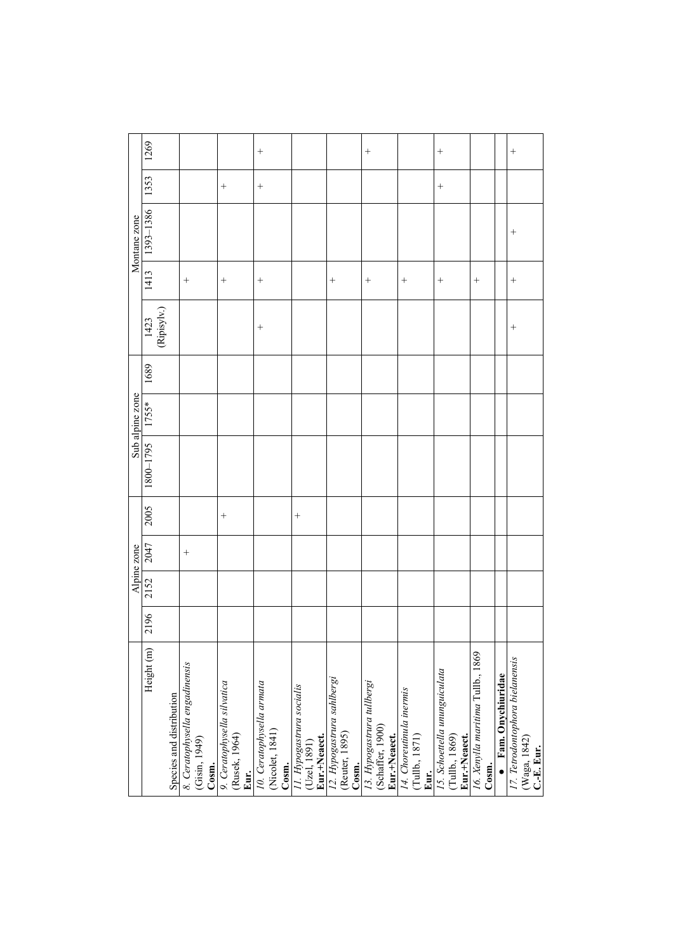|                                                 |      |      | Alpine zone |        |           | Sub alpine zone |      |                                   |        | Montane zone |        |        |
|-------------------------------------------------|------|------|-------------|--------|-----------|-----------------|------|-----------------------------------|--------|--------------|--------|--------|
| Height (m)                                      | 2196 | 2152 | 2047        | 2005   | 5641-0081 | 1755*           | 1689 | $\frac{1423}{(\text{Ripisyly.})}$ | 1413   | 1393-1386    | 1353   | 1269   |
| Species and distribution                        |      |      |             |        |           |                 |      |                                   |        |              |        |        |
| 8. Ceratophysella engadinensis<br>(Gisin, 1949) |      |      | $^{+}$      |        |           |                 |      |                                   | $^{+}$ |              |        |        |
| Cosm.                                           |      |      |             |        |           |                 |      |                                   |        |              |        |        |
| 9. Ceratophysella silvatica                     |      |      |             | $^{+}$ |           |                 |      |                                   | $^{+}$ |              | $^{+}$ |        |
| (Rusek, 1964)                                   |      |      |             |        |           |                 |      |                                   |        |              |        |        |
| Eur.                                            |      |      |             |        |           |                 |      |                                   |        |              |        |        |
| 10. Ceratophysella armata                       |      |      |             |        |           |                 |      | $^{+}$                            | $^{+}$ |              | $^{+}$ | $^{+}$ |
| (Nicolet, 1841)                                 |      |      |             |        |           |                 |      |                                   |        |              |        |        |
| Cosm.                                           |      |      |             |        |           |                 |      |                                   |        |              |        |        |
| 11. Hypogastrura socialis<br>(Uzel, 1891)       |      |      |             | $^{+}$ |           |                 |      |                                   |        |              |        |        |
|                                                 |      |      |             |        |           |                 |      |                                   |        |              |        |        |
| Eur.+Neaect.                                    |      |      |             |        |           |                 |      |                                   |        |              |        |        |
| 12. Hypogastrura sahlbergi                      |      |      |             |        |           |                 |      |                                   | $^{+}$ |              |        |        |
| (Reuter, 1895)                                  |      |      |             |        |           |                 |      |                                   |        |              |        |        |
| Cosm.                                           |      |      |             |        |           |                 |      |                                   |        |              |        |        |
| 13. Hypogastrura tullbergi                      |      |      |             |        |           |                 |      |                                   | $^{+}$ |              |        | $^{+}$ |
| (Schaffer, 1900)                                |      |      |             |        |           |                 |      |                                   |        |              |        |        |
| Eur.+Neaect.                                    |      |      |             |        |           |                 |      |                                   |        |              |        |        |
| 14. Choreutinula inermis                        |      |      |             |        |           |                 |      |                                   | $^{+}$ |              |        |        |
| (Tullb., 1871)                                  |      |      |             |        |           |                 |      |                                   |        |              |        |        |
| Eur.                                            |      |      |             |        |           |                 |      |                                   |        |              |        |        |
| 15. Schoettella ununguiculata                   |      |      |             |        |           |                 |      |                                   | $^{+}$ |              | $^{+}$ | $^{+}$ |
| (Tullb., 1869)                                  |      |      |             |        |           |                 |      |                                   |        |              |        |        |
| Eur.+Neaect.                                    |      |      |             |        |           |                 |      |                                   |        |              |        |        |
| 16. Xenylla maritima Tullb., 1869               |      |      |             |        |           |                 |      |                                   | $^{+}$ |              |        |        |
| Cosm.                                           |      |      |             |        |           |                 |      |                                   |        |              |        |        |
| Fam. Onychiuridae                               |      |      |             |        |           |                 |      |                                   |        |              |        |        |
| 17. Tetrodontophora bielanensis                 |      |      |             |        |           |                 |      | $^{+}$                            | $^{+}$ | $^{+}$       |        | $^{+}$ |
| (Waga, 1842)                                    |      |      |             |        |           |                 |      |                                   |        |              |        |        |
| C.-E. Eur.                                      |      |      |             |        |           |                 |      |                                   |        |              |        |        |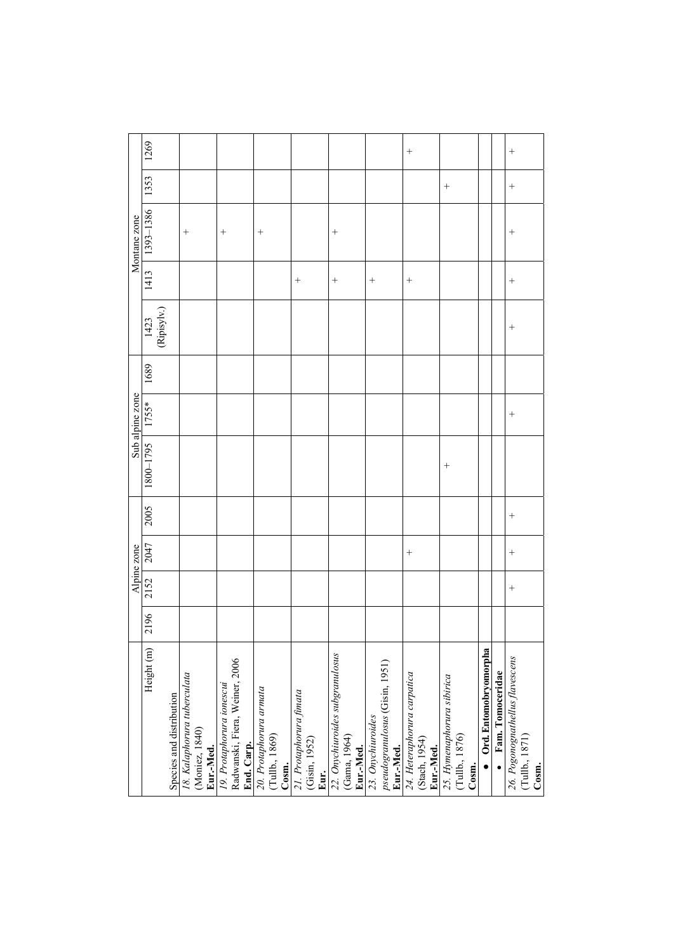|                                                                           |      |        | Alpine zone |      |           | Sub alpine zone |      |                      |        | Montane zone      |        |        |
|---------------------------------------------------------------------------|------|--------|-------------|------|-----------|-----------------|------|----------------------|--------|-------------------|--------|--------|
| Height (m)                                                                | 2196 | 2152   | 2047        | 2005 | 1800-1795 | 1755*           | 1689 | $[1423]$ (Ripisylv.) | 1413   | 1393-1386         | 1353   | 1269   |
| Species and distribution                                                  |      |        |             |      |           |                 |      |                      |        |                   |        |        |
| 18. Kalaphorura tuberculata<br>(Moniez, 1840)<br>Eur.-Med.                |      |        |             |      |           |                 |      |                      |        | $^{+}$            |        |        |
| Radwanski, Fiera, Weiner, 2006<br>19. Protaphorura ionescui<br>End. Carp. |      |        |             |      |           |                 |      |                      |        | $^{+}$            |        |        |
| 20. Protaphorura armata<br>(Tullb., 1869)<br>Cosm.                        |      |        |             |      |           |                 |      |                      |        | $\qquad \qquad +$ |        |        |
| 21. Protaphorura fimata<br>(Gisin, 1952)<br>Eur.                          |      |        |             |      |           |                 |      |                      | $^{+}$ |                   |        |        |
| 22. Onychiuroides subgranulosus<br>(Gama, 1964)<br>Eur.-Med.              |      |        |             |      |           |                 |      |                      | $^{+}$ | $^{+}$            |        |        |
| pseudogranulosus (Gisin, 1951)<br>23. Onychiuroides<br>Eur.-Med.          |      |        |             |      |           |                 |      |                      | $^{+}$ |                   |        |        |
| 24. Heteraphorura carpatica<br>(Stach, 1954)<br>Eur.-Med.                 |      |        | $^{+}$      |      |           |                 |      |                      |        |                   |        | $^{+}$ |
| 25. Hymenaphorura sibirica<br>(Tullb., 1876)<br>Cosm.                     |      |        |             |      | $^{+}$    |                 |      |                      |        |                   | $^{+}$ |        |
| Ord. Entomobryomorpha                                                     |      |        |             |      |           |                 |      |                      |        |                   |        |        |
| Fam. Tomoceridae                                                          |      |        |             |      |           |                 |      |                      |        |                   |        |        |
| 26. Pogonognathellus flavescens<br>(Tullb., 1871)<br>Cosm.                |      | $^{+}$ | $^{+}$      | $^+$ |           | $^{+}$          |      | $^{+}$               | $^{+}$ | $^{+}$            | $^{+}$ | $^{+}$ |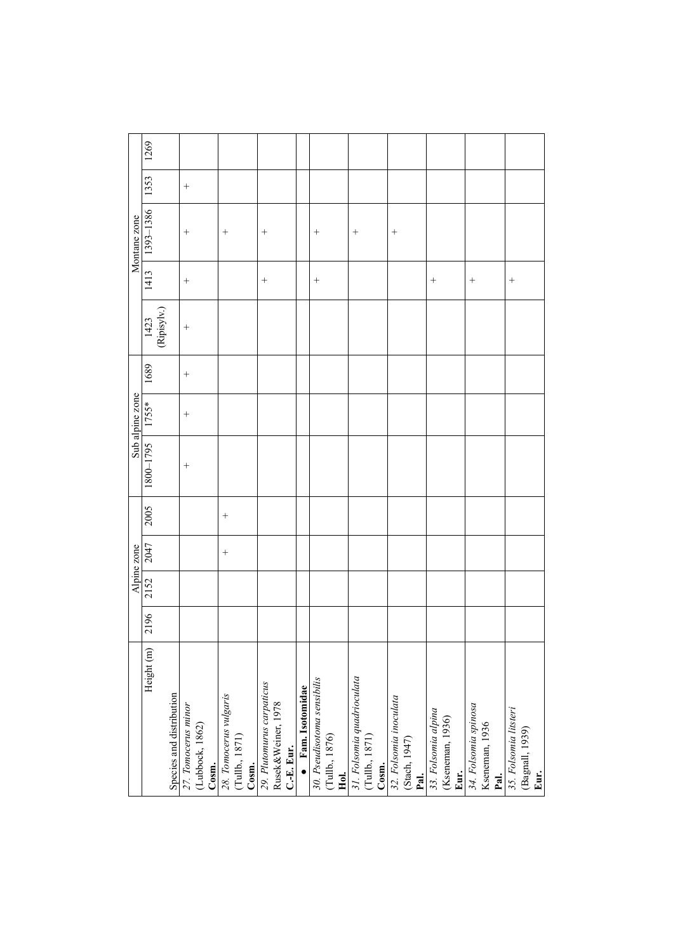|                             |      |      | Alpine zone |        |           | Sub alpine zone |        |                     |        | Montane zone |        |      |
|-----------------------------|------|------|-------------|--------|-----------|-----------------|--------|---------------------|--------|--------------|--------|------|
| Height (m)                  | 2196 | 2152 | 2047        | 2005   | 1800-1795 | 1755*           | 1689   |                     | 1413   | 1393-1386    | 1353   | 1269 |
|                             |      |      |             |        |           |                 |        | $[423]$ (Ripisylv.) |        |              |        |      |
| Species and distribution    |      |      |             |        |           |                 |        |                     |        |              |        |      |
| 27. Tomocerus minor         |      |      |             |        | $^{+}$    | $^{+}$          | $^{+}$ | $^{+}$              | $^{+}$ | $^{+}$       | $^{+}$ |      |
| (Lubbock, 1862)             |      |      |             |        |           |                 |        |                     |        |              |        |      |
| Cosm.                       |      |      |             |        |           |                 |        |                     |        |              |        |      |
| 28. Tomocerus vulgaris      |      |      | $^{+}$      | $^{+}$ |           |                 |        |                     |        | $^{+}$       |        |      |
| (Tullb., 1871)              |      |      |             |        |           |                 |        |                     |        |              |        |      |
| Cosm.                       |      |      |             |        |           |                 |        |                     |        |              |        |      |
| 29. Plutomurus carpaticus   |      |      |             |        |           |                 |        |                     | $^{+}$ | $^{+}$       |        |      |
| Rusek&Weiner, 1978          |      |      |             |        |           |                 |        |                     |        |              |        |      |
| C.-E. Eur.                  |      |      |             |        |           |                 |        |                     |        |              |        |      |
| • Fam. Isotomidae           |      |      |             |        |           |                 |        |                     |        |              |        |      |
| 30. Pseudisotoma sensibilis |      |      |             |        |           |                 |        |                     | $^{+}$ | $^{+}$       |        |      |
| (Tullb., 1876)              |      |      |             |        |           |                 |        |                     |        |              |        |      |
|                             |      |      |             |        |           |                 |        |                     |        |              |        |      |
| 31. Folsomia quadrioculata  |      |      |             |        |           |                 |        |                     |        | $^{+}$       |        |      |
| (Tullb., 1871)              |      |      |             |        |           |                 |        |                     |        |              |        |      |
|                             |      |      |             |        |           |                 |        |                     |        |              |        |      |
| 32. Folsomia inoculata      |      |      |             |        |           |                 |        |                     |        | $^{+}$       |        |      |
| (Stach, 1947)               |      |      |             |        |           |                 |        |                     |        |              |        |      |
|                             |      |      |             |        |           |                 |        |                     |        |              |        |      |
| 33. Folsomia alpina         |      |      |             |        |           |                 |        |                     | $^{+}$ |              |        |      |
| (Kseneman, 1936)            |      |      |             |        |           |                 |        |                     |        |              |        |      |
|                             |      |      |             |        |           |                 |        |                     |        |              |        |      |
| 34. Folsomia spinosa        |      |      |             |        |           |                 |        |                     | $^{+}$ |              |        |      |
| Kseneman, 1936              |      |      |             |        |           |                 |        |                     |        |              |        |      |
|                             |      |      |             |        |           |                 |        |                     |        |              |        |      |
| 35. Folsomia litsteri       |      |      |             |        |           |                 |        |                     | $^{+}$ |              |        |      |
| (Bagnall, 1939)             |      |      |             |        |           |                 |        |                     |        |              |        |      |
|                             |      |      |             |        |           |                 |        |                     |        |              |        |      |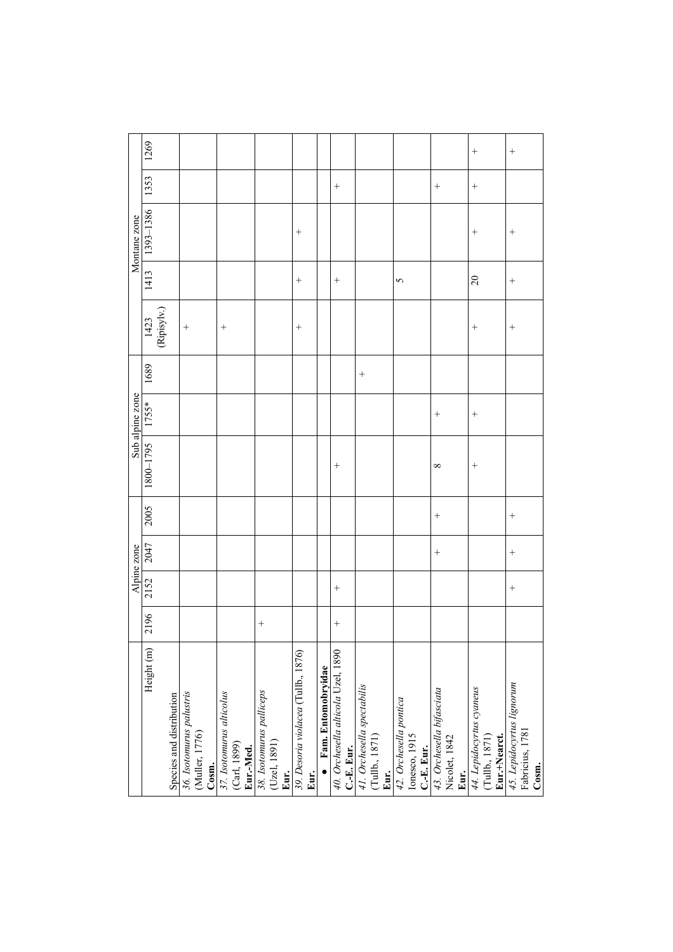|                 | 1269                              |                          |                                                     |                                                       |                                                  |                                             |                              |                                                  |                                                      |                                                      |                                                    | $^{+}$                                                     | $^{+}$                                                |
|-----------------|-----------------------------------|--------------------------|-----------------------------------------------------|-------------------------------------------------------|--------------------------------------------------|---------------------------------------------|------------------------------|--------------------------------------------------|------------------------------------------------------|------------------------------------------------------|----------------------------------------------------|------------------------------------------------------------|-------------------------------------------------------|
|                 | 1353                              |                          |                                                     |                                                       |                                                  |                                             |                              | $^{+}$                                           |                                                      |                                                      | $^{+}$                                             | $+$                                                        |                                                       |
| Montane zone    | 1393-1386                         |                          |                                                     |                                                       |                                                  | $^{+}$                                      |                              |                                                  |                                                      |                                                      |                                                    | $^{+}$                                                     | $^{+}$                                                |
|                 | 1413                              |                          |                                                     |                                                       |                                                  | $^{+}$                                      |                              | $^{+}$                                           |                                                      | 5                                                    |                                                    | $\overline{c}$                                             | $^{+}$                                                |
|                 | $\frac{1423}{(\text{Ripisyly}).}$ |                          | $^{+}$                                              | $^{+}$                                                |                                                  | $^{+}$                                      |                              |                                                  |                                                      |                                                      |                                                    | $^{+}$                                                     | $^{+}$                                                |
|                 | 1689                              |                          |                                                     |                                                       |                                                  |                                             |                              |                                                  | $^{+}$                                               |                                                      |                                                    |                                                            |                                                       |
| Sub alpine zone | 1755*                             |                          |                                                     |                                                       |                                                  |                                             |                              |                                                  |                                                      |                                                      | $^{+}$                                             | $^{+}$                                                     |                                                       |
|                 | 1800-1795                         |                          |                                                     |                                                       |                                                  |                                             |                              | $^{+}$                                           |                                                      |                                                      | $\infty$                                           | $^{+}$                                                     |                                                       |
|                 | 2005                              |                          |                                                     |                                                       |                                                  |                                             |                              |                                                  |                                                      |                                                      | $^{+}$                                             |                                                            | $^{+}$                                                |
| Alpine zone     | 2047                              |                          |                                                     |                                                       |                                                  |                                             |                              |                                                  |                                                      |                                                      | $^{+}$                                             |                                                            | $^{+}$                                                |
|                 | 2152                              |                          |                                                     |                                                       |                                                  |                                             |                              | $^{+}$                                           |                                                      |                                                      |                                                    |                                                            |                                                       |
|                 | 2196                              |                          |                                                     |                                                       | $^{+}$                                           |                                             |                              | $^{+}$                                           |                                                      |                                                      |                                                    |                                                            |                                                       |
|                 | Height (m)                        | Species and distribution | 36. Isotomurus palustris<br>(Muller, 1776)<br>Cosm. | 37. Isotomurus alticolus<br>(Carl, 1899)<br>Eur.-Med. | 38. Isotomurus palliceps<br>(Uzel, 1891)<br>Eur. | 39. Desoria violacea (Tullb., 1876)<br>Eur. | $\bullet$ Fam. Entomobryidae | 40. Orchesella alticola Uzel, 1890<br>C.-E. Eur. | 41. Orchesella spectabilis<br>(Tullb., 1871)<br>Eur. | 42. Orchesella pontica<br>Ionesco, 1915<br>C-E. Eur. | 43. Orchesella bifasciata<br>Nicolet, 1842<br>Eur. | 44. Lepidocyrtus cyaneus<br>(Tullb., 1871)<br>Eur.+Nearct. | 45. Lepidocyrtus lignorum<br>Fabricius, 1781<br>Cosm. |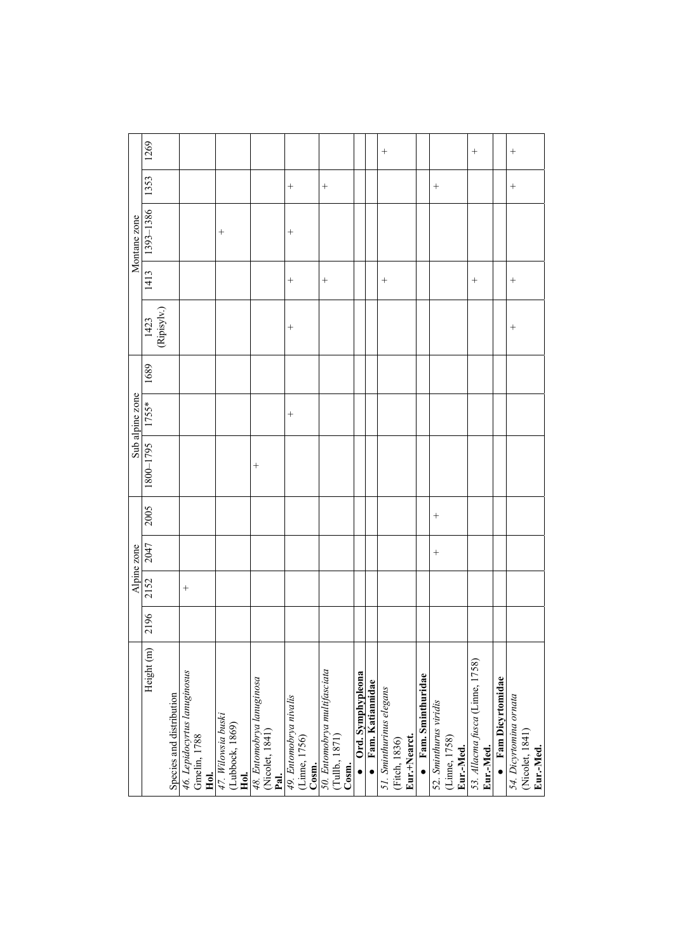|                                                                 |      |        | Alpine zone |        |           | Sub alpine zone |      |                      |        | Montane zone |        |        |
|-----------------------------------------------------------------|------|--------|-------------|--------|-----------|-----------------|------|----------------------|--------|--------------|--------|--------|
| Height (m)                                                      | 2196 | 2152   | 2047        | 2005   | 1800-1795 | 1755*           | 1689 | $[1423]$ (Ripisylv.) | 1413   | 1393-1386    | 1353   | 1269   |
| Species and distribution                                        |      |        |             |        |           |                 |      |                      |        |              |        |        |
| 46. Lepidocyrtus lanuginosus<br>Gmelin, 1788<br>Hol.            |      | $^{+}$ |             |        |           |                 |      |                      |        |              |        |        |
| 47. Wilowsia buski<br>(Lubbock, 1869)                           |      |        |             |        |           |                 |      |                      |        | $^{+}$       |        |        |
| Hol.<br>48. Entomobrya lanuginosa<br>(Nicolet, 1841)            |      |        |             |        | $^{+}$    |                 |      |                      |        |              |        |        |
| <b>Pal.</b><br>49. Entomobrya nivalis<br>(Linne, 1756)<br>Cosm. |      |        |             |        |           | $^{+}$          |      | $^{+}$               | $^{+}$ | $^{+}$       | $^{+}$ |        |
| 50. Entomobrya multifasciata<br>(Tullb., 1871)<br>Cosm.         |      |        |             |        |           |                 |      |                      | $^{+}$ |              | $^{+}$ |        |
| Ord. Symphypleona                                               |      |        |             |        |           |                 |      |                      |        |              |        |        |
| · Fam. Katiannidae                                              |      |        |             |        |           |                 |      |                      |        |              |        |        |
| 51. Sminthurinus elegans<br>Eur.+Nearct.<br>(Fitch, 1836)       |      |        |             |        |           |                 |      |                      | $^{+}$ |              |        | $^{+}$ |
| $\bullet$ Fam. Sminthuridae                                     |      |        |             |        |           |                 |      |                      |        |              |        |        |
| 52. Sminthurus viridis<br>(Linne, 1758)<br>Eur.-Med.            |      |        | $^{+}$      | $^{+}$ |           |                 |      |                      |        |              | $^{+}$ |        |
| 53. Allacma fusca (Linne, 1758)<br>Eur.-Med.                    |      |        |             |        |           |                 |      |                      | $^{+}$ |              |        | $^{+}$ |
| $\bullet$ Fam Dicyrtomidae                                      |      |        |             |        |           |                 |      |                      |        |              |        |        |
| 54. Dicyrtomina ornata<br>(Nicolet, 1841)<br>Eur.-Med.          |      |        |             |        |           |                 |      | $^{+}$               | $^{+}$ |              | $^{+}$ | $^{+}$ |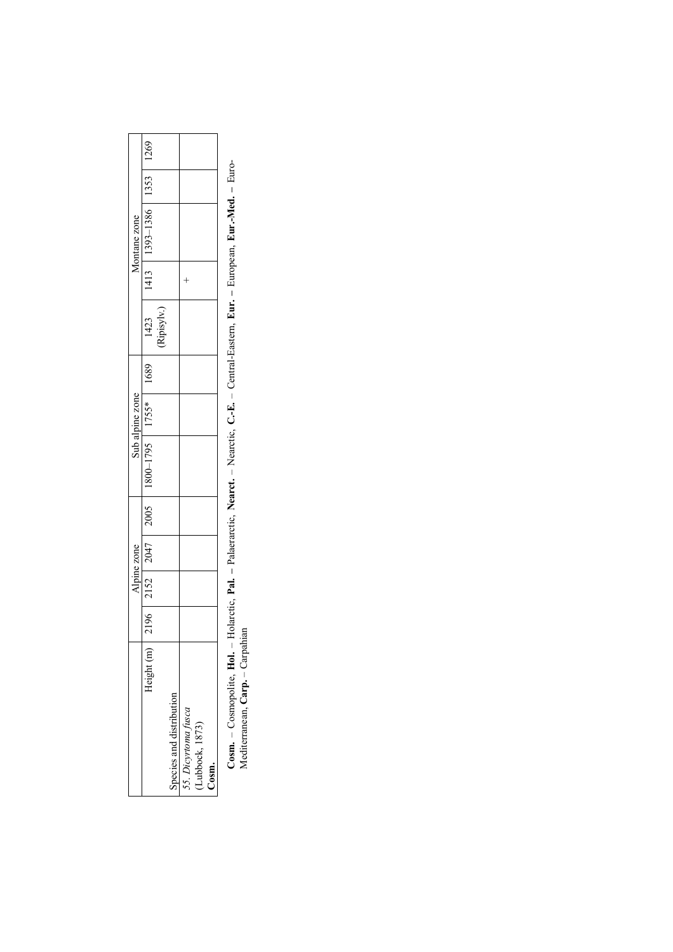|                          |  | <b>Alpine zone</b> |  | Sub alpine zone |      |            | Montane zone                   |  |
|--------------------------|--|--------------------|--|-----------------|------|------------|--------------------------------|--|
| leight                   |  | $2196$ 2152 2047   |  |                 | 1689 | 1423       | 1413   1393-1386   1353   1269 |  |
|                          |  |                    |  |                 |      | Ripisylv.) |                                |  |
| 'necies and distribution |  |                    |  |                 |      |            |                                |  |
| Dicyrtoma fusca          |  |                    |  |                 |      |            |                                |  |
| ubbock, 1873             |  |                    |  |                 |      |            |                                |  |
| esm                      |  |                    |  |                 |      |            |                                |  |
|                          |  |                    |  |                 |      |            |                                |  |

Cosm. - Cosmopolite, Hol. - Holarctic, Pal. - Palaerarctic, Nearct. - Nearctic, C.-E. - Central-Eastern, Eur. - European, Eur.-Med. - Euro-Mediterranean, Carp. - Carpahian **Cosm.** – Cosmopolite, **Hol.** – Holarctic, **Pal. –** Palaerarctic, **Nearct.** – Nearctic, **C.-E.** – Central-Eastern, **Eur. –** European, **Eur.-Med. –** Euro-Mediterranean, **Carp.** – Carpahian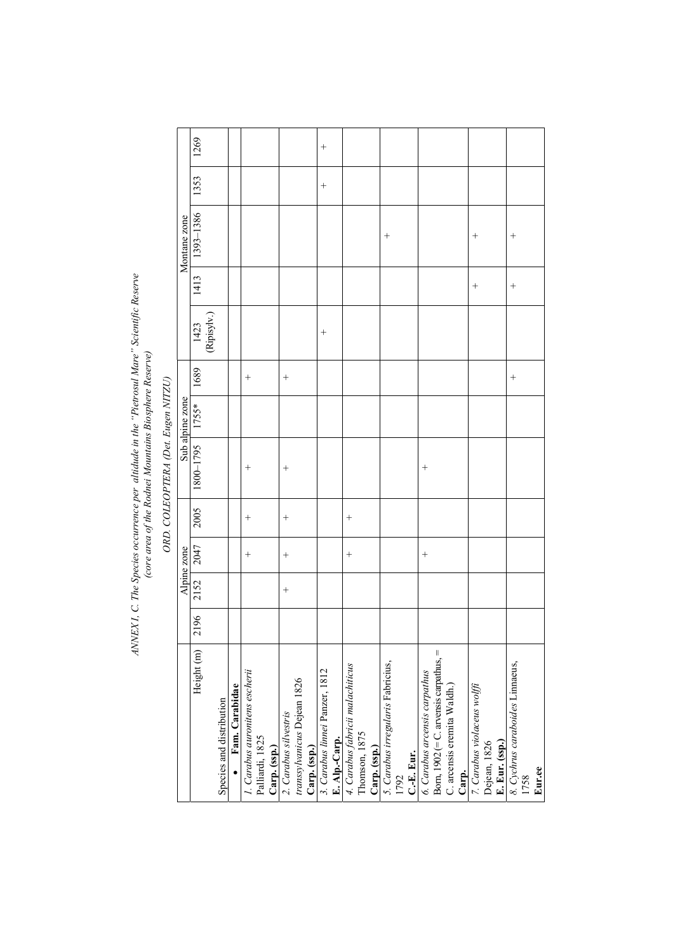ANNEX I, C. The Species occurrence per altidude in the "Pietrosul Mare" Scientific Reserve<br>(core area of the Rodnei Mountains Biosphere Reserve) *ANNEX I, C. The Species occurrence per altidude in the "Pietrosul Mare" Scientific Reserve (core area of the Rodnei Mountains Biosphere Reserve)* 

ORD. COLEOPTERA (Det. Eugen NITZU) *ORD. COLEOPTERA (Det. Eugen NITZU)* 

|      |        | Alpine zone |                    |                    | Sub alpine zone |        |                     |        | Montane zone |        |        |
|------|--------|-------------|--------------------|--------------------|-----------------|--------|---------------------|--------|--------------|--------|--------|
| 2196 | 2152   | 2047        | 2005               | 1800-1795          | $1755*$         | 1689   | 1423<br>(Ripisylv.) | 1413   | 1393-1386    | 1353   | 1269   |
|      |        |             |                    |                    |                 |        |                     |        |              |        |        |
|      |        |             |                    |                    |                 |        |                     |        |              |        |        |
|      |        |             |                    |                    |                 |        |                     |        |              |        |        |
|      |        | $^{+}$      | $\hspace{0.1mm} +$ | $\hspace{0.1mm} +$ |                 | $^{+}$ |                     |        |              |        |        |
|      |        |             |                    |                    |                 |        |                     |        |              |        |        |
|      |        |             |                    |                    |                 |        |                     |        |              |        |        |
|      | $^{+}$ | $^{+}$      | $^{+}$             | $^{+}$             |                 | $^{+}$ |                     |        |              |        |        |
|      |        |             |                    |                    |                 |        |                     |        |              |        |        |
|      |        |             |                    |                    |                 |        |                     |        |              |        |        |
|      |        |             |                    |                    |                 |        | $^{+}$              |        |              | $^{+}$ | $^{+}$ |
|      |        |             |                    |                    |                 |        |                     |        |              |        |        |
|      |        | $^{+}$      | $^{+}$             |                    |                 |        |                     |        |              |        |        |
|      |        |             |                    |                    |                 |        |                     |        |              |        |        |
|      |        |             |                    |                    |                 |        |                     |        |              |        |        |
|      |        |             |                    |                    |                 |        |                     |        | $^{+}$       |        |        |
|      |        |             |                    |                    |                 |        |                     |        |              |        |        |
|      |        |             |                    |                    |                 |        |                     |        |              |        |        |
|      |        | $^{+}$      |                    | $^{+}$             |                 |        |                     |        |              |        |        |
|      |        |             |                    |                    |                 |        |                     |        |              |        |        |
|      |        |             |                    |                    |                 |        |                     |        |              |        |        |
|      |        |             |                    |                    |                 |        |                     |        |              |        |        |
|      |        |             |                    |                    |                 |        |                     | $^{+}$ | $^{+}$       |        |        |
|      |        |             |                    |                    |                 |        |                     |        |              |        |        |
|      |        |             |                    |                    |                 |        |                     |        |              |        |        |
|      |        |             |                    |                    |                 | $^{+}$ |                     | $^{+}$ | $^{+}$       |        |        |
|      |        |             |                    |                    |                 |        |                     |        |              |        |        |
|      |        |             |                    |                    |                 |        |                     |        |              |        |        |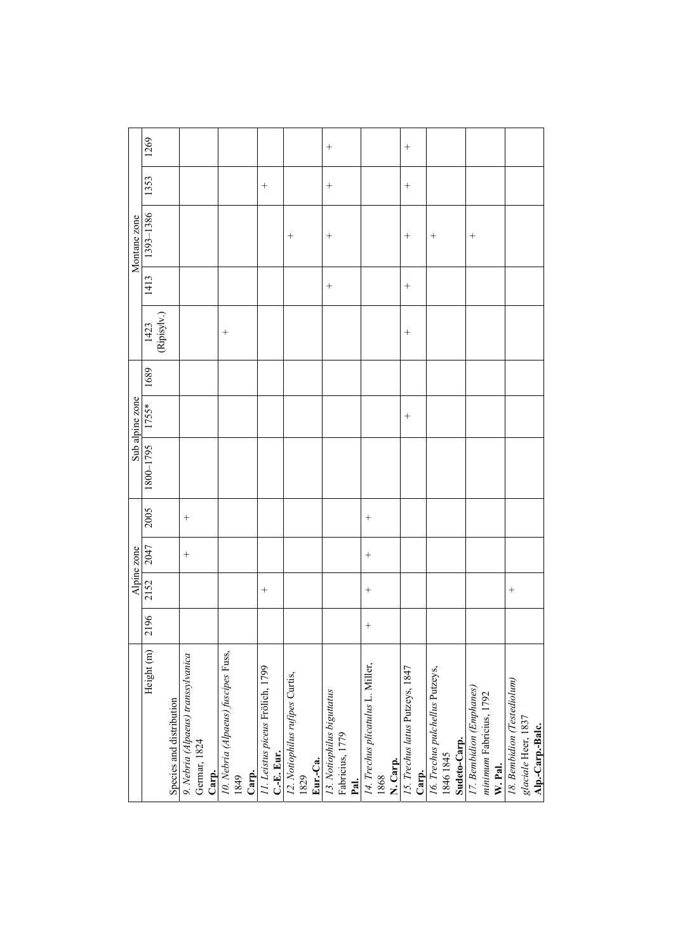|                                                    |        |        | Alpine zone |        |           | Sub alpine zone   |      |                     |        | Montane zone |        |        |
|----------------------------------------------------|--------|--------|-------------|--------|-----------|-------------------|------|---------------------|--------|--------------|--------|--------|
| Height (m)                                         | 2196   | 2152   | 2047        | 2005   | 5621-0081 | $*$ 55 $\angle$ 1 | 1689 | $[423]$ (Ripisylv.) | 1413   | 1393-1386    | 1353   | 1269   |
| Species and distribution                           |        |        |             |        |           |                   |      |                     |        |              |        |        |
|                                                    |        |        |             |        |           |                   |      |                     |        |              |        |        |
| 9. Nebria (Alpaeus) transsylvanica<br>Germar, 1824 |        |        | $^{+}$      | $^{+}$ |           |                   |      |                     |        |              |        |        |
| Carp.                                              |        |        |             |        |           |                   |      |                     |        |              |        |        |
| 10. Nebria (Alpaeus) fuscipes Fuss,                |        |        |             |        |           |                   |      | $^{+}$              |        |              |        |        |
| 1849                                               |        |        |             |        |           |                   |      |                     |        |              |        |        |
| Carp.                                              |        |        |             |        |           |                   |      |                     |        |              |        |        |
| 11. Leistus piceus Frölich, 1799                   |        | $^{+}$ |             |        |           |                   |      |                     |        |              | $^{+}$ |        |
| C.-E. Eur.                                         |        |        |             |        |           |                   |      |                     |        |              |        |        |
| 12. Notiophilus rufipes Curtis,                    |        |        |             |        |           |                   |      |                     |        |              |        |        |
| 1829                                               |        |        |             |        |           |                   |      |                     |        |              |        |        |
| Eur.-Ca.                                           |        |        |             |        |           |                   |      |                     |        |              |        |        |
| 13. Notiophilus biguttatus                         |        |        |             |        |           |                   |      |                     | $^{+}$ | $^{+}$       | $^{+}$ |        |
| Fabricius, 1779                                    |        |        |             |        |           |                   |      |                     |        |              |        |        |
| Pal.                                               |        |        |             |        |           |                   |      |                     |        |              |        |        |
| 14. Trechus plicatulus L. Miller,                  | $^{+}$ | $^{+}$ | $^{+}$      | $^{+}$ |           |                   |      |                     |        |              |        |        |
| 1868                                               |        |        |             |        |           |                   |      |                     |        |              |        |        |
| N. Carp.                                           |        |        |             |        |           |                   |      |                     |        |              |        |        |
| 15. Trechus latus Putzeys, 1847                    |        |        |             |        |           | $^{+}$            |      | $^{+}$              | $^{+}$ | $^{+}$       | $^{+}$ | $^{+}$ |
| Carp.                                              |        |        |             |        |           |                   |      |                     |        |              |        |        |
| 16. Trechus pulchellus Putzeys,                    |        |        |             |        |           |                   |      |                     |        | $^{+}$       |        |        |
| 1846 1845                                          |        |        |             |        |           |                   |      |                     |        |              |        |        |
| Sudeto-Carp.                                       |        |        |             |        |           |                   |      |                     |        |              |        |        |
| 17. Bembidion (Emphanes)                           |        |        |             |        |           |                   |      |                     |        | $^{+}$       |        |        |
| minimum Fabricius, 1792                            |        |        |             |        |           |                   |      |                     |        |              |        |        |
| W. Pal.                                            |        |        |             |        |           |                   |      |                     |        |              |        |        |
| 18. Bembidion (Testediolum)                        |        | $^{+}$ |             |        |           |                   |      |                     |        |              |        |        |
| glaciale Heer, 1837                                |        |        |             |        |           |                   |      |                     |        |              |        |        |
| Alp.-Carp.-Balc.                                   |        |        |             |        |           |                   |      |                     |        |              |        |        |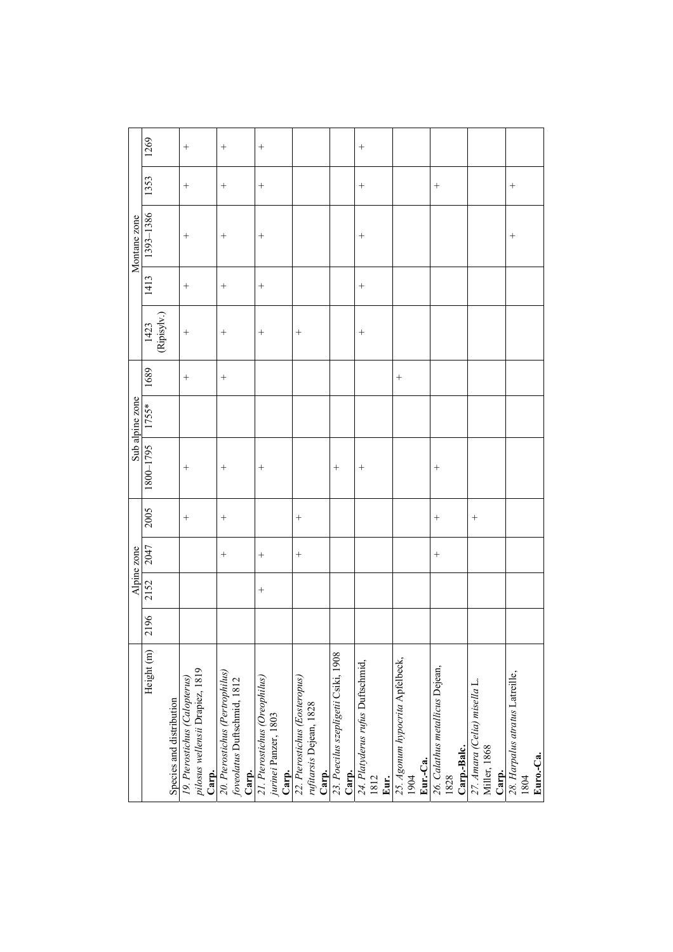|                 | 1269                 |                          |                                                                           | $^{+}$                                                                  |                                                                |                                                                   |                                               |                                                  |                                                     |                                                        |                                                       |                                                      |
|-----------------|----------------------|--------------------------|---------------------------------------------------------------------------|-------------------------------------------------------------------------|----------------------------------------------------------------|-------------------------------------------------------------------|-----------------------------------------------|--------------------------------------------------|-----------------------------------------------------|--------------------------------------------------------|-------------------------------------------------------|------------------------------------------------------|
|                 | 1353                 |                          | $^{+}$                                                                    | $^{+}$                                                                  | $^{+}$                                                         |                                                                   |                                               | $^{+}$                                           |                                                     | $^{+}$                                                 |                                                       | $^{+}$                                               |
| Montane zone    | 1393-1386            |                          | $^{+}$                                                                    | $^{+}$                                                                  | $^{+}$                                                         |                                                                   |                                               | $^{+}$                                           |                                                     |                                                        |                                                       | $^{+}$                                               |
|                 | 1413                 |                          | $^{+}$                                                                    | $^{+}$                                                                  | $^{+}$                                                         |                                                                   |                                               | $^{+}$                                           |                                                     |                                                        |                                                       |                                                      |
|                 | $[1423]$ (Ripisylv.) |                          | $^{+}$                                                                    | $^{+}$                                                                  |                                                                | $^{+}$                                                            |                                               | $^{+}$                                           |                                                     |                                                        |                                                       |                                                      |
|                 | 1689                 |                          |                                                                           | $^{+}$                                                                  |                                                                |                                                                   |                                               |                                                  | $^{+}$                                              |                                                        |                                                       |                                                      |
| Sub alpine zone | 1755*                |                          |                                                                           |                                                                         |                                                                |                                                                   |                                               |                                                  |                                                     |                                                        |                                                       |                                                      |
|                 | 1800-1795            |                          | $^{+}$                                                                    | $^{+}$                                                                  | $^{+}$                                                         |                                                                   | $^{+}$                                        | $^{+}$                                           |                                                     | $^{+}$                                                 |                                                       |                                                      |
|                 | 2005                 |                          | $^{+}$                                                                    | $^{+}$                                                                  |                                                                | $^{+}$                                                            |                                               |                                                  |                                                     | $^{+}$                                                 | $^{+}$                                                |                                                      |
| Alpine zone     | 2047                 |                          |                                                                           | $^{+}$                                                                  | $^{+}$                                                         | $^{+}$                                                            |                                               |                                                  |                                                     | $^{+}$                                                 |                                                       |                                                      |
|                 | 2152                 |                          |                                                                           |                                                                         | $^{+}$                                                         |                                                                   |                                               |                                                  |                                                     |                                                        |                                                       |                                                      |
|                 | 2196                 |                          |                                                                           |                                                                         |                                                                |                                                                   |                                               |                                                  |                                                     |                                                        |                                                       |                                                      |
|                 | Height (m)           | Species and distribution | pilosus wellensii Drapiez, 1819<br>19. Pterostichus (Calopterus)<br>Carp. | 20. Pterostichus (Pertrophilus)<br>foveolatus Duftschmid, 1812<br>Carp. | 21. Pterostichus (Oreophilus)<br>jurinei Panzer, 1803<br>Carp. | 22. Pterostichus (Eosteropus)<br>rufitarsis Dejean, 1828<br>Carp. | 23. Poecilus szepligetii Csiki, 1908<br>Carp. | 24. Platyderus rufus Duftschmid,<br>1812<br>Eur. | 25. Agonum hypocrita Apfelbeck,<br>Eur.-Ca.<br>1904 | 26. Calathus metallicus Dejean,<br>Carp.-Balc.<br>1828 | 27. Amara (Celia) misella L.<br>Miller, 1868<br>Carp. | 28. Harpalus atratus Latreille,<br>Euro.-Ca.<br>1804 |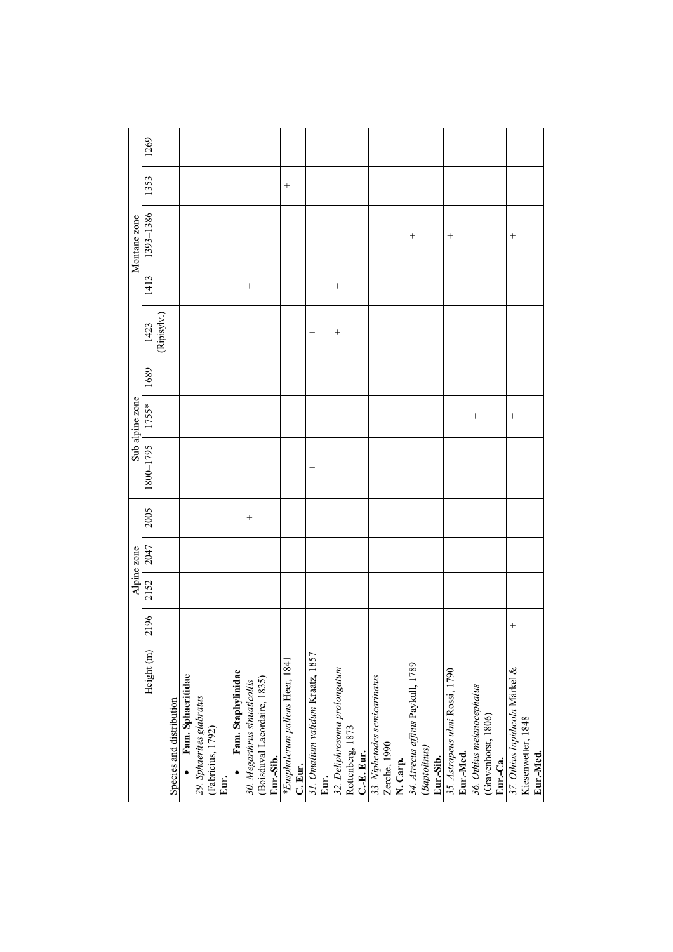|                                   |        |        | Alpine zone |        |                                        |        |      |                                   |                | Montane zone       |        |                    |
|-----------------------------------|--------|--------|-------------|--------|----------------------------------------|--------|------|-----------------------------------|----------------|--------------------|--------|--------------------|
| Height (m)                        | 2196   | 2152   | 2047        | 2005   | Sub alpine zone<br>$1800-1795$ $1755*$ |        | 1689 | $\frac{1423}{\text{(Ripisyly.)}}$ | 1413           | 1393-1386          | 1353   | 1269               |
|                                   |        |        |             |        |                                        |        |      |                                   |                |                    |        |                    |
| Species and distribution          |        |        |             |        |                                        |        |      |                                   |                |                    |        |                    |
| Fam. Sphaeritidae                 |        |        |             |        |                                        |        |      |                                   |                |                    |        |                    |
| 29. Sphaerites glabratus          |        |        |             |        |                                        |        |      |                                   |                |                    |        | $\hspace{0.1mm} +$ |
| (Fabricius, 1792)                 |        |        |             |        |                                        |        |      |                                   |                |                    |        |                    |
| Eur.                              |        |        |             |        |                                        |        |      |                                   |                |                    |        |                    |
| Fam. Staphylinidae                |        |        |             |        |                                        |        |      |                                   |                |                    |        |                    |
| 30. Megarthrus sinuaticollis      |        |        |             | $^{+}$ |                                        |        |      |                                   | $^{+}$         |                    |        |                    |
| (Boisduval Lacordaire, 1835)      |        |        |             |        |                                        |        |      |                                   |                |                    |        |                    |
| Eur.-Sib.                         |        |        |             |        |                                        |        |      |                                   |                |                    |        |                    |
| *Eusphalerum pallens Heer, 1841   |        |        |             |        |                                        |        |      |                                   |                |                    | $^{+}$ |                    |
| C. Eur.                           |        |        |             |        |                                        |        |      |                                   |                |                    |        |                    |
| 31. Omalium validum Kraatz, 1857  |        |        |             |        | $\hspace{0.1mm} +$                     |        |      | $^{+}$                            | $\overline{+}$ |                    |        | $\hspace{0.1mm} +$ |
| Eur.                              |        |        |             |        |                                        |        |      |                                   |                |                    |        |                    |
| 32. Deliphrosoma prolongatum      |        |        |             |        |                                        |        |      | $^{+}$                            | $^{+}$         |                    |        |                    |
| Rottenberg, 1873                  |        |        |             |        |                                        |        |      |                                   |                |                    |        |                    |
| C.-E. Eur.                        |        |        |             |        |                                        |        |      |                                   |                |                    |        |                    |
| 33. Niphetodes semicarinatus      |        | $^{+}$ |             |        |                                        |        |      |                                   |                |                    |        |                    |
| Zerche, 1990                      |        |        |             |        |                                        |        |      |                                   |                |                    |        |                    |
| N. Carp.                          |        |        |             |        |                                        |        |      |                                   |                |                    |        |                    |
| 34. Atrecus affinis Paykull, 1789 |        |        |             |        |                                        |        |      |                                   |                | $\hspace{0.1mm} +$ |        |                    |
| (Baptolinus)                      |        |        |             |        |                                        |        |      |                                   |                |                    |        |                    |
| Eur.-Sib.                         |        |        |             |        |                                        |        |      |                                   |                |                    |        |                    |
| 35. Astrapeus ulmi Rossi, 1790    |        |        |             |        |                                        |        |      |                                   |                | $^{+}$             |        |                    |
| Eur.-Med.                         |        |        |             |        |                                        |        |      |                                   |                |                    |        |                    |
| 36. Othius melanocephalus         |        |        |             |        |                                        | $^{+}$ |      |                                   |                |                    |        |                    |
| (Gravenhorst, 1806)               |        |        |             |        |                                        |        |      |                                   |                |                    |        |                    |
| Eur.-Ca.                          |        |        |             |        |                                        |        |      |                                   |                |                    |        |                    |
| 37. Othius lapidicola Märkel &    | $^{+}$ |        |             |        |                                        | $^{+}$ |      |                                   |                | $\hspace{0.1mm} +$ |        |                    |
| Kiesenwetter, 1848                |        |        |             |        |                                        |        |      |                                   |                |                    |        |                    |
| Eur.-Med.                         |        |        |             |        |                                        |        |      |                                   |                |                    |        |                    |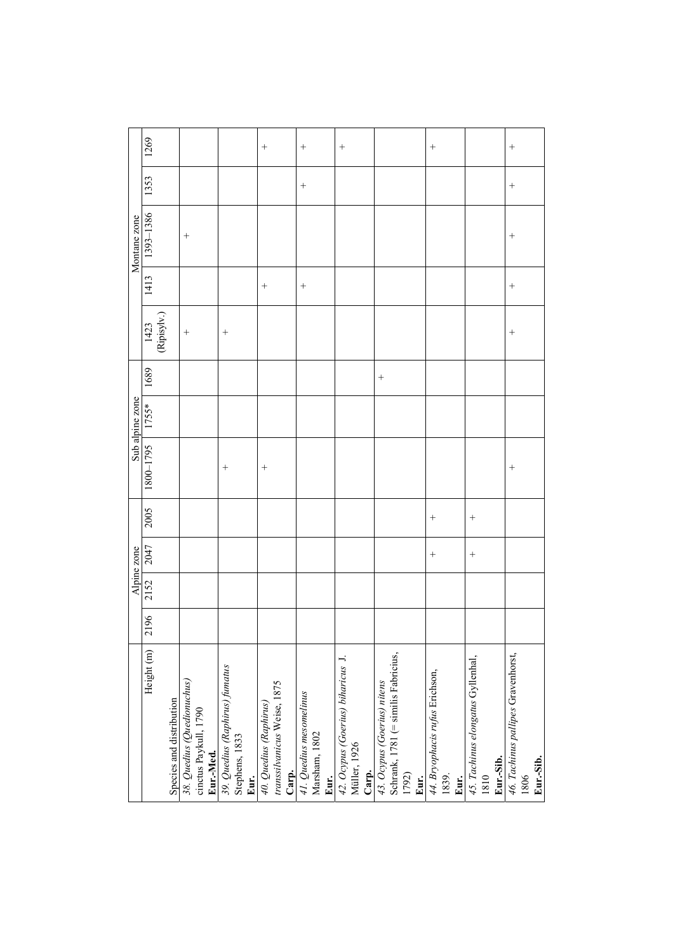|                                                                                     |      |      | Alpine zone |        |           | Sub alpine zone |      |                     |        | Montane zone |        |        |
|-------------------------------------------------------------------------------------|------|------|-------------|--------|-----------|-----------------|------|---------------------|--------|--------------|--------|--------|
| Height (m)                                                                          | 2196 | 2152 | 2047        | 2005   | 1800-1795 | $1755*$         | 1689 | $[423]$ (Ripisylv.) | 1413   | 1393-1386    | 1353   | 1269   |
| Species and distribution                                                            |      |      |             |        |           |                 |      |                     |        |              |        |        |
| 38. Quedius (Quedionuchus)<br>cinctus Paykull, 1790<br>Eur.-Med.                    |      |      |             |        |           |                 |      | $^{+}$              |        | $^{+}$       |        |        |
| 39. Quedius (Raphirus) fumatus<br>Stephens, 1833<br>Eur.                            |      |      |             |        | $^{+}$    |                 |      | $^{+}$              |        |              |        |        |
| transsilvanicus Weise, 1875<br>40. Quedius (Raphirus)<br>Carp.                      |      |      |             |        | $^{+}$    |                 |      |                     |        |              |        | $^{+}$ |
| 41. Quedius mesomelinus<br>Marsham, 1802<br>Eur.                                    |      |      |             |        |           |                 |      |                     | $^{+}$ |              | $^{+}$ | $^{+}$ |
| 42. Ocypus (Goerius) biharicus J.<br>Müller, 1926<br>Carp.                          |      |      |             |        |           |                 |      |                     |        |              |        |        |
| Schrank, 1781 (= similis Fabricius,<br>43. Ocypus (Goerius) nitens<br>1792)<br>Eur. |      |      |             |        |           |                 |      |                     |        |              |        |        |
| 44. Bryophacis rufus Erichson,<br>1839.<br>Eur.                                     |      |      | $^{+}$      | $^{+}$ |           |                 |      |                     |        |              |        | $^{+}$ |
| 45. Tachinus elongatus Gyllenhal,<br>Eur.-Sib.<br>1810                              |      |      | $^{+}$      | $^{+}$ |           |                 |      |                     |        |              |        |        |
| 46. Tachinus pallipes Gravenhorst,<br>Eur.-Sib.<br>1806                             |      |      |             |        | $^{+}$    |                 |      | $^{+}$              | $^{+}$ | $^{+}$       | $^{+}$ | $^{+}$ |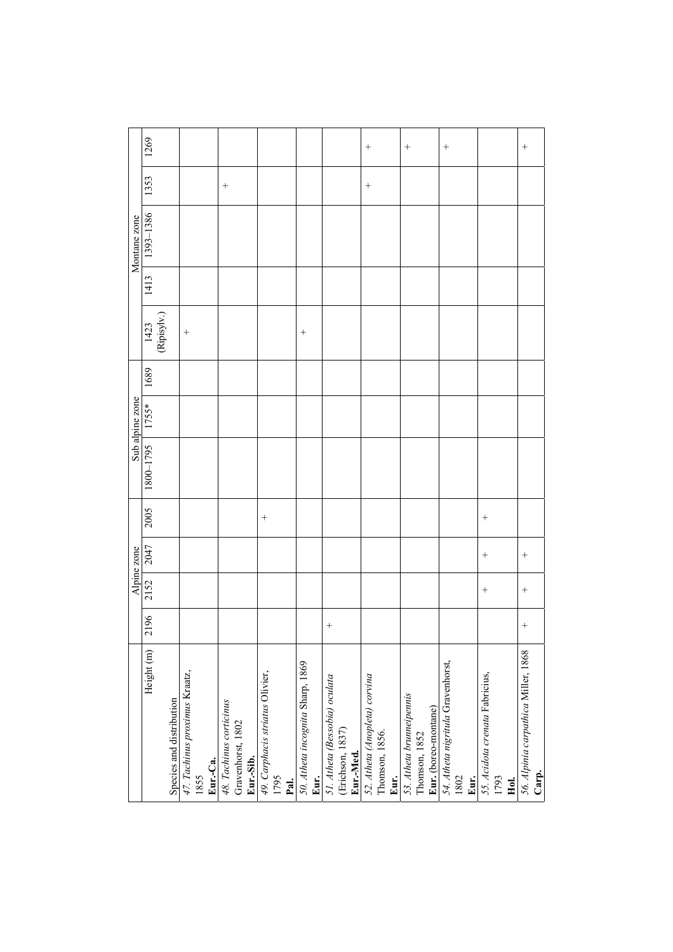|                 | 1269                 |                          |                                       |          |                                              |           |                                 |              |                                          |                               |                  |           | $\! + \!$                     |                |      | $\qquad \qquad +$        |               |                      | $^{+}$                                    |      |                                |      |      | $^{+}$                                       |
|-----------------|----------------------|--------------------------|---------------------------------------|----------|----------------------------------------------|-----------|---------------------------------|--------------|------------------------------------------|-------------------------------|------------------|-----------|-------------------------------|----------------|------|--------------------------|---------------|----------------------|-------------------------------------------|------|--------------------------------|------|------|----------------------------------------------|
|                 |                      |                          |                                       |          |                                              |           |                                 |              |                                          |                               |                  |           |                               |                |      |                          |               |                      |                                           |      |                                |      |      |                                              |
|                 | 1353                 |                          |                                       |          | $^{+}$                                       |           |                                 |              |                                          |                               |                  |           | $^{+}$                        |                |      |                          |               |                      |                                           |      |                                |      |      |                                              |
| Montane zone    | 1393-1386            |                          |                                       |          |                                              |           |                                 |              |                                          |                               |                  |           |                               |                |      |                          |               |                      |                                           |      |                                |      |      |                                              |
|                 | 1413                 |                          |                                       |          |                                              |           |                                 |              |                                          |                               |                  |           |                               |                |      |                          |               |                      |                                           |      |                                |      |      |                                              |
|                 | 1423                 | (Ripisylv.)              | $^{+}$                                |          |                                              |           |                                 |              | $^{+}$                                   |                               |                  |           |                               |                |      |                          |               |                      |                                           |      |                                |      |      |                                              |
|                 | 1689                 |                          |                                       |          |                                              |           |                                 |              |                                          |                               |                  |           |                               |                |      |                          |               |                      |                                           |      |                                |      |      |                                              |
| Sub alpine zone | $1755*$              |                          |                                       |          |                                              |           |                                 |              |                                          |                               |                  |           |                               |                |      |                          |               |                      |                                           |      |                                |      |      |                                              |
|                 | 1800-1795            |                          |                                       |          |                                              |           |                                 |              |                                          |                               |                  |           |                               |                |      |                          |               |                      |                                           |      |                                |      |      |                                              |
|                 | 2005                 |                          |                                       |          |                                              |           | $^{+}$                          |              |                                          |                               |                  |           |                               |                |      |                          |               |                      |                                           |      | $^{+}$                         |      |      |                                              |
| Alpine zone     | 2047                 |                          |                                       |          |                                              |           |                                 |              |                                          |                               |                  |           |                               |                |      |                          |               |                      |                                           |      | $^{+}$                         |      |      | $^{+}$                                       |
|                 | 2152                 |                          |                                       |          |                                              |           |                                 |              |                                          |                               |                  |           |                               |                |      |                          |               |                      |                                           |      | $^{+}$                         |      |      | $^{+}$                                       |
|                 | 96<br>$\overline{c}$ |                          |                                       |          |                                              |           |                                 |              |                                          | $^{+}$                        |                  |           |                               |                |      |                          |               |                      |                                           |      |                                |      |      | $^{+}$                                       |
|                 | Height (m)           | Species and distribution | 47. Tachinus proximus Kraatz,<br>1855 | Eur.-Ca. | 48. Tachinus corticinus<br>Gravenhorst, 1802 | Eur.-Sib. | 49. Carphacis striatus Olivier, | 1795<br>Pal. | 50. Atheta incognita Sharp, 1869<br>Eur. | 51. Atheta (Bessobia) oculata | (Erichson, 1837) | Eur.-Med. | 52. Atheta (Anopleta) corvina | Thomson, 1856. | Eur. | 53. Atheta brunneipennis | Thomson, 1852 | Eur. (boreo-montane) | 54. Atheta nigritula Gravenhorst,<br>1802 | Eur. | 55. Acidota crenata Fabricius, | 1793 | Hol. | 56. Alpinia carpathica Miller, 1868<br>Carp. |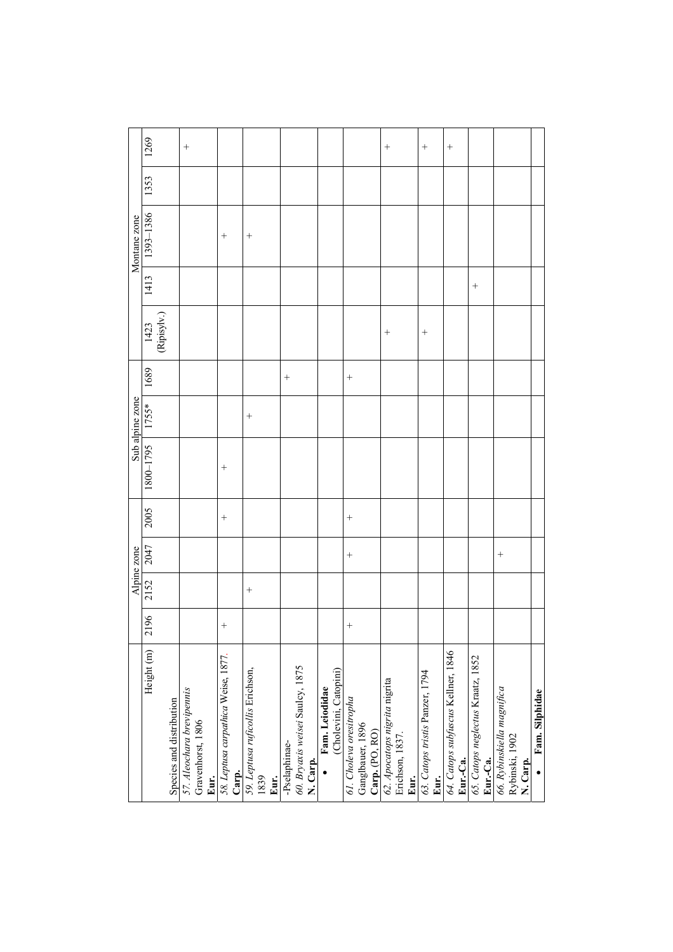|                                                  |        |        | Alpine zone |        |           | Sub alpine zone |        |                     |        | Montane zone |      |        |
|--------------------------------------------------|--------|--------|-------------|--------|-----------|-----------------|--------|---------------------|--------|--------------|------|--------|
| Height (m)                                       | 2196   | 2152   | 2047        | 2005   | 5621-0081 | 1755*           | 1689   | $[423]$ (Ripisylv.) | 1413   | 1393-1386    | 1353 | 1269   |
|                                                  |        |        |             |        |           |                 |        |                     |        |              |      |        |
| Species and distribution                         |        |        |             |        |           |                 |        |                     |        |              |      |        |
| 57. Aleochara brevipennis<br>Gravenhorst, 1806   |        |        |             |        |           |                 |        |                     |        |              |      |        |
| Eur.                                             |        |        |             |        |           |                 |        |                     |        |              |      |        |
| 58. Leptusa carpathica Weise, 1877.              | $^{+}$ |        |             | $^{+}$ | $^{+}$    |                 |        |                     |        | $^{+}$       |      |        |
| Carp.                                            |        |        |             |        |           |                 |        |                     |        |              |      |        |
| 59. Leptusa ruficollis Erichson,<br>1839         |        | $^{+}$ |             |        |           | $^{+}$          |        |                     |        | $^{+}$       |      |        |
| Eur.                                             |        |        |             |        |           |                 |        |                     |        |              |      |        |
| -Pselaphinae-                                    |        |        |             |        |           |                 | $\! +$ |                     |        |              |      |        |
| 60. Bryaxis weisei Saulcy, 1875<br>N. Carp.      |        |        |             |        |           |                 |        |                     |        |              |      |        |
| Fam. Leiodidae                                   |        |        |             |        |           |                 |        |                     |        |              |      |        |
| (Cholevini, Catopini)                            |        |        |             |        |           |                 |        |                     |        |              |      |        |
|                                                  |        |        |             |        |           |                 |        |                     |        |              |      |        |
| 61. Choleva oresitropha                          | $^{+}$ |        | $^{+}$      | $^{+}$ |           |                 | $^{+}$ |                     |        |              |      |        |
| Ganglbauer, 1896                                 |        |        |             |        |           |                 |        |                     |        |              |      |        |
| Carp. (PO, RO)                                   |        |        |             |        |           |                 |        |                     |        |              |      |        |
| 62. Apocatops nigrita nigrita<br>Erichson, 1837. |        |        |             |        |           |                 |        | $^{+}$              |        |              |      | $^{+}$ |
| Eur.                                             |        |        |             |        |           |                 |        |                     |        |              |      |        |
| 63. Catops tristis Panzer, 1794                  |        |        |             |        |           |                 |        | $^{+}$              |        |              |      | $^{+}$ |
| Eur.                                             |        |        |             |        |           |                 |        |                     |        |              |      |        |
| 64. Catops subfuscus Kellner, 1846               |        |        |             |        |           |                 |        |                     |        |              |      | $\! +$ |
| Eur.-Ca.                                         |        |        |             |        |           |                 |        |                     |        |              |      |        |
| 65. Catops neglectus Kraatz, 1852<br>Eur.-Ca.    |        |        |             |        |           |                 |        |                     | $^{+}$ |              |      |        |
|                                                  |        |        |             |        |           |                 |        |                     |        |              |      |        |
| 66. Rybinskiella magnifica<br>Rybinski, 1902     |        |        | $^{+}$      |        |           |                 |        |                     |        |              |      |        |
| N. Carp.                                         |        |        |             |        |           |                 |        |                     |        |              |      |        |
| Fam. Silphidae                                   |        |        |             |        |           |                 |        |                     |        |              |      |        |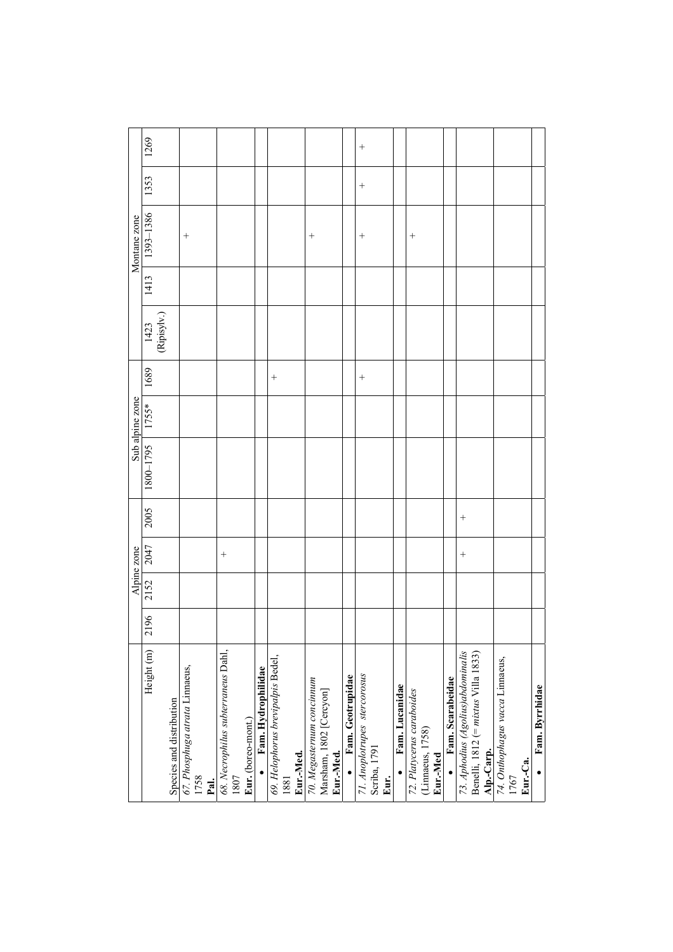|                                                |      |      | Alpine zone |        |                                             |        |                                   |      | Montane zone |        |        |
|------------------------------------------------|------|------|-------------|--------|---------------------------------------------|--------|-----------------------------------|------|--------------|--------|--------|
| Height (m)                                     | 2196 | 2152 | 2047        | 2005   | $\frac{\text{Sub alpine zone}}{11800-1795}$ | 1689   | $\frac{1423}{\text{(Ripisyly.)}}$ | 1413 | 1393-1386    | 1353   | 1269   |
|                                                |      |      |             |        |                                             |        |                                   |      |              |        |        |
| Species and distribution                       |      |      |             |        |                                             |        |                                   |      |              |        |        |
| 67. Phosphuga atrata Linnaeus,<br>1758<br>Pal. |      |      |             |        |                                             |        |                                   |      | $^{+}$       |        |        |
| 68. Necrophilus subterraneus Dahl,             |      |      | $^{+}$      |        |                                             |        |                                   |      |              |        |        |
| 1807                                           |      |      |             |        |                                             |        |                                   |      |              |        |        |
| Eur. (boreo-mont.)                             |      |      |             |        |                                             |        |                                   |      |              |        |        |
| Fam. Hydrophilidae                             |      |      |             |        |                                             |        |                                   |      |              |        |        |
| 69. Helophorus brevipalpis Bedel,              |      |      |             |        |                                             | $^{+}$ |                                   |      |              |        |        |
| Eur.-Med.<br>1881                              |      |      |             |        |                                             |        |                                   |      |              |        |        |
| 70. Megasternum concinnum                      |      |      |             |        |                                             |        |                                   |      | $^{+}$       |        |        |
| Marsham, 1802 [Cercyon]                        |      |      |             |        |                                             |        |                                   |      |              |        |        |
| Eur.-Med.                                      |      |      |             |        |                                             |        |                                   |      |              |        |        |
| Fam. Geotrupidae                               |      |      |             |        |                                             |        |                                   |      |              |        |        |
| 71. Anoplotrupes stercorosus                   |      |      |             |        |                                             | $^{+}$ |                                   |      | $^{+}$       | $^{+}$ | $^{+}$ |
| Scriba, 1791                                   |      |      |             |        |                                             |        |                                   |      |              |        |        |
| Eur.                                           |      |      |             |        |                                             |        |                                   |      |              |        |        |
| Fam. Lucanidae                                 |      |      |             |        |                                             |        |                                   |      |              |        |        |
| 72. Platycerus caraboides                      |      |      |             |        |                                             |        |                                   |      | $^{+}$       |        |        |
| (Linnaeus, 1758)<br>Eur.-Med                   |      |      |             |        |                                             |        |                                   |      |              |        |        |
| Fam. Scarabeidae                               |      |      |             |        |                                             |        |                                   |      |              |        |        |
| 73. Aphodius (Agolius)abdominalis              |      |      | $^{+}$      | $^{+}$ |                                             |        |                                   |      |              |        |        |
| Benelli, 1812 (= $mixus$ Villa 1833)           |      |      |             |        |                                             |        |                                   |      |              |        |        |
| Alp.-Carp.                                     |      |      |             |        |                                             |        |                                   |      |              |        |        |
| 74. Onthophagus vacca Linnaeus,                |      |      |             |        |                                             |        |                                   |      |              |        |        |
| 1767                                           |      |      |             |        |                                             |        |                                   |      |              |        |        |
| Eur.-Ca.                                       |      |      |             |        |                                             |        |                                   |      |              |        |        |
| Fam. Byrrhidae                                 |      |      |             |        |                                             |        |                                   |      |              |        |        |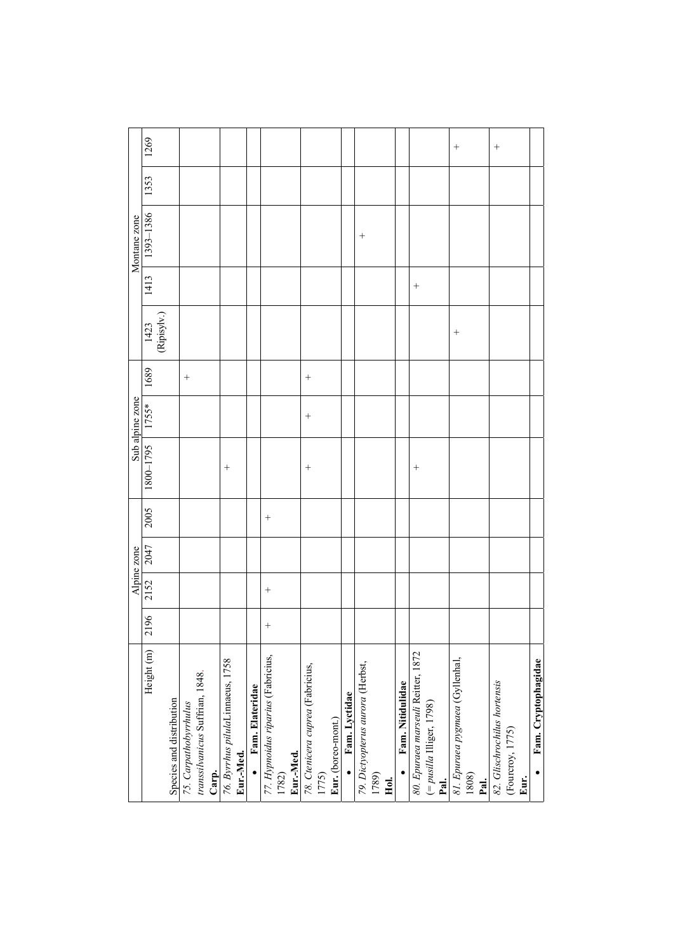|                                    |        |        | Alpine zone |        |                    | Sub alpine zone |        |                         |        | Montane zone |      |        |
|------------------------------------|--------|--------|-------------|--------|--------------------|-----------------|--------|-------------------------|--------|--------------|------|--------|
| Height (m)                         | 2196   | 2152   | 2047        | 2005   | 5621-0081          | $  1755*$       | 1689   |                         | 1413   | 1393-1386    | 1353 | 1269   |
|                                    |        |        |             |        |                    |                 |        | $(1423)$<br>(Ripisylv.) |        |              |      |        |
| Species and distribution           |        |        |             |        |                    |                 |        |                         |        |              |      |        |
| 75. Carpathobyrrhulus              |        |        |             |        |                    |                 | $\! +$ |                         |        |              |      |        |
| transsilvanicus Suffrian, 1848.    |        |        |             |        |                    |                 |        |                         |        |              |      |        |
| Carp.                              |        |        |             |        |                    |                 |        |                         |        |              |      |        |
| 76. Byrrhus pilulaLinnaeus, 1758   |        |        |             |        | $\hspace{0.1mm} +$ |                 |        |                         |        |              |      |        |
| Eur.-Med.                          |        |        |             |        |                    |                 |        |                         |        |              |      |        |
| Fam. Elateridae                    |        |        |             |        |                    |                 |        |                         |        |              |      |        |
| 77. Hypnoidus riparius (Fabricius, | $^{+}$ | $^{+}$ |             | $^{+}$ |                    |                 |        |                         |        |              |      |        |
| 1782)                              |        |        |             |        |                    |                 |        |                         |        |              |      |        |
| Eur.-Med.                          |        |        |             |        |                    |                 |        |                         |        |              |      |        |
| 78. Ctenicera cuprea (Fabricius,   |        |        |             |        | $^{+}$             | $^{+}$          | $^{+}$ |                         |        |              |      |        |
| 1775)                              |        |        |             |        |                    |                 |        |                         |        |              |      |        |
| Eur. (boreo-mont.)                 |        |        |             |        |                    |                 |        |                         |        |              |      |        |
| Fam. Lyctidae                      |        |        |             |        |                    |                 |        |                         |        |              |      |        |
| 79. Dictyopterus aurora (Herbst,   |        |        |             |        |                    |                 |        |                         |        | $^{+}$       |      |        |
| 1789)                              |        |        |             |        |                    |                 |        |                         |        |              |      |        |
| Hol.                               |        |        |             |        |                    |                 |        |                         |        |              |      |        |
| Fam. Nitidulidae                   |        |        |             |        |                    |                 |        |                         |        |              |      |        |
| 80. Epuraea marseuli Reitter, 1872 |        |        |             |        | $^{+}$             |                 |        |                         | $^{+}$ |              |      |        |
| (= pusilla Illiger, 1798)<br>Pal.  |        |        |             |        |                    |                 |        |                         |        |              |      |        |
| 81. Epuraea pygmaea (Gyllenhal,    |        |        |             |        |                    |                 |        | $^{+}$                  |        |              |      | $^{+}$ |
| 1808)<br>Pal.                      |        |        |             |        |                    |                 |        |                         |        |              |      |        |
| 82. Glischrochilus hortensis       |        |        |             |        |                    |                 |        |                         |        |              |      | $^{+}$ |
| (Fourcroy, 1775)                   |        |        |             |        |                    |                 |        |                         |        |              |      |        |
| Eur.                               |        |        |             |        |                    |                 |        |                         |        |              |      |        |
| Fam. Cryptophagidae<br>$\bullet$   |        |        |             |        |                    |                 |        |                         |        |              |      |        |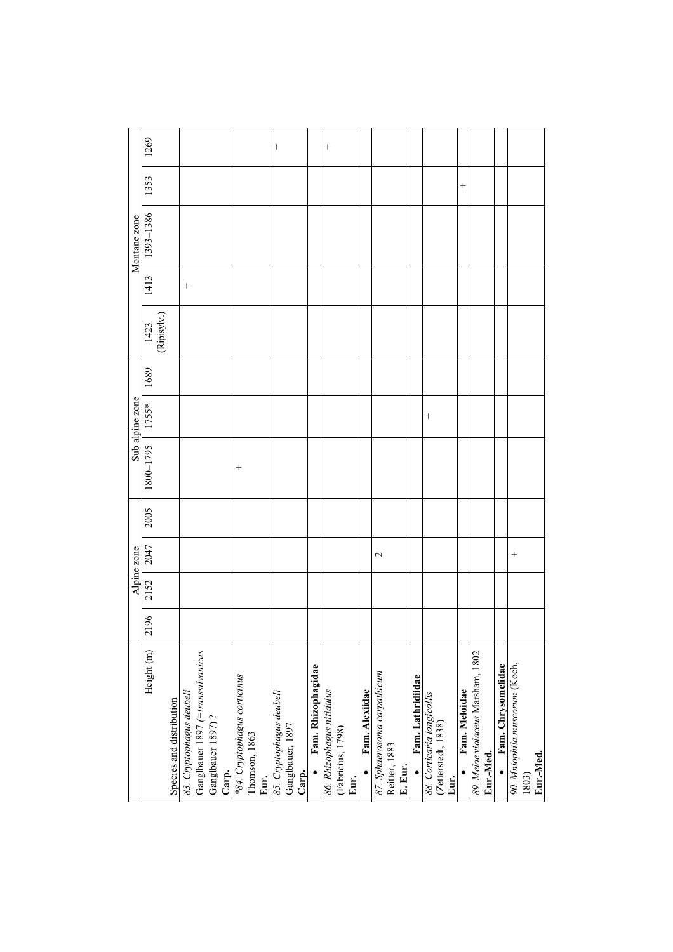|                                                               |      |      | Alpine zone     |      |           | Sub alpine zone |      |                            |        | Montane zone |      |                    |
|---------------------------------------------------------------|------|------|-----------------|------|-----------|-----------------|------|----------------------------|--------|--------------|------|--------------------|
| Height (m)                                                    | 2196 | 2152 | 2047            | 2005 | 1800-1795 | $1755*$         | 1689 | $\frac{1423}{(Ripisylv.)}$ | 1413   | 1393-1386    | 1353 | 1269               |
|                                                               |      |      |                 |      |           |                 |      |                            |        |              |      |                    |
| Species and distribution                                      |      |      |                 |      |           |                 |      |                            |        |              |      |                    |
| Ganglbauer 1897 (=transsilvanicus<br>83. Cryptophagus deubeli |      |      |                 |      |           |                 |      |                            | $^{+}$ |              |      |                    |
| Ganglbauer 1897)?                                             |      |      |                 |      |           |                 |      |                            |        |              |      |                    |
| Carp.                                                         |      |      |                 |      |           |                 |      |                            |        |              |      |                    |
| *84. Cryptophagus corticinus<br>Thomson, 1863                 |      |      |                 |      | $^{+}$    |                 |      |                            |        |              |      |                    |
| Eur.                                                          |      |      |                 |      |           |                 |      |                            |        |              |      |                    |
| 85. Cryptophagus deubeli                                      |      |      |                 |      |           |                 |      |                            |        |              |      | $\hspace{0.1mm} +$ |
| Ganglbauer, 1897<br>Carp.                                     |      |      |                 |      |           |                 |      |                            |        |              |      |                    |
|                                                               |      |      |                 |      |           |                 |      |                            |        |              |      |                    |
| Fam. Rhizophagidae                                            |      |      |                 |      |           |                 |      |                            |        |              |      |                    |
| 86. Rhizophagus nitidulus<br>(Fabricius, 1798)<br>Eur.        |      |      |                 |      |           |                 |      |                            |        |              |      | $\hspace{0.1mm} +$ |
| Fam. Alexiidae                                                |      |      |                 |      |           |                 |      |                            |        |              |      |                    |
| 87. Sphaerosoma carpathicum<br>Reitter, 1883                  |      |      | $\mathbf{\sim}$ |      |           |                 |      |                            |        |              |      |                    |
| E. Eur.                                                       |      |      |                 |      |           |                 |      |                            |        |              |      |                    |
| Fam. Lathridiidae                                             |      |      |                 |      |           |                 |      |                            |        |              |      |                    |
| 88. Corticaria longicollis<br>(Zetterstedt, 1838)             |      |      |                 |      |           | $^{+}$          |      |                            |        |              |      |                    |
| Eur.                                                          |      |      |                 |      |           |                 |      |                            |        |              |      |                    |
| Fam. Meloidae                                                 |      |      |                 |      |           |                 |      |                            |        |              | $^+$ |                    |
| 89. Meloe violaceus Marsham, 1802<br>Eur.-Med.                |      |      |                 |      |           |                 |      |                            |        |              |      |                    |
| Fam. Chrysomelidae                                            |      |      |                 |      |           |                 |      |                            |        |              |      |                    |
| 90. Mniophila muscorum (Koch,<br>1803)                        |      |      | $^{+}$          |      |           |                 |      |                            |        |              |      |                    |
| Eur.-Med.                                                     |      |      |                 |      |           |                 |      |                            |        |              |      |                    |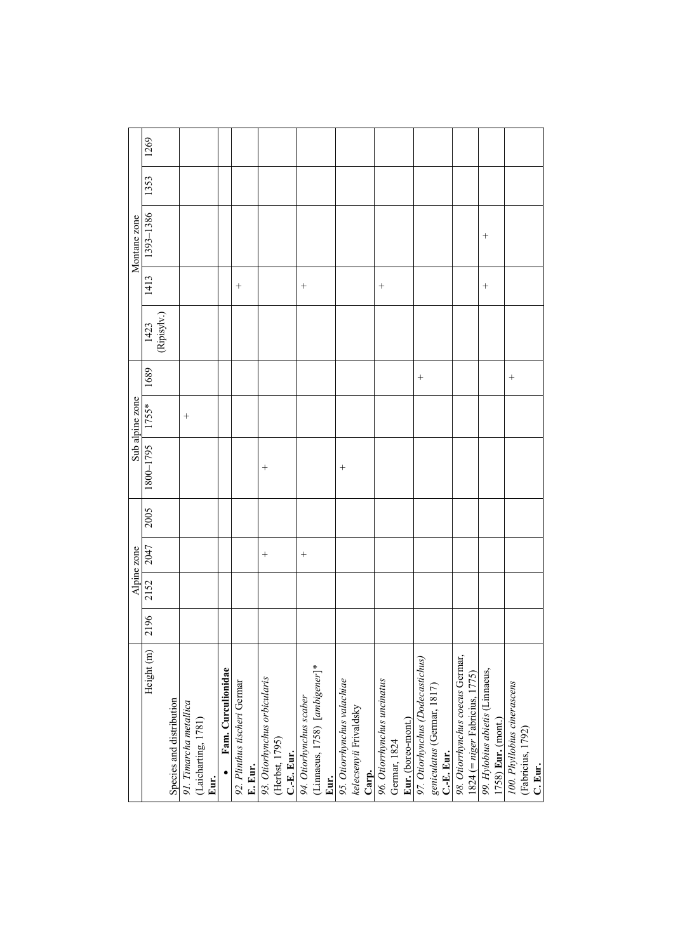|                                       |      |      | Alpine zone |      |                                                 |        |        |                                   |        | Montane zone |      |      |
|---------------------------------------|------|------|-------------|------|-------------------------------------------------|--------|--------|-----------------------------------|--------|--------------|------|------|
| Height (m)                            | 2196 | 2152 | 2047        | 2005 | Sub alpine zone<br>$\frac{\text{Sub a}}{1755*}$ |        | 1689   | $\frac{1423}{\text{(Ripisylv.)}}$ | 1413   | 1393-1386    | 1353 | 1269 |
| Species and distribution              |      |      |             |      |                                                 |        |        |                                   |        |              |      |      |
| 91. Timarcha metallica                |      |      |             |      |                                                 | $^{+}$ |        |                                   |        |              |      |      |
| (Laicharting, 1781)                   |      |      |             |      |                                                 |        |        |                                   |        |              |      |      |
| Eur.                                  |      |      |             |      |                                                 |        |        |                                   |        |              |      |      |
| Fam. Curculionidae                    |      |      |             |      |                                                 |        |        |                                   |        |              |      |      |
| 92. Plinthus tischeri Germar          |      |      |             |      |                                                 |        |        |                                   | $^{+}$ |              |      |      |
| E. Eur.                               |      |      |             |      |                                                 |        |        |                                   |        |              |      |      |
| 93. Otiorhynchus orbicularis          |      |      | $^{+}$      |      | $^{+}$                                          |        |        |                                   |        |              |      |      |
| (Herbst, 1795)                        |      |      |             |      |                                                 |        |        |                                   |        |              |      |      |
|                                       |      |      |             |      |                                                 |        |        |                                   |        |              |      |      |
| C.-E. Eur.<br>94. Otiorhynchus scaber |      |      | $^{+}$      |      |                                                 |        |        |                                   | $^{+}$ |              |      |      |
| (Linnaeus, 1758) [ambigener]*         |      |      |             |      |                                                 |        |        |                                   |        |              |      |      |
|                                       |      |      |             |      |                                                 |        |        |                                   |        |              |      |      |
| Eur.<br>95. Otiorrhynchus valachiae   |      |      |             |      | $^{+}$                                          |        |        |                                   |        |              |      |      |
| kelecsenyii Frivaldsky                |      |      |             |      |                                                 |        |        |                                   |        |              |      |      |
| Carp.                                 |      |      |             |      |                                                 |        |        |                                   |        |              |      |      |
| 96. Otiorrhynchus uncinatus           |      |      |             |      |                                                 |        |        |                                   | $^{+}$ |              |      |      |
| Germar, 1824                          |      |      |             |      |                                                 |        |        |                                   |        |              |      |      |
| Eur. (boreo-mont.)                    |      |      |             |      |                                                 |        |        |                                   |        |              |      |      |
| 97. Otiorhynchus (Dodecastichus)      |      |      |             |      |                                                 |        | $^{+}$ |                                   |        |              |      |      |
| geniculatus (Germar, 1817)            |      |      |             |      |                                                 |        |        |                                   |        |              |      |      |
| C.-E. Eur.                            |      |      |             |      |                                                 |        |        |                                   |        |              |      |      |
| 98. Otiorrhynchus coecus Germar,      |      |      |             |      |                                                 |        |        |                                   |        |              |      |      |
| 1824 (= $niger$ Fabricius, 1775)      |      |      |             |      |                                                 |        |        |                                   |        |              |      |      |
| 99. Hylobius abietis (Linnaeus,       |      |      |             |      |                                                 |        |        |                                   | $^{+}$ | $^{+}$       |      |      |
| 1758) Eur. (mont.)                    |      |      |             |      |                                                 |        |        |                                   |        |              |      |      |
| 100. Phyllobius cinerascens           |      |      |             |      |                                                 |        | $^{+}$ |                                   |        |              |      |      |
| (Fabricius, 1792)                     |      |      |             |      |                                                 |        |        |                                   |        |              |      |      |
| C. Eur.                               |      |      |             |      |                                                 |        |        |                                   |        |              |      |      |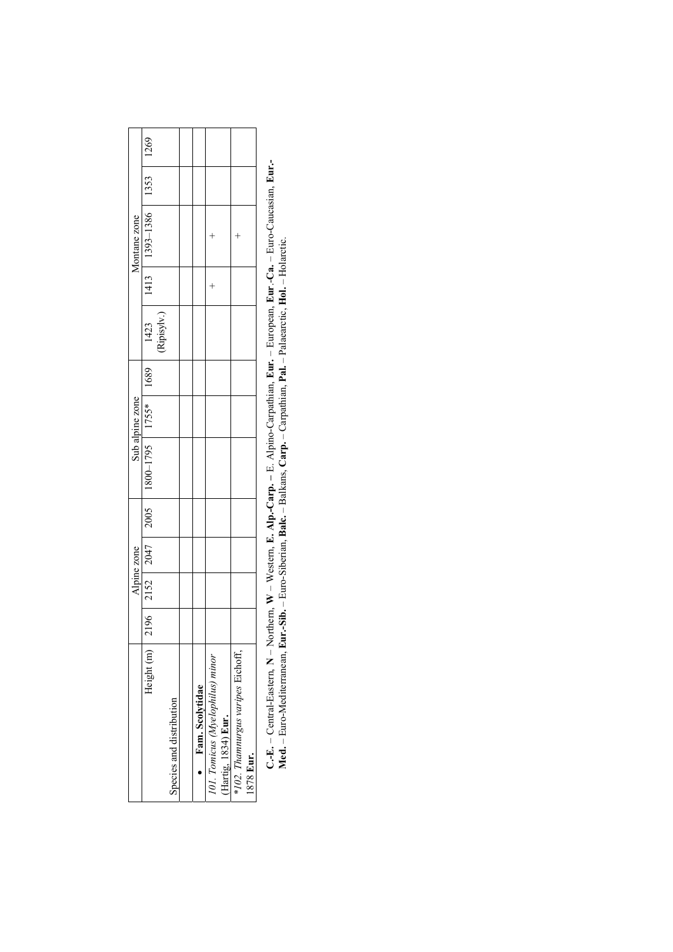|                                                                                                                                  |  | <b>Alpine zone</b> |                                                                                                                                                             | Sub alpine zone |  | Montane zone                   |  |
|----------------------------------------------------------------------------------------------------------------------------------|--|--------------------|-------------------------------------------------------------------------------------------------------------------------------------------------------------|-----------------|--|--------------------------------|--|
| Height (m)                                                                                                                       |  |                    | $\begin{array}{c c c c c c} \hline 2196 & 2152 & 2047 & 2005 & 1800-1795 & 1755* & 1689 & 1423 \\\hline 1 & 1423 & 1423 & 1423 & 1680 \\\hline \end{array}$ |                 |  | 1413   1393-1386   1353   1269 |  |
|                                                                                                                                  |  |                    |                                                                                                                                                             |                 |  |                                |  |
| Species and distribution                                                                                                         |  |                    |                                                                                                                                                             |                 |  |                                |  |
|                                                                                                                                  |  |                    |                                                                                                                                                             |                 |  |                                |  |
|                                                                                                                                  |  |                    |                                                                                                                                                             |                 |  |                                |  |
| $\begin{tabular}{ll} \hline \bullet & \textbf{Fam. Scolytidae} \\ \hline \textbf{01.} Tomicus (Myelophilus) minor \end{tabular}$ |  |                    |                                                                                                                                                             |                 |  |                                |  |
| Hartig, 1834) Eur.                                                                                                               |  |                    |                                                                                                                                                             |                 |  |                                |  |
| *102. Thamnurgus varipes Eichoff,                                                                                                |  |                    |                                                                                                                                                             |                 |  |                                |  |
| 1878 Eur.                                                                                                                        |  |                    |                                                                                                                                                             |                 |  |                                |  |

C.-E. - Central-Eastern, N - Northern, W - Western, E. Alp.-Carp. - E. Alpino-Carpathian, Eur. - European, Eur.-Ca. - Euro-Caucasian, Eur.-<br>Med. - Euro-Mediterranean, Eur.-Sib. - Euro-Siberian, Balc. - Balkans, Carp. - Car **–** E. Alpino-Carpathian, **Eur.** – European, **Eur**.-**Ca.** – Euro-Caucasian, **Eur.- Med.** – Euro-Mediterranean, **Eur.-Sib.** – Euro-Siberian, **Balc.** – Balkans, **Carp.** – Carpathian, **Pal.** – Palaearctic, **Hol.** – Holarctic. **W** – Western, **E. Alp.-Carp. N** – Northern, **C.-E.** – Central-Eastern,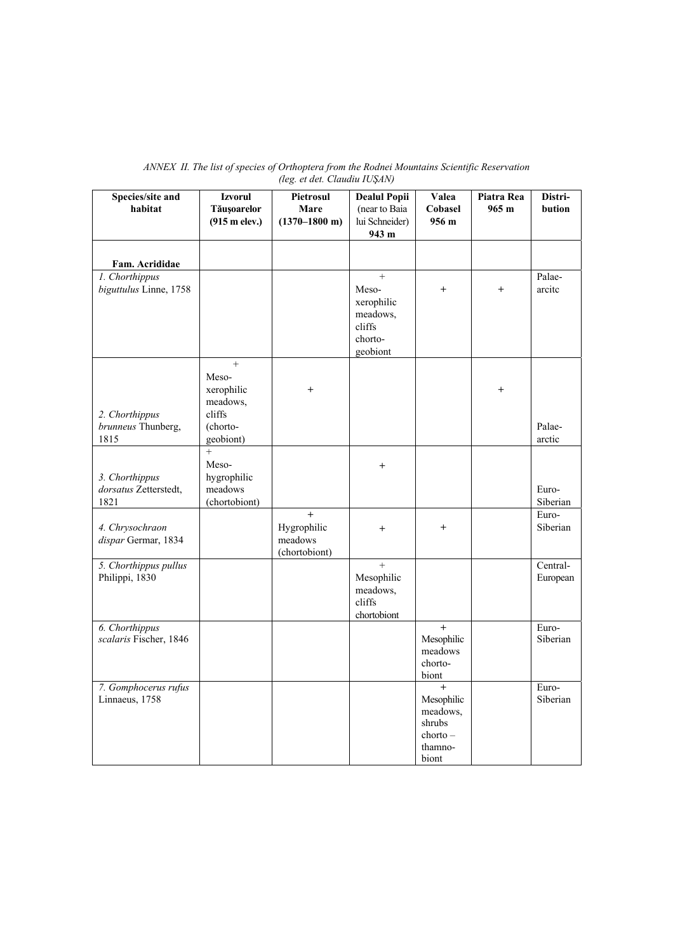| Species/site and                       | <b>Izvorul</b>          | Pietrosul                 | <b>Dealul Popii</b> | Valea              | Piatra Rea | Distri-  |
|----------------------------------------|-------------------------|---------------------------|---------------------|--------------------|------------|----------|
| habitat                                | Tăușoarelor             | Mare                      | (near to Baia       | Cobasel            | 965 m      | bution   |
|                                        | $(915 \text{ m}$ elev.) | $(1370 - 1800 \text{ m})$ | lui Schneider)      | 956 m              |            |          |
|                                        |                         |                           | 943 m               |                    |            |          |
|                                        |                         |                           |                     |                    |            |          |
| Fam. Acrididae                         |                         |                           |                     |                    |            |          |
| 1. Chorthippus                         |                         |                           | $^{+}$              |                    |            | Palae-   |
| biguttulus Linne, 1758                 |                         |                           | Meso-               | $^{+}$             | $^{+}$     | arcite   |
|                                        |                         |                           | xerophilic          |                    |            |          |
|                                        |                         |                           | meadows,            |                    |            |          |
|                                        |                         |                           | cliffs              |                    |            |          |
|                                        |                         |                           | chorto-             |                    |            |          |
|                                        |                         |                           | geobiont            |                    |            |          |
|                                        | $^{+}$                  |                           |                     |                    |            |          |
|                                        | Meso-<br>xerophilic     | $\overline{+}$            |                     |                    | $^{+}$     |          |
|                                        | meadows,                |                           |                     |                    |            |          |
| 2. Chorthippus                         | cliffs                  |                           |                     |                    |            |          |
| brunneus Thunberg,                     | (chorto-                |                           |                     |                    |            | Palae-   |
| 1815                                   | geobiont)               |                           |                     |                    |            | arctic   |
|                                        | $^{+}$                  |                           |                     |                    |            |          |
|                                        | Meso-                   |                           | $^{+}$              |                    |            |          |
| 3. Chorthippus                         | hygrophilic             |                           |                     |                    |            |          |
| dorsatus Zetterstedt,                  | meadows                 |                           |                     |                    |            | Euro-    |
| 1821                                   | (chortobiont)           |                           |                     |                    |            | Siberian |
|                                        |                         | $+$                       |                     |                    |            | Euro-    |
| 4. Chrysochraon<br>dispar Germar, 1834 |                         | Hygrophilic<br>meadows    | $^{+}$              | $^{+}$             |            | Siberian |
|                                        |                         | (chortobiont)             |                     |                    |            |          |
| 5. Chorthippus pullus                  |                         |                           | $\ddot{}$           |                    |            | Central- |
| Philippi, 1830                         |                         |                           | Mesophilic          |                    |            | European |
|                                        |                         |                           | meadows,            |                    |            |          |
|                                        |                         |                           | cliffs              |                    |            |          |
|                                        |                         |                           | chortobiont         |                    |            |          |
| 6. Chorthippus                         |                         |                           |                     | $+$                |            | Euro-    |
| scalaris Fischer, 1846                 |                         |                           |                     | Mesophilic         |            | Siberian |
|                                        |                         |                           |                     | meadows<br>chorto- |            |          |
|                                        |                         |                           |                     | biont              |            |          |
| 7. Gomphocerus rufus                   |                         |                           |                     | $+$                |            | Euro-    |
| Linnaeus, 1758                         |                         |                           |                     | Mesophilic         |            | Siberian |
|                                        |                         |                           |                     | meadows,           |            |          |
|                                        |                         |                           |                     | shrubs             |            |          |
|                                        |                         |                           |                     | $chorto -$         |            |          |
|                                        |                         |                           |                     | thamno-<br>biont   |            |          |
|                                        |                         |                           |                     |                    |            |          |

# *ANNEX II. The list of species of Orthoptera from the Rodnei Mountains Scientific Reservation (leg. et det. Claudiu IUŞAN)*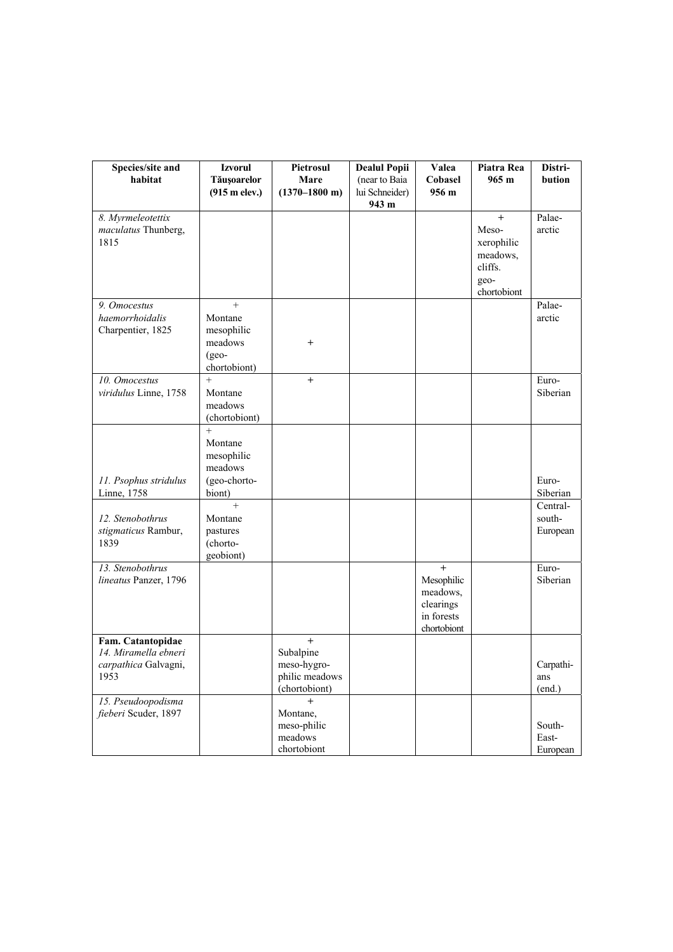| Species/site and<br>habitat                                               | <b>Izvorul</b><br>Tăușoarelor                                        | Pietrosul<br>Mare                                                     | <b>Dealul Popii</b><br>(near to Baia | Valea<br>Cobasel                                                        | Piatra Rea<br>965 m                                                      | Distri-<br>bution              |
|---------------------------------------------------------------------------|----------------------------------------------------------------------|-----------------------------------------------------------------------|--------------------------------------|-------------------------------------------------------------------------|--------------------------------------------------------------------------|--------------------------------|
|                                                                           | $(915 \text{ m}$ elev.)                                              | $(1370 - 1800 \text{ m})$                                             | lui Schneider)<br>943 m              | 956 <sub>m</sub>                                                        |                                                                          |                                |
| 8. Myrmeleotettix<br>maculatus Thunberg,<br>1815                          |                                                                      |                                                                       |                                      |                                                                         | $+$<br>Meso-<br>xerophilic<br>meadows,<br>cliffs.<br>geo-<br>chortobiont | Palae-<br>arctic               |
| 9. Omocestus<br>haemorrhoidalis<br>Charpentier, 1825                      | $+$<br>Montane<br>mesophilic<br>meadows<br>$(geo-$<br>chortobiont)   | $+$                                                                   |                                      |                                                                         |                                                                          | Palae-<br>arctic               |
| 10. Omocestus<br>viridulus Linne, 1758                                    | $+$<br>Montane<br>meadows<br>(chortobiont)                           | $+$                                                                   |                                      |                                                                         |                                                                          | Euro-<br>Siberian              |
| 11. Psophus stridulus<br>Linne, 1758                                      | $^{+}$<br>Montane<br>mesophilic<br>meadows<br>(geo-chorto-<br>biont) |                                                                       |                                      |                                                                         |                                                                          | Euro-<br>Siberian              |
| 12. Stenobothrus<br>stigmaticus Rambur,<br>1839                           | $+$<br>Montane<br>pastures<br>(chorto-<br>geobiont)                  |                                                                       |                                      |                                                                         |                                                                          | Central-<br>south-<br>European |
| 13. Stenobothrus<br>lineatus Panzer, 1796                                 |                                                                      |                                                                       |                                      | $+$<br>Mesophilic<br>meadows,<br>clearings<br>in forests<br>chortobiont |                                                                          | Euro-<br>Siberian              |
| Fam. Catantopidae<br>14. Miramella ebneri<br>carpathica Galvagni,<br>1953 |                                                                      | $^{+}$<br>Subalpine<br>meso-hygro-<br>philic meadows<br>(chortobiont) |                                      |                                                                         |                                                                          | Carpathi-<br>ans<br>(end.)     |
| 15. Pseudoopodisma<br>fieberi Scuder, 1897                                |                                                                      | $^{+}$<br>Montane,<br>meso-philic<br>meadows<br>chortobiont           |                                      |                                                                         |                                                                          | South-<br>East-<br>European    |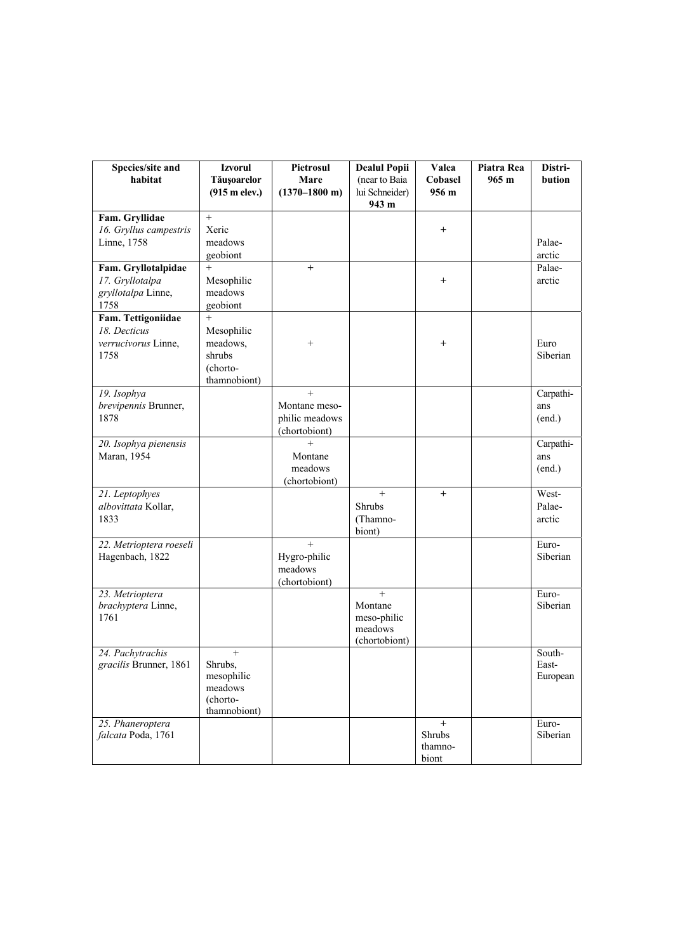| Species/site and<br>habitat                | <b>Izvorul</b><br><b>Tăușoarelor</b> | Pietrosul<br>Mare         | <b>Dealul Popii</b><br>(near to Baia | Valea<br>Cobasel | Piatra Rea<br>$965 \text{ m}$ | Distri-<br>bution |
|--------------------------------------------|--------------------------------------|---------------------------|--------------------------------------|------------------|-------------------------------|-------------------|
|                                            | $(915 \text{ m}$ elev.)              | $(1370 - 1800 \text{ m})$ | lui Schneider)<br>943 m              | 956 m            |                               |                   |
| Fam. Gryllidae<br>16. Gryllus campestris   | $\ddot{}$<br>Xeric                   |                           |                                      | $^{+}$           |                               |                   |
| Linne, 1758                                | meadows                              |                           |                                      |                  |                               | Palae-            |
|                                            | geobiont                             |                           |                                      |                  |                               | arctic            |
| Fam. Gryllotalpidae                        | $+$                                  | $^{+}$                    |                                      |                  |                               | Palae-            |
| 17. Gryllotalpa<br>gryllotalpa Linne,      | Mesophilic<br>meadows                |                           |                                      | $^{+}$           |                               | arctic            |
| 1758                                       | geobiont                             |                           |                                      |                  |                               |                   |
| Fam. Tettigoniidae                         | $+$                                  |                           |                                      |                  |                               |                   |
| 18. Decticus<br>verrucivorus Linne,        | Mesophilic<br>meadows,               | $^{+}$                    |                                      | $\mathrm{+}$     |                               | Euro              |
| 1758                                       | shrubs                               |                           |                                      |                  |                               | Siberian          |
|                                            | (chorto-                             |                           |                                      |                  |                               |                   |
| 19. Isophya                                | thamnobiont)                         | $+$                       |                                      |                  |                               | Carpathi-         |
| brevipennis Brunner,                       |                                      | Montane meso-             |                                      |                  |                               | ans               |
| 1878                                       |                                      | philic meadows            |                                      |                  |                               | (end.)            |
| 20. Isophya pienensis                      |                                      | (chortobiont)<br>$^{+}$   |                                      |                  |                               | Carpathi-         |
| Maran, 1954                                |                                      | Montane                   |                                      |                  |                               | ans               |
|                                            |                                      | meadows                   |                                      |                  |                               | (end.)            |
| 21. Leptophyes                             |                                      | (chortobiont)             | $+$                                  | $+$              |                               | West-             |
| albovittata Kollar,                        |                                      |                           | Shrubs                               |                  |                               | Palae-            |
| 1833                                       |                                      |                           | (Thamno-                             |                  |                               | arctic            |
|                                            |                                      | $+$                       | biont)                               |                  |                               | Euro-             |
| 22. Metrioptera roeseli<br>Hagenbach, 1822 |                                      | Hygro-philic              |                                      |                  |                               | Siberian          |
|                                            |                                      | meadows                   |                                      |                  |                               |                   |
|                                            |                                      | (chortobiont)             | $\ddot{}$                            |                  |                               | Euro-             |
| 23. Metrioptera<br>brachyptera Linne,      |                                      |                           | Montane                              |                  |                               | Siberian          |
| 1761                                       |                                      |                           | meso-philic                          |                  |                               |                   |
|                                            |                                      |                           | meadows<br>(chortobiont)             |                  |                               |                   |
| 24. Pachytrachis                           | $^{+}$                               |                           |                                      |                  |                               | South-            |
| gracilis Brunner, 1861                     | Shrubs,<br>mesophilic                |                           |                                      |                  |                               | East-             |
|                                            | meadows                              |                           |                                      |                  |                               | European          |
|                                            | (chorto-                             |                           |                                      |                  |                               |                   |
| 25. Phaneroptera                           | thamnobiont)                         |                           |                                      | $^{+}$           |                               | Euro-             |
| falcata Poda, 1761                         |                                      |                           |                                      | Shrubs           |                               | Siberian          |
|                                            |                                      |                           |                                      | thamno-<br>biont |                               |                   |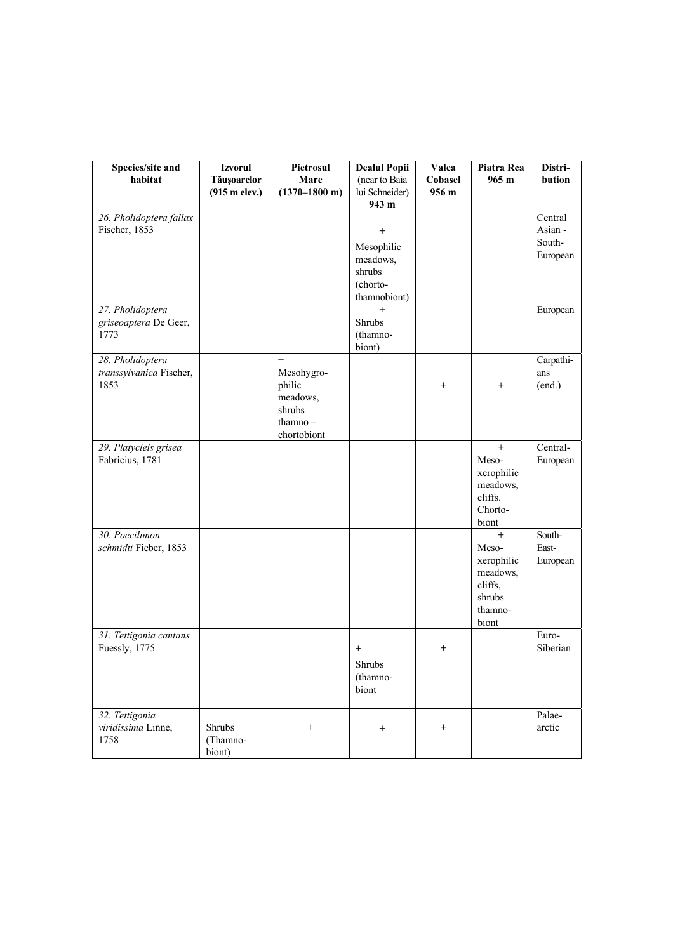| Species/site and                            | <b>Izvorul</b>          | Pietrosul                       | <b>Dealul Popii</b>      | Valea           | Piatra Rea        | Distri-          |
|---------------------------------------------|-------------------------|---------------------------------|--------------------------|-----------------|-------------------|------------------|
| habitat                                     | Tăușoarelor             | Mare                            | (near to Baia            | Cobasel         | $965 \text{ m}$   | bution           |
|                                             | $(915 \text{ m}$ elev.) | $(1370 - 1800 \text{ m})$       | lui Schneider)<br>943 m  | 956 m           |                   |                  |
| 26. Pholidoptera fallax                     |                         |                                 |                          |                 |                   | Central          |
| Fischer, 1853                               |                         |                                 | $^{+}$                   |                 |                   | Asian -          |
|                                             |                         |                                 | Mesophilic               |                 |                   | South-           |
|                                             |                         |                                 | meadows,                 |                 |                   | European         |
|                                             |                         |                                 | shrubs                   |                 |                   |                  |
|                                             |                         |                                 | (chorto-<br>thamnobiont) |                 |                   |                  |
| 27. Pholidoptera                            |                         |                                 | $^{+}$                   |                 |                   | European         |
| griseoaptera De Geer,                       |                         |                                 | Shrubs                   |                 |                   |                  |
| 1773                                        |                         |                                 | (thamno-                 |                 |                   |                  |
|                                             |                         |                                 | biont)                   |                 |                   |                  |
| 28. Pholidoptera<br>transsylvanica Fischer, |                         | $\qquad \qquad +$<br>Mesohygro- |                          |                 |                   | Carpathi-<br>ans |
| 1853                                        |                         | philic                          |                          | $^{+}$          | $^{+}$            | (end.)           |
|                                             |                         | meadows,                        |                          |                 |                   |                  |
|                                             |                         | shrubs                          |                          |                 |                   |                  |
|                                             |                         | thamno $-$                      |                          |                 |                   |                  |
| 29. Platycleis grisea                       |                         | chortobiont                     |                          |                 | $+$               | Central-         |
| Fabricius, 1781                             |                         |                                 |                          |                 | Meso-             | European         |
|                                             |                         |                                 |                          |                 | xerophilic        |                  |
|                                             |                         |                                 |                          |                 | meadows,          |                  |
|                                             |                         |                                 |                          |                 | cliffs.           |                  |
|                                             |                         |                                 |                          |                 | Chorto-           |                  |
| 30. Poecilimon                              |                         |                                 |                          |                 | biont<br>$+$      | South-           |
| schmidti Fieber, 1853                       |                         |                                 |                          |                 | Meso-             | East-            |
|                                             |                         |                                 |                          |                 | xerophilic        | European         |
|                                             |                         |                                 |                          |                 | meadows,          |                  |
|                                             |                         |                                 |                          |                 | cliffs,           |                  |
|                                             |                         |                                 |                          |                 | shrubs<br>thamno- |                  |
|                                             |                         |                                 |                          |                 | biont             |                  |
| 31. Tettigonia cantans                      |                         |                                 |                          |                 |                   | Euro-            |
| Fuessly, 1775                               |                         |                                 | $\, +$                   | $^{+}$          |                   | Siberian         |
|                                             |                         |                                 | Shrubs                   |                 |                   |                  |
|                                             |                         |                                 | (thamno-                 |                 |                   |                  |
|                                             |                         |                                 | biont                    |                 |                   |                  |
| 32. Tettigonia                              | $^{+}$                  |                                 |                          |                 |                   | Palae-           |
| viridissima Linne,                          | Shrubs                  | $^+$                            | $\, +$                   | $^{\mathrm{+}}$ |                   | arctic           |
| 1758                                        | (Thamno-<br>biont)      |                                 |                          |                 |                   |                  |